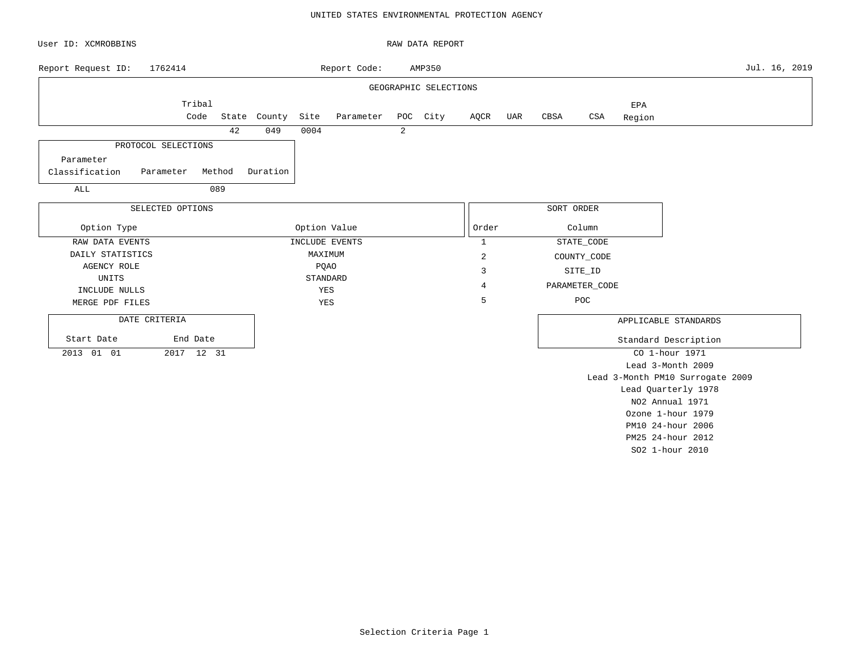#### UNITED STATES ENVIRONMENTAL PROTECTION AGENCY

| User ID: XCMROBBINS                                                       |                                   | RAW DATA REPORT       |              |                              |                                                                |
|---------------------------------------------------------------------------|-----------------------------------|-----------------------|--------------|------------------------------|----------------------------------------------------------------|
| 1762414<br>Report Request ID:                                             | Report Code:                      | AMP350                |              |                              | Jul. 16, 2019                                                  |
|                                                                           |                                   | GEOGRAPHIC SELECTIONS |              |                              |                                                                |
| Tribal<br>Code                                                            | Site<br>State County<br>Parameter | POC City              | AQCR<br>UAR  | EPA<br>CBSA<br>CSA<br>Region |                                                                |
|                                                                           | 42<br>049<br>0004                 | 2                     |              |                              |                                                                |
| PROTOCOL SELECTIONS<br>Parameter<br>Classification<br>Method<br>Parameter | Duration                          |                       |              |                              |                                                                |
| $\mathtt{ALL}$<br>089                                                     |                                   |                       |              |                              |                                                                |
| SELECTED OPTIONS                                                          |                                   |                       |              | SORT ORDER                   |                                                                |
| Option Type                                                               | Option Value                      |                       | Order        | Column                       |                                                                |
| RAW DATA EVENTS                                                           | INCLUDE EVENTS                    |                       | $\mathbf{1}$ | STATE_CODE                   |                                                                |
| DAILY STATISTICS                                                          | MAXIMUM                           |                       | 2            | COUNTY_CODE                  |                                                                |
| <b>AGENCY ROLE</b>                                                        | PQAO                              |                       | 3            | SITE_ID                      |                                                                |
| <b>UNITS</b><br>INCLUDE NULLS                                             | STANDARD<br>YES                   |                       | 4            | PARAMETER_CODE               |                                                                |
| MERGE PDF FILES                                                           | YES                               |                       | 5            | POC                          |                                                                |
| DATE CRITERIA<br>Start Date<br>End Date<br>2013 01 01<br>2017 12 31       |                                   |                       |              |                              | APPLICABLE STANDARDS<br>Standard Description<br>CO 1-hour 1971 |
|                                                                           |                                   |                       |              |                              | Lead 3-Month 2009                                              |
|                                                                           |                                   |                       |              |                              | Lead 3-Month PM10 Surrogate 2009                               |
|                                                                           |                                   |                       |              |                              | Lead Quarterly 1978<br>NO2 Annual 1971                         |
|                                                                           |                                   |                       |              |                              | Ozone 1-hour 1979                                              |
|                                                                           |                                   |                       |              |                              | PM10 24-hour 2006                                              |

PM25 24-hour 2012 SO2 1-hour 2010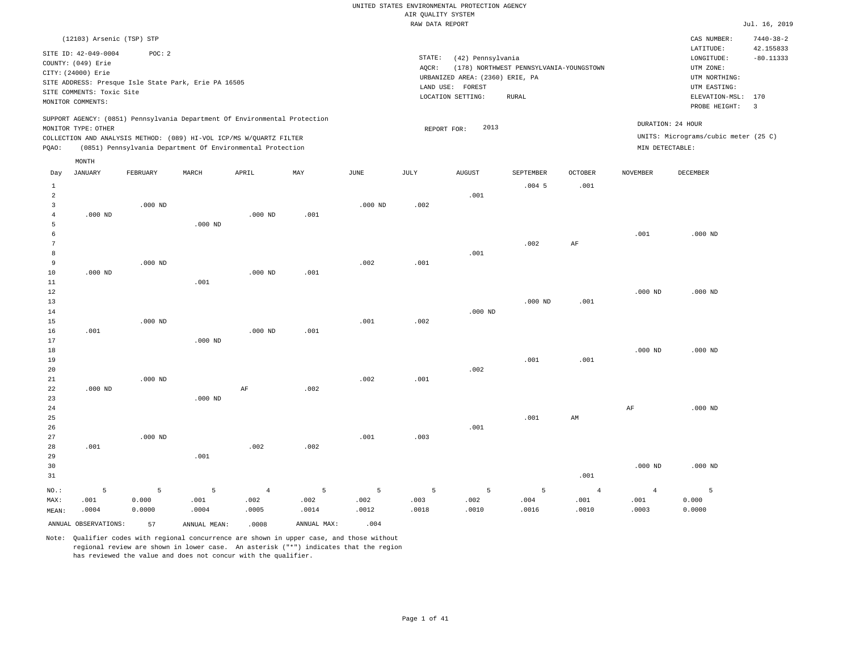|                 |                                                                                                                    |            |                                                      |                                                                            |             |               | RAW DATA REPORT | Rosmers nenses                                                                                |                                                         |                        |                        |                                                                                                              | Jul. 16, 2019                              |
|-----------------|--------------------------------------------------------------------------------------------------------------------|------------|------------------------------------------------------|----------------------------------------------------------------------------|-------------|---------------|-----------------|-----------------------------------------------------------------------------------------------|---------------------------------------------------------|------------------------|------------------------|--------------------------------------------------------------------------------------------------------------|--------------------------------------------|
|                 | (12103) Arsenic (TSP) STP                                                                                          |            |                                                      |                                                                            |             |               |                 |                                                                                               |                                                         |                        |                        | CAS NUMBER:                                                                                                  | $7440 - 38 - 2$                            |
|                 | SITE ID: 42-049-0004<br>COUNTY: (049) Erie<br>CITY: (24000) Erie<br>SITE COMMENTS: Toxic Site<br>MONITOR COMMENTS: | POC: 2     | SITE ADDRESS: Presque Isle State Park, Erie PA 16505 |                                                                            |             |               | STATE:<br>AQCR: | (42) Pennsylvania<br>URBANIZED AREA: (2360) ERIE, PA<br>LAND USE: FOREST<br>LOCATION SETTING: | (178) NORTHWEST PENNSYLVANIA-YOUNGSTOWN<br><b>RURAL</b> |                        |                        | LATITUDE:<br>LONGITUDE:<br>UTM ZONE:<br>UTM NORTHING:<br>UTM EASTING:<br>ELEVATION-MSL: 170<br>PROBE HEIGHT: | 42.155833<br>$-80.11333$<br>$\overline{3}$ |
|                 |                                                                                                                    |            |                                                      | SUPPORT AGENCY: (0851) Pennsylvania Department Of Environmental Protection |             |               |                 |                                                                                               |                                                         |                        |                        | DURATION: 24 HOUR                                                                                            |                                            |
|                 | MONITOR TYPE: OTHER                                                                                                |            |                                                      | COLLECTION AND ANALYSIS METHOD: (089) HI-VOL ICP/MS W/QUARTZ FILTER        |             |               |                 | 2013<br>REPORT FOR:                                                                           |                                                         |                        |                        | UNITS: Micrograms/cubic meter (25 C)                                                                         |                                            |
| PQAO:           |                                                                                                                    |            |                                                      | (0851) Pennsylvania Department Of Environmental Protection                 |             |               |                 |                                                                                               |                                                         |                        | MIN DETECTABLE:        |                                                                                                              |                                            |
|                 | MONTH                                                                                                              |            |                                                      |                                                                            |             |               |                 |                                                                                               |                                                         |                        |                        |                                                                                                              |                                            |
| Day             | <b>JANUARY</b>                                                                                                     | FEBRUARY   | $\tt {MARCH}$                                        | APRIL                                                                      | MAY         | $_{\rm JUNE}$ | JULY            | <b>AUGUST</b>                                                                                 | SEPTEMBER                                               | OCTOBER                | <b>NOVEMBER</b>        | DECEMBER                                                                                                     |                                            |
| $\mathbf{1}$    |                                                                                                                    |            |                                                      |                                                                            |             |               |                 |                                                                                               | $.004$ 5                                                | .001                   |                        |                                                                                                              |                                            |
| $\overline{a}$  |                                                                                                                    |            |                                                      |                                                                            |             |               |                 | .001                                                                                          |                                                         |                        |                        |                                                                                                              |                                            |
| 3               |                                                                                                                    | $.000$ ND  |                                                      |                                                                            |             | $.000$ ND     | .002            |                                                                                               |                                                         |                        |                        |                                                                                                              |                                            |
| $\overline{4}$  | $.000$ ND                                                                                                          |            |                                                      | $.000$ ND                                                                  | .001        |               |                 |                                                                                               |                                                         |                        |                        |                                                                                                              |                                            |
| $\overline{5}$  |                                                                                                                    |            | $.000$ ND                                            |                                                                            |             |               |                 |                                                                                               |                                                         |                        |                        |                                                                                                              |                                            |
| $\epsilon$      |                                                                                                                    |            |                                                      |                                                                            |             |               |                 |                                                                                               |                                                         |                        | .001                   | $.000$ ND                                                                                                    |                                            |
| $7\phantom{.0}$ |                                                                                                                    |            |                                                      |                                                                            |             |               |                 |                                                                                               | .002                                                    | AF                     |                        |                                                                                                              |                                            |
| 8               |                                                                                                                    |            |                                                      |                                                                            |             |               |                 | .001                                                                                          |                                                         |                        |                        |                                                                                                              |                                            |
| 9               |                                                                                                                    | $.000$ ND  |                                                      |                                                                            |             | .002          | .001            |                                                                                               |                                                         |                        |                        |                                                                                                              |                                            |
| 10<br>11        | $.000$ ND                                                                                                          |            | .001                                                 | $.000$ ND                                                                  | .001        |               |                 |                                                                                               |                                                         |                        |                        |                                                                                                              |                                            |
| 12              |                                                                                                                    |            |                                                      |                                                                            |             |               |                 |                                                                                               |                                                         |                        | $.000$ ND              | $.000$ ND                                                                                                    |                                            |
| 13              |                                                                                                                    |            |                                                      |                                                                            |             |               |                 |                                                                                               | $.000$ ND                                               | .001                   |                        |                                                                                                              |                                            |
| 14              |                                                                                                                    |            |                                                      |                                                                            |             |               |                 | $.000$ ND                                                                                     |                                                         |                        |                        |                                                                                                              |                                            |
| 15              |                                                                                                                    | $.000$ ND  |                                                      |                                                                            |             | .001          | .002            |                                                                                               |                                                         |                        |                        |                                                                                                              |                                            |
| 16              | .001                                                                                                               |            |                                                      | $.000$ ND                                                                  | .001        |               |                 |                                                                                               |                                                         |                        |                        |                                                                                                              |                                            |
| 17              |                                                                                                                    |            | $.000$ ND                                            |                                                                            |             |               |                 |                                                                                               |                                                         |                        |                        |                                                                                                              |                                            |
| 18              |                                                                                                                    |            |                                                      |                                                                            |             |               |                 |                                                                                               |                                                         |                        | $.000$ ND              | $.000$ ND                                                                                                    |                                            |
| 19              |                                                                                                                    |            |                                                      |                                                                            |             |               |                 |                                                                                               | .001                                                    | .001                   |                        |                                                                                                              |                                            |
| 20              |                                                                                                                    |            |                                                      |                                                                            |             |               |                 | .002                                                                                          |                                                         |                        |                        |                                                                                                              |                                            |
| 21              |                                                                                                                    | $.000$ ND  |                                                      |                                                                            |             | .002          | .001            |                                                                                               |                                                         |                        |                        |                                                                                                              |                                            |
| 22              | $.000$ ND                                                                                                          |            |                                                      | $\rm AF$                                                                   | .002        |               |                 |                                                                                               |                                                         |                        |                        |                                                                                                              |                                            |
| 23              |                                                                                                                    |            | $.000$ ND                                            |                                                                            |             |               |                 |                                                                                               |                                                         |                        |                        |                                                                                                              |                                            |
| 24              |                                                                                                                    |            |                                                      |                                                                            |             |               |                 |                                                                                               |                                                         |                        | $\rm{AF}$              | $.000$ ND                                                                                                    |                                            |
| 25<br>26        |                                                                                                                    |            |                                                      |                                                                            |             |               |                 | .001                                                                                          | .001                                                    | AM                     |                        |                                                                                                              |                                            |
| 27              |                                                                                                                    | $.000$ ND  |                                                      |                                                                            |             | .001          | .003            |                                                                                               |                                                         |                        |                        |                                                                                                              |                                            |
| 28              | .001                                                                                                               |            |                                                      | .002                                                                       | .002        |               |                 |                                                                                               |                                                         |                        |                        |                                                                                                              |                                            |
| 29              |                                                                                                                    |            | .001                                                 |                                                                            |             |               |                 |                                                                                               |                                                         |                        |                        |                                                                                                              |                                            |
| 30              |                                                                                                                    |            |                                                      |                                                                            |             |               |                 |                                                                                               |                                                         |                        | $.000$ ND              | $.000$ ND                                                                                                    |                                            |
| 31              |                                                                                                                    |            |                                                      |                                                                            |             |               |                 |                                                                                               |                                                         | .001                   |                        |                                                                                                              |                                            |
|                 |                                                                                                                    |            |                                                      |                                                                            |             |               |                 |                                                                                               |                                                         |                        |                        |                                                                                                              |                                            |
| NO.:<br>MAX:    | 5<br>.001                                                                                                          | 5<br>0.000 | 5<br>.001                                            | $\overline{4}$<br>.002                                                     | 5<br>.002   | 5<br>.002     | 5<br>.003       | 5<br>.002                                                                                     | $\overline{5}$<br>.004                                  | $\overline{4}$<br>.001 | $\overline{4}$<br>.001 | 5<br>0.000                                                                                                   |                                            |
| MEAN:           | .0004                                                                                                              | 0.0000     | .0004                                                | .0005                                                                      | .0014       | .0012         | .0018           | .0010                                                                                         | .0016                                                   | .0010                  | .0003                  | 0.0000                                                                                                       |                                            |
|                 | ANNUAL OBSERVATIONS:                                                                                               |            |                                                      |                                                                            | ANNUAL MAX: | .004          |                 |                                                                                               |                                                         |                        |                        |                                                                                                              |                                            |
|                 |                                                                                                                    | 57         | ANNUAL MEAN:                                         | .0008                                                                      |             |               |                 |                                                                                               |                                                         |                        |                        |                                                                                                              |                                            |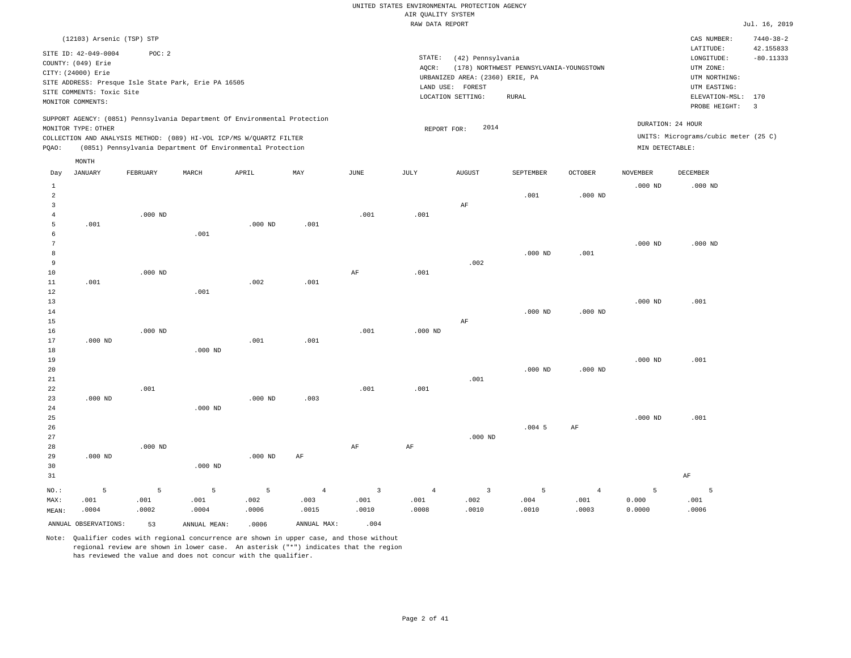|                |                           |           |                                                                            |           |                        |                        | RAW DATA REPORT        |                                 |                                         |                        |                 |                                      | Jul. 16, 2019           |
|----------------|---------------------------|-----------|----------------------------------------------------------------------------|-----------|------------------------|------------------------|------------------------|---------------------------------|-----------------------------------------|------------------------|-----------------|--------------------------------------|-------------------------|
|                | (12103) Arsenic (TSP) STP |           |                                                                            |           |                        |                        |                        |                                 |                                         |                        |                 | CAS NUMBER:                          | $7440 - 38 - 2$         |
|                |                           |           |                                                                            |           |                        |                        |                        |                                 |                                         |                        |                 | LATITUDE:                            | 42.155833               |
|                | SITE ID: 42-049-0004      | POC: 2    |                                                                            |           |                        |                        | STATE:                 | (42) Pennsylvania               |                                         |                        |                 | LONGITUDE:                           | $-80.11333$             |
|                | COUNTY: (049) Erie        |           |                                                                            |           |                        |                        | AQCR:                  |                                 | (178) NORTHWEST PENNSYLVANIA-YOUNGSTOWN |                        |                 | UTM ZONE:                            |                         |
|                | CITY: (24000) Erie        |           |                                                                            |           |                        |                        |                        | URBANIZED AREA: (2360) ERIE, PA |                                         |                        |                 | UTM NORTHING:                        |                         |
|                |                           |           | SITE ADDRESS: Presque Isle State Park, Erie PA 16505                       |           |                        |                        |                        | LAND USE: FOREST                |                                         |                        |                 | UTM EASTING:                         |                         |
|                | SITE COMMENTS: Toxic Site |           |                                                                            |           |                        |                        |                        | LOCATION SETTING:               | RURAL                                   |                        |                 | ELEVATION-MSL: 170                   |                         |
|                | MONITOR COMMENTS:         |           |                                                                            |           |                        |                        |                        |                                 |                                         |                        |                 | PROBE HEIGHT:                        | $\overline{\mathbf{3}}$ |
|                |                           |           | SUPPORT AGENCY: (0851) Pennsylvania Department Of Environmental Protection |           |                        |                        |                        |                                 |                                         |                        |                 |                                      |                         |
|                | MONITOR TYPE: OTHER       |           |                                                                            |           |                        |                        | REPORT FOR:            | 2014                            |                                         |                        |                 | DURATION: 24 HOUR                    |                         |
|                |                           |           | COLLECTION AND ANALYSIS METHOD: (089) HI-VOL ICP/MS W/QUARTZ FILTER        |           |                        |                        |                        |                                 |                                         |                        |                 | UNITS: Micrograms/cubic meter (25 C) |                         |
| PQAO:          |                           |           | (0851) Pennsylvania Department Of Environmental Protection                 |           |                        |                        |                        |                                 |                                         |                        | MIN DETECTABLE: |                                      |                         |
|                | MONTH                     |           |                                                                            |           |                        |                        |                        |                                 |                                         |                        |                 |                                      |                         |
| Day            | JANUARY                   | FEBRUARY  | MARCH                                                                      | APRIL     | MAY                    | <b>JUNE</b>            | JULY                   | <b>AUGUST</b>                   | SEPTEMBER                               | <b>OCTOBER</b>         | <b>NOVEMBER</b> | DECEMBER                             |                         |
| $1\,$          |                           |           |                                                                            |           |                        |                        |                        |                                 |                                         |                        | $.000$ ND       | $.000$ ND                            |                         |
| $\overline{a}$ |                           |           |                                                                            |           |                        |                        |                        |                                 | .001                                    | $.000$ ND              |                 |                                      |                         |
| 3              |                           |           |                                                                            |           |                        |                        |                        | AF                              |                                         |                        |                 |                                      |                         |
| $\overline{4}$ |                           | $.000$ ND |                                                                            |           |                        | .001                   | .001                   |                                 |                                         |                        |                 |                                      |                         |
| 5              | .001                      |           |                                                                            | $.000$ ND | .001                   |                        |                        |                                 |                                         |                        |                 |                                      |                         |
| 6              |                           |           | .001                                                                       |           |                        |                        |                        |                                 |                                         |                        |                 |                                      |                         |
| 7              |                           |           |                                                                            |           |                        |                        |                        |                                 |                                         |                        | $.000$ ND       | $.000$ ND                            |                         |
| 8              |                           |           |                                                                            |           |                        |                        |                        |                                 | $.000$ ND                               | .001                   |                 |                                      |                         |
| 9              |                           |           |                                                                            |           |                        |                        |                        | .002                            |                                         |                        |                 |                                      |                         |
| 10             |                           | $.000$ ND |                                                                            |           |                        | AF                     | .001                   |                                 |                                         |                        |                 |                                      |                         |
| 11             | .001                      |           |                                                                            | .002      | .001                   |                        |                        |                                 |                                         |                        |                 |                                      |                         |
| 12             |                           |           | .001                                                                       |           |                        |                        |                        |                                 |                                         |                        |                 |                                      |                         |
| 13             |                           |           |                                                                            |           |                        |                        |                        |                                 |                                         |                        | $.000$ ND       | .001                                 |                         |
| 14<br>15       |                           |           |                                                                            |           |                        |                        |                        | $\rm AF$                        | $.000$ ND                               | $.000$ ND              |                 |                                      |                         |
| 16             |                           | $.000$ ND |                                                                            |           |                        | .001                   | $.000$ ND              |                                 |                                         |                        |                 |                                      |                         |
| 17             | $.000$ ND                 |           |                                                                            | .001      | .001                   |                        |                        |                                 |                                         |                        |                 |                                      |                         |
| 18             |                           |           | $.000$ ND                                                                  |           |                        |                        |                        |                                 |                                         |                        |                 |                                      |                         |
| 19             |                           |           |                                                                            |           |                        |                        |                        |                                 |                                         |                        | $.000$ ND       | .001                                 |                         |
| 20             |                           |           |                                                                            |           |                        |                        |                        |                                 | $.000$ ND                               | $.000$ ND              |                 |                                      |                         |
| 21             |                           |           |                                                                            |           |                        |                        |                        | .001                            |                                         |                        |                 |                                      |                         |
| 22             |                           | .001      |                                                                            |           |                        | .001                   | .001                   |                                 |                                         |                        |                 |                                      |                         |
| 23             | $.000$ ND                 |           |                                                                            | $.000$ ND | .003                   |                        |                        |                                 |                                         |                        |                 |                                      |                         |
| 24             |                           |           | $.000$ ND                                                                  |           |                        |                        |                        |                                 |                                         |                        |                 |                                      |                         |
| 25             |                           |           |                                                                            |           |                        |                        |                        |                                 |                                         |                        | $.000$ ND       | .001                                 |                         |
| 26             |                           |           |                                                                            |           |                        |                        |                        |                                 | $.004$ 5                                | AF                     |                 |                                      |                         |
| 27             |                           |           |                                                                            |           |                        |                        |                        | $.000$ ND                       |                                         |                        |                 |                                      |                         |
| 28             |                           | $.000$ ND |                                                                            |           |                        | $\rm{AF}$              | $\rm{AF}$              |                                 |                                         |                        |                 |                                      |                         |
| 29             | $.000$ ND                 |           |                                                                            | $.000$ ND | AF                     |                        |                        |                                 |                                         |                        |                 |                                      |                         |
| 30             |                           |           | $.000$ ND                                                                  |           |                        |                        |                        |                                 |                                         |                        |                 |                                      |                         |
| 31             |                           |           |                                                                            |           |                        |                        |                        |                                 |                                         |                        |                 | AF                                   |                         |
|                |                           |           |                                                                            |           |                        |                        |                        |                                 |                                         |                        |                 |                                      |                         |
| NO.:           | 5<br>.001                 | 5<br>.001 | 5<br>.001                                                                  | 5<br>.002 | $\overline{4}$<br>.003 | $\overline{3}$<br>.001 | $\overline{4}$<br>.001 | $\overline{3}$<br>.002          | 5<br>.004                               | $\overline{4}$<br>.001 | 5<br>0.000      | 5<br>.001                            |                         |
| MAX:<br>MEAN:  | .0004                     | .0002     | .0004                                                                      | .0006     | .0015                  | .0010                  | .0008                  | .0010                           | .0010                                   | .0003                  | 0.0000          | .0006                                |                         |
|                |                           |           |                                                                            |           |                        |                        |                        |                                 |                                         |                        |                 |                                      |                         |
|                | ANNUAL OBSERVATIONS:      | 53        | ANNUAL MEAN:                                                               | .0006     | ANNUAL MAX:            | .004                   |                        |                                 |                                         |                        |                 |                                      |                         |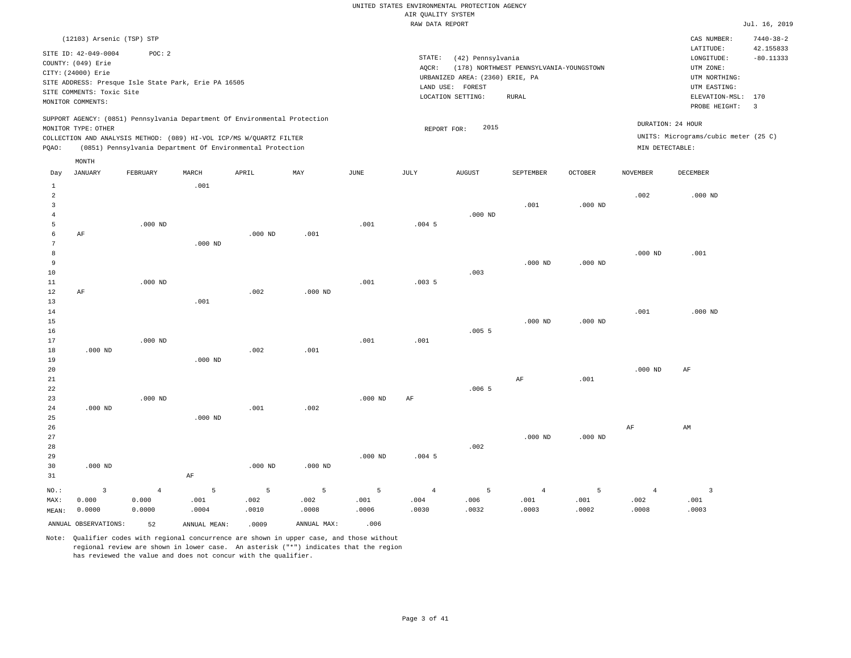| uin gommini bibim: |  |               |
|--------------------|--|---------------|
| RAW DATA REPORT    |  | Jul. 16, 2019 |
|                    |  |               |

|                                                | (12103) Arsenic (TSP) STP                                        |                 |                                                                                                                                                                                                                 |               |               |               |                 |                                                      |                                         |                |                                      | CAS NUMBER:                                           | $7440 - 38 - 2$                |
|------------------------------------------------|------------------------------------------------------------------|-----------------|-----------------------------------------------------------------------------------------------------------------------------------------------------------------------------------------------------------------|---------------|---------------|---------------|-----------------|------------------------------------------------------|-----------------------------------------|----------------|--------------------------------------|-------------------------------------------------------|--------------------------------|
|                                                | SITE ID: 42-049-0004<br>COUNTY: (049) Erie<br>CITY: (24000) Erie | POC: 2          |                                                                                                                                                                                                                 |               |               |               | STATE:<br>AQCR: | (42) Pennsylvania<br>URBANIZED AREA: (2360) ERIE, PA | (178) NORTHWEST PENNSYLVANIA-YOUNGSTOWN |                |                                      | LATITUDE:<br>LONGITUDE:<br>UTM ZONE:<br>UTM NORTHING: | 42.155833<br>$-80.11333$       |
|                                                | SITE COMMENTS: Toxic Site<br>MONITOR COMMENTS:                   |                 | SITE ADDRESS: Presque Isle State Park, Erie PA 16505                                                                                                                                                            |               |               |               |                 | LAND USE: FOREST<br>LOCATION SETTING:                | <b>RURAL</b>                            |                |                                      | UTM EASTING:<br>ELEVATION-MSL:<br>PROBE HEIGHT:       | 170<br>$\overline{\mathbf{3}}$ |
| PQAO:                                          | MONITOR TYPE: OTHER                                              |                 | SUPPORT AGENCY: (0851) Pennsylvania Department Of Environmental Protection<br>COLLECTION AND ANALYSIS METHOD: (089) HI-VOL ICP/MS W/QUARTZ FILTER<br>(0851) Pennsylvania Department Of Environmental Protection |               |               |               | REPORT FOR:     | 2015                                                 |                                         |                | DURATION: 24 HOUR<br>MIN DETECTABLE: | UNITS: Micrograms/cubic meter (25 C)                  |                                |
|                                                | MONTH                                                            |                 |                                                                                                                                                                                                                 |               |               |               |                 |                                                      |                                         |                |                                      |                                                       |                                |
| Day                                            | <b>JANUARY</b>                                                   | FEBRUARY        | MARCH                                                                                                                                                                                                           | APRIL         | MAY           | JUNE          | JULY            | <b>AUGUST</b>                                        | SEPTEMBER                               | <b>OCTOBER</b> | <b>NOVEMBER</b>                      | <b>DECEMBER</b>                                       |                                |
| $\mathbf{1}$<br>$\overline{a}$<br>$\mathbf{3}$ |                                                                  |                 | .001                                                                                                                                                                                                            |               |               |               |                 |                                                      | .001                                    | $.000$ ND      | .002                                 | $.000$ ND                                             |                                |
| $\bf{4}$<br>5<br>6                             | AF                                                               | $.000$ ND       |                                                                                                                                                                                                                 | $.000$ ND     | .001          | .001          | $.004$ 5        | $.000$ ND                                            |                                         |                |                                      |                                                       |                                |
| $7\phantom{.0}$<br>8                           |                                                                  |                 | $.000$ ND                                                                                                                                                                                                       |               |               |               |                 |                                                      |                                         |                | $.000$ ND                            | .001                                                  |                                |
| 9<br>10                                        |                                                                  |                 |                                                                                                                                                                                                                 |               |               |               |                 | .003                                                 | $.000$ ND                               | $.000$ ND      |                                      |                                                       |                                |
| 11<br>$1\,2$                                   | $\rm AF$                                                         | $.000$ ND       |                                                                                                                                                                                                                 | .002          | $.000$ ND     | .001          | .0035           |                                                      |                                         |                |                                      |                                                       |                                |
| 13<br>14                                       |                                                                  |                 | .001                                                                                                                                                                                                            |               |               |               |                 |                                                      |                                         |                | .001                                 | $.000$ ND                                             |                                |
| 15<br>16<br>17                                 |                                                                  |                 |                                                                                                                                                                                                                 |               |               |               |                 | .0055                                                | $.000$ ND                               | $.000$ ND      |                                      |                                                       |                                |
| $1\,8$<br>19                                   | $.000$ ND                                                        | $.000$ ND       | $.000$ ND                                                                                                                                                                                                       | .002          | .001          | .001          | .001            |                                                      |                                         |                |                                      |                                                       |                                |
| 20<br>21                                       |                                                                  |                 |                                                                                                                                                                                                                 |               |               |               |                 |                                                      | $\rm AF$                                | .001           | $.000$ ND                            | AF                                                    |                                |
| 22<br>23                                       |                                                                  | $.000$ ND       |                                                                                                                                                                                                                 |               |               | $.000$ ND     | $\rm{AF}$       | .0065                                                |                                         |                |                                      |                                                       |                                |
| 24<br>25                                       | $.000$ ND                                                        |                 | $.000$ ND                                                                                                                                                                                                       | .001          | .002          |               |                 |                                                      |                                         |                |                                      |                                                       |                                |
| 26<br>27                                       |                                                                  |                 |                                                                                                                                                                                                                 |               |               |               |                 |                                                      | $.000$ ND                               | $.000$ ND      | AF                                   | AM                                                    |                                |
| 28<br>29<br>30<br>31                           | $.000$ ND                                                        |                 | AF                                                                                                                                                                                                              | $.000$ ND     | $.000$ ND     | $.000$ ND     | $.004$ 5        | .002                                                 |                                         |                |                                      |                                                       |                                |
| NO.:                                           | $\overline{\mathbf{3}}$                                          | $\overline{4}$  | 5                                                                                                                                                                                                               | 5             | 5             | 5             | $\overline{4}$  | 5                                                    | $\overline{4}$                          | 5              | $\overline{4}$                       | $\overline{3}$                                        |                                |
| MAX:<br>MEAN:                                  | 0.000<br>0.0000                                                  | 0.000<br>0.0000 | .001<br>.0004                                                                                                                                                                                                   | .002<br>.0010 | .002<br>.0008 | .001<br>.0006 | .004<br>.0030   | .006<br>.0032                                        | .001<br>.0003                           | .001<br>.0002  | .002<br>.0008                        | .001<br>.0003                                         |                                |
|                                                | ANNUAL OBSERVATIONS:                                             | 52              | ANNUAL MEAN:                                                                                                                                                                                                    | .0009         | ANNUAL MAX:   | .006          |                 |                                                      |                                         |                |                                      |                                                       |                                |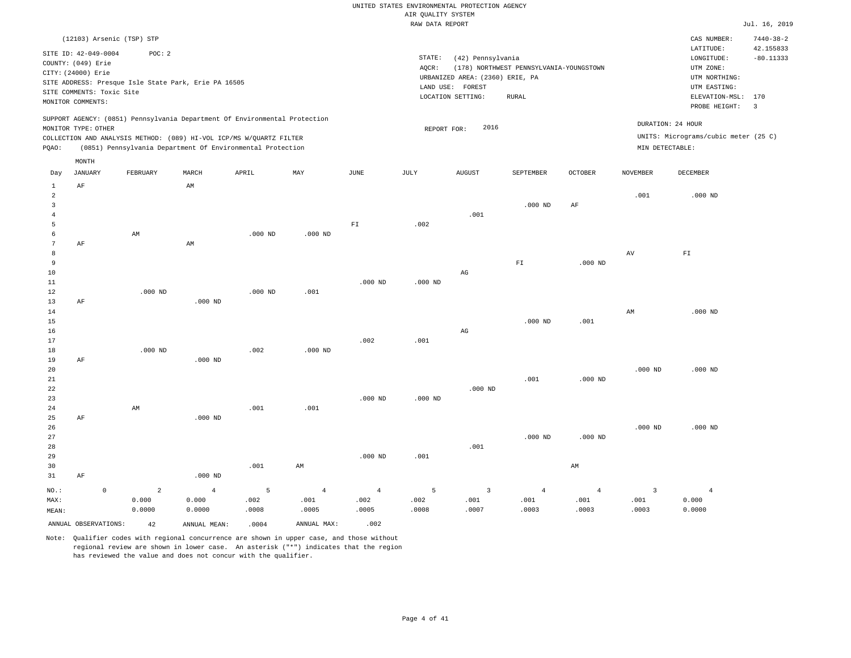|                                       |                                                                                               |                                                                                                                                   |                |           |                |                | RAW DATA REPORT |                                                                          |                                         |                |                 |                                                                      | Jul. 16, 2019                |
|---------------------------------------|-----------------------------------------------------------------------------------------------|-----------------------------------------------------------------------------------------------------------------------------------|----------------|-----------|----------------|----------------|-----------------|--------------------------------------------------------------------------|-----------------------------------------|----------------|-----------------|----------------------------------------------------------------------|------------------------------|
|                                       |                                                                                               | (12103) Arsenic (TSP) STP                                                                                                         |                |           |                |                |                 |                                                                          |                                         |                |                 | CAS NUMBER:<br>LATITUDE:                                             | $7440 - 38 - 2$<br>42.155833 |
|                                       | SITE ID: 42-049-0004<br>COUNTY: (049) Erie<br>CITY: (24000) Erie<br>SITE COMMENTS: Toxic Site | POC: 2<br>SITE ADDRESS: Presque Isle State Park, Erie PA 16505                                                                    |                |           |                |                | STATE:<br>AOCR: | (42) Pennsylvania<br>URBANIZED AREA: (2360) ERIE, PA<br>LAND USE: FOREST | (178) NORTHWEST PENNSYLVANIA-YOUNGSTOWN |                |                 | $\texttt{LONGITUDE}$ :<br>UTM ZONE:<br>UTM NORTHING:<br>UTM EASTING: | $-80.11333$                  |
|                                       | MONITOR COMMENTS:                                                                             |                                                                                                                                   |                |           |                |                |                 | LOCATION SETTING:                                                        | ${\tt RURAL}$                           |                |                 | ELEVATION-MSL:                                                       | 170                          |
|                                       |                                                                                               |                                                                                                                                   |                |           |                |                |                 |                                                                          |                                         |                |                 | PROBE HEIGHT:                                                        | $\overline{\mathbf{3}}$      |
|                                       | MONITOR TYPE: OTHER                                                                           | SUPPORT AGENCY: (0851) Pennsylvania Department Of Environmental Protection                                                        |                |           |                |                | REPORT FOR:     | 2016                                                                     |                                         |                |                 | DURATION: 24 HOUR                                                    |                              |
| PQAO:                                 |                                                                                               | COLLECTION AND ANALYSIS METHOD: (089) HI-VOL ICP/MS W/QUARTZ FILTER<br>(0851) Pennsylvania Department Of Environmental Protection |                |           |                |                |                 |                                                                          |                                         |                | MIN DETECTABLE: | UNITS: Micrograms/cubic meter (25 C)                                 |                              |
|                                       | MONTH                                                                                         |                                                                                                                                   |                |           |                |                |                 |                                                                          |                                         |                |                 |                                                                      |                              |
| Day                                   | <b>JANUARY</b>                                                                                | FEBRUARY                                                                                                                          | MARCH          | APRIL     | MAY            | $_{\rm JUNE}$  | JULY            | <b>AUGUST</b>                                                            | SEPTEMBER                               | OCTOBER        | <b>NOVEMBER</b> | DECEMBER                                                             |                              |
| 1<br>$\overline{a}$<br>$\overline{3}$ | AF                                                                                            |                                                                                                                                   | AM             |           |                |                |                 |                                                                          | $.000$ ND                               | AF             | .001            | $.000$ ND                                                            |                              |
| $\overline{4}$                        |                                                                                               |                                                                                                                                   |                |           |                |                |                 | .001                                                                     |                                         |                |                 |                                                                      |                              |
| 5                                     |                                                                                               |                                                                                                                                   |                |           |                | ${\rm F\,I}$   | .002            |                                                                          |                                         |                |                 |                                                                      |                              |
| 6                                     |                                                                                               | AM                                                                                                                                |                | $.000$ ND | $.000$ ND      |                |                 |                                                                          |                                         |                |                 |                                                                      |                              |
| $\overline{7}$<br>8                   | AF                                                                                            |                                                                                                                                   | AM             |           |                |                |                 |                                                                          |                                         |                | $\,\mathrm{AV}$ | ${\rm FT}$                                                           |                              |
| 9                                     |                                                                                               |                                                                                                                                   |                |           |                |                |                 |                                                                          | ${\rm F\,I}$                            | $.000$ ND      |                 |                                                                      |                              |
| 10                                    |                                                                                               |                                                                                                                                   |                |           |                |                |                 | $_{\rm AG}$                                                              |                                         |                |                 |                                                                      |                              |
| 11                                    |                                                                                               |                                                                                                                                   |                |           |                | $.000$ ND      | $.000$ ND       |                                                                          |                                         |                |                 |                                                                      |                              |
| 12<br>13                              | AF                                                                                            | $.000$ ND                                                                                                                         | $.000$ ND      | $.000$ ND | .001           |                |                 |                                                                          |                                         |                |                 |                                                                      |                              |
| 14                                    |                                                                                               |                                                                                                                                   |                |           |                |                |                 |                                                                          |                                         |                | AM              | $.000$ ND                                                            |                              |
| 15                                    |                                                                                               |                                                                                                                                   |                |           |                |                |                 |                                                                          | $.000$ ND                               | .001           |                 |                                                                      |                              |
| 16                                    |                                                                                               |                                                                                                                                   |                |           |                |                | .001            | $_{\rm AG}$                                                              |                                         |                |                 |                                                                      |                              |
| 17<br>18                              |                                                                                               | $.000$ ND                                                                                                                         |                | .002      | $.000$ ND      | .002           |                 |                                                                          |                                         |                |                 |                                                                      |                              |
| 19                                    | AF                                                                                            |                                                                                                                                   | $.000$ ND      |           |                |                |                 |                                                                          |                                         |                |                 |                                                                      |                              |
| 20                                    |                                                                                               |                                                                                                                                   |                |           |                |                |                 |                                                                          |                                         |                | $.000$ ND       | $.000$ ND                                                            |                              |
| 21<br>22                              |                                                                                               |                                                                                                                                   |                |           |                |                |                 | $.000$ ND                                                                | .001                                    | $.000$ ND      |                 |                                                                      |                              |
| 23                                    |                                                                                               |                                                                                                                                   |                |           |                | $.000$ ND      | $.000$ ND       |                                                                          |                                         |                |                 |                                                                      |                              |
| 24                                    |                                                                                               | AM                                                                                                                                |                | .001      | .001           |                |                 |                                                                          |                                         |                |                 |                                                                      |                              |
| 25                                    | AF                                                                                            |                                                                                                                                   | $.000$ ND      |           |                |                |                 |                                                                          |                                         |                |                 |                                                                      |                              |
| 26<br>27                              |                                                                                               |                                                                                                                                   |                |           |                |                |                 |                                                                          | $.000$ ND                               | $.000$ ND      | $.000$ ND       | $.000$ ND                                                            |                              |
| 28                                    |                                                                                               |                                                                                                                                   |                |           |                |                |                 | .001                                                                     |                                         |                |                 |                                                                      |                              |
| 29                                    |                                                                                               |                                                                                                                                   |                |           |                | $.000$ ND      | .001            |                                                                          |                                         |                |                 |                                                                      |                              |
| 30<br>31                              | AF                                                                                            |                                                                                                                                   | $.000$ ND      | .001      | AM             |                |                 |                                                                          |                                         | AM             |                 |                                                                      |                              |
| $NO.$ :                               | $\mathsf{O}$                                                                                  | 2                                                                                                                                 | $\overline{4}$ | 5         | $\overline{4}$ | $\overline{4}$ | 5               | $\overline{3}$                                                           | $\overline{4}$                          | $\overline{4}$ | 3               | $\overline{4}$                                                       |                              |
|                                       |                                                                                               |                                                                                                                                   |                |           |                |                |                 |                                                                          |                                         |                |                 |                                                                      |                              |

MAX: MEAN: 0.000 0.0000 0.000 0.0000 .002 .0008 .001 .0005 .002 .0005 .002 .0008 .001 .0007 .001 .0003 .001 .0003 .001 .0003 0.000 0.0000 ANNUAL OBSERVATIONS:  $42$  ANNUAL MEAN: .0004 ANNUAL MAX: .002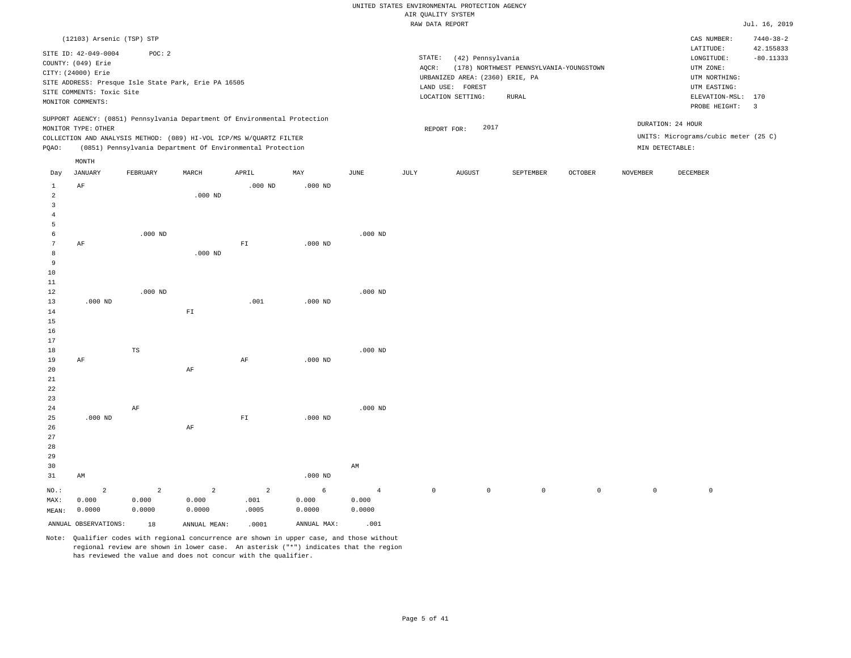|                |                           |                                                                            |              |                |           |                | RAW DATA REPORT |                                 |                                         |                |                     |                                      | Jul. 16, 2019           |
|----------------|---------------------------|----------------------------------------------------------------------------|--------------|----------------|-----------|----------------|-----------------|---------------------------------|-----------------------------------------|----------------|---------------------|--------------------------------------|-------------------------|
|                | (12103) Arsenic (TSP) STP |                                                                            |              |                |           |                |                 |                                 |                                         |                |                     | CAS NUMBER:                          | $7440 - 38 - 2$         |
|                |                           |                                                                            |              |                |           |                |                 |                                 |                                         |                |                     | LATITUDE:                            | 42.155833               |
|                | SITE ID: 42-049-0004      | POC: 2                                                                     |              |                |           |                | STATE:          | (42) Pennsylvania               |                                         |                |                     | LONGITUDE:                           | $-80.11333$             |
|                | COUNTY: (049) Erie        |                                                                            |              |                |           |                | AQCR:           |                                 | (178) NORTHWEST PENNSYLVANIA-YOUNGSTOWN |                |                     | UTM ZONE:                            |                         |
|                | CITY: (24000) Erie        |                                                                            |              |                |           |                |                 | URBANIZED AREA: (2360) ERIE, PA |                                         |                |                     | UTM NORTHING:                        |                         |
|                |                           | SITE ADDRESS: Presque Isle State Park, Erie PA 16505                       |              |                |           |                |                 | LAND USE: FOREST                |                                         |                |                     | UTM EASTING:                         |                         |
|                | SITE COMMENTS: Toxic Site |                                                                            |              |                |           |                |                 | LOCATION SETTING:               | RURAL                                   |                |                     | ELEVATION-MSL:                       | 170                     |
|                | MONITOR COMMENTS:         |                                                                            |              |                |           |                |                 |                                 |                                         |                |                     | PROBE HEIGHT:                        | $\overline{\mathbf{3}}$ |
|                |                           | SUPPORT AGENCY: (0851) Pennsylvania Department Of Environmental Protection |              |                |           |                |                 |                                 |                                         |                |                     |                                      |                         |
|                | MONITOR TYPE: OTHER       |                                                                            |              |                |           |                |                 | 2017<br>REPORT FOR:             |                                         |                |                     | DURATION: 24 HOUR                    |                         |
|                |                           | COLLECTION AND ANALYSIS METHOD: (089) HI-VOL ICP/MS W/QUARTZ FILTER        |              |                |           |                |                 |                                 |                                         |                |                     | UNITS: Micrograms/cubic meter (25 C) |                         |
| PQAO:          |                           | (0851) Pennsylvania Department Of Environmental Protection                 |              |                |           |                |                 |                                 |                                         |                |                     | MIN DETECTABLE:                      |                         |
|                | $\texttt{MONTH}$          |                                                                            |              |                |           |                |                 |                                 |                                         |                |                     |                                      |                         |
| Day            | <b>JANUARY</b>            | FEBRUARY                                                                   | MARCH        | APRIL          | MAY       | JUNE           | JULY            | <b>AUGUST</b>                   | SEPTEMBER                               | <b>OCTOBER</b> | <b>NOVEMBER</b>     | DECEMBER                             |                         |
| $\mathbf{1}$   | AF                        |                                                                            |              | $.000$ ND      | $.000$ ND |                |                 |                                 |                                         |                |                     |                                      |                         |
| $\overline{a}$ |                           |                                                                            | $.000$ ND    |                |           |                |                 |                                 |                                         |                |                     |                                      |                         |
| 3              |                           |                                                                            |              |                |           |                |                 |                                 |                                         |                |                     |                                      |                         |
| $\overline{4}$ |                           |                                                                            |              |                |           |                |                 |                                 |                                         |                |                     |                                      |                         |
| 5              |                           |                                                                            |              |                |           |                |                 |                                 |                                         |                |                     |                                      |                         |
| 6              |                           | $.000$ ND                                                                  |              |                |           | $.000$ ND      |                 |                                 |                                         |                |                     |                                      |                         |
| 7              | AF                        |                                                                            |              | ${\rm F\,I}$   | $.000$ ND |                |                 |                                 |                                         |                |                     |                                      |                         |
| 8              |                           |                                                                            | $.000$ ND    |                |           |                |                 |                                 |                                         |                |                     |                                      |                         |
| 9              |                           |                                                                            |              |                |           |                |                 |                                 |                                         |                |                     |                                      |                         |
| 10             |                           |                                                                            |              |                |           |                |                 |                                 |                                         |                |                     |                                      |                         |
| 11             |                           |                                                                            |              |                |           |                |                 |                                 |                                         |                |                     |                                      |                         |
| 12             |                           | $.000$ ND                                                                  |              |                |           | $.000$ ND      |                 |                                 |                                         |                |                     |                                      |                         |
| 13             | $.000$ ND                 |                                                                            |              | .001           | $.000$ ND |                |                 |                                 |                                         |                |                     |                                      |                         |
| 14             |                           |                                                                            | ${\rm F\,I}$ |                |           |                |                 |                                 |                                         |                |                     |                                      |                         |
| 15             |                           |                                                                            |              |                |           |                |                 |                                 |                                         |                |                     |                                      |                         |
| 16<br>17       |                           |                                                                            |              |                |           |                |                 |                                 |                                         |                |                     |                                      |                         |
| 18             |                           | $_{\rm TS}$                                                                |              |                |           | $.000$ ND      |                 |                                 |                                         |                |                     |                                      |                         |
| 19             | AF                        |                                                                            |              | AF             | $.000$ ND |                |                 |                                 |                                         |                |                     |                                      |                         |
| 20             |                           |                                                                            | $\rm{AF}$    |                |           |                |                 |                                 |                                         |                |                     |                                      |                         |
| 21             |                           |                                                                            |              |                |           |                |                 |                                 |                                         |                |                     |                                      |                         |
| 22             |                           |                                                                            |              |                |           |                |                 |                                 |                                         |                |                     |                                      |                         |
| 23             |                           |                                                                            |              |                |           |                |                 |                                 |                                         |                |                     |                                      |                         |
| 24             |                           | $\rm{AF}$                                                                  |              |                |           | $.000$ ND      |                 |                                 |                                         |                |                     |                                      |                         |
| 25             | $.000$ ND                 |                                                                            |              | ${\rm F\,I}$   | $.000$ ND |                |                 |                                 |                                         |                |                     |                                      |                         |
| 26             |                           |                                                                            | $\rm AF$     |                |           |                |                 |                                 |                                         |                |                     |                                      |                         |
| 27             |                           |                                                                            |              |                |           |                |                 |                                 |                                         |                |                     |                                      |                         |
| 28             |                           |                                                                            |              |                |           |                |                 |                                 |                                         |                |                     |                                      |                         |
| 29             |                           |                                                                            |              |                |           |                |                 |                                 |                                         |                |                     |                                      |                         |
| 30             |                           |                                                                            |              |                |           | AM             |                 |                                 |                                         |                |                     |                                      |                         |
| 31             | AM                        |                                                                            |              |                | $.000$ ND |                |                 |                                 |                                         |                |                     |                                      |                         |
| NO.:           | 2                         | $\overline{a}$                                                             | 2            | $\overline{2}$ | 6         | $\overline{4}$ | $\mathbb O$     | $\mathsf{O}$                    | $\mathsf{O}$                            | $\circ$        | $\mathsf{O}\xspace$ | $\mathbb O$                          |                         |
| MAX:           | 0.000                     | 0.000                                                                      | 0.000        | .001           | 0.000     | 0.000          |                 |                                 |                                         |                |                     |                                      |                         |
| MEAN:          | 0.0000                    | 0.0000                                                                     | 0.0000       | .0005          | 0.0000    | 0.0000         |                 |                                 |                                         |                |                     |                                      |                         |

Note: Qualifier codes with regional concurrence are shown in upper case, and those without regional review are shown in lower case. An asterisk ("\*") indicates that the region has reviewed the value and does not concur with the qualifier.

ANNUAL OBSERVATIONS:  $18$  ANNUAL MEAN: .0001 ANNUAL MAX: .001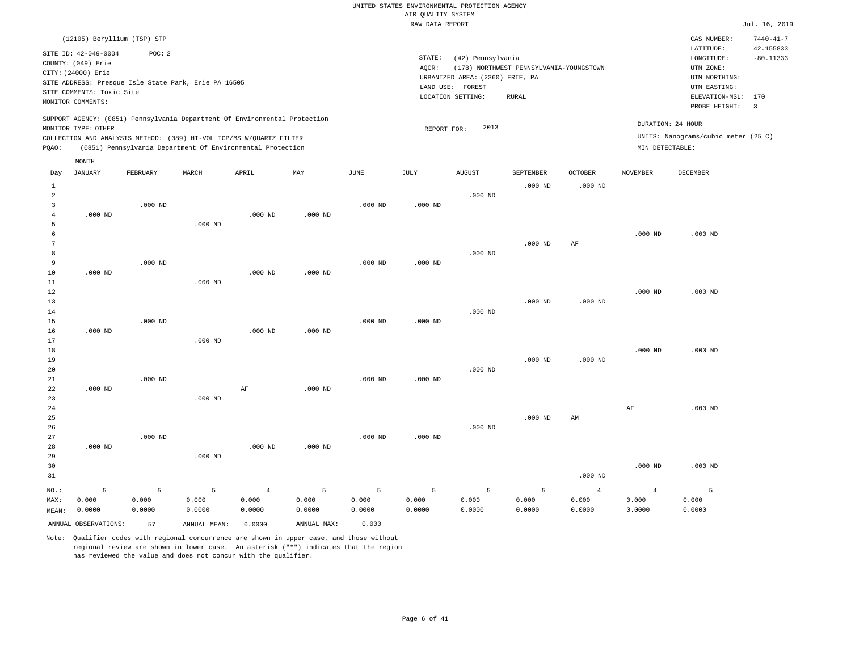|                     |                                                                                                                                                       |                 |                 |                                                                                                                                   |                 |                 | 1111: goineir bible<br>RAW DATA REPORT |                                                                          |                                         |                 |                   |                                                                       | Jul. 16, 2019            |
|---------------------|-------------------------------------------------------------------------------------------------------------------------------------------------------|-----------------|-----------------|-----------------------------------------------------------------------------------------------------------------------------------|-----------------|-----------------|----------------------------------------|--------------------------------------------------------------------------|-----------------------------------------|-----------------|-------------------|-----------------------------------------------------------------------|--------------------------|
|                     | (12105) Beryllium (TSP) STP                                                                                                                           |                 |                 |                                                                                                                                   |                 |                 |                                        |                                                                          |                                         |                 |                   | CAS NUMBER:                                                           | $7440 - 41 - 7$          |
|                     | SITE ID: 42-049-0004<br>COUNTY: (049) Erie<br>CITY: (24000) Erie<br>SITE ADDRESS: Presque Isle State Park, Erie PA 16505<br>SITE COMMENTS: Toxic Site | POC: 2          |                 |                                                                                                                                   |                 |                 | STATE:<br>AQCR:                        | (42) Pennsylvania<br>URBANIZED AREA: (2360) ERIE, PA<br>LAND USE: FOREST | (178) NORTHWEST PENNSYLVANIA-YOUNGSTOWN |                 |                   | LATITUDE:<br>LONGITUDE:<br>UTM ZONE:<br>UTM NORTHING:<br>UTM EASTING: | 42.155833<br>$-80.11333$ |
|                     | MONITOR COMMENTS:                                                                                                                                     |                 |                 |                                                                                                                                   |                 |                 |                                        | LOCATION SETTING:                                                        | <b>RURAL</b>                            |                 |                   | ELEVATION-MSL:<br>PROBE HEIGHT:                                       | 170<br>$\overline{3}$    |
|                     | MONITOR TYPE: OTHER                                                                                                                                   |                 |                 | SUPPORT AGENCY: (0851) Pennsylvania Department Of Environmental Protection                                                        |                 |                 | REPORT FOR:                            | 2013                                                                     |                                         |                 | DURATION: 24 HOUR |                                                                       |                          |
| PQAO:               |                                                                                                                                                       |                 |                 | COLLECTION AND ANALYSIS METHOD: (089) HI-VOL ICP/MS W/QUARTZ FILTER<br>(0851) Pennsylvania Department Of Environmental Protection |                 |                 |                                        |                                                                          |                                         |                 | MIN DETECTABLE:   | UNITS: Nanograms/cubic meter (25 C)                                   |                          |
|                     | MONTH                                                                                                                                                 |                 |                 |                                                                                                                                   |                 |                 |                                        |                                                                          |                                         |                 |                   |                                                                       |                          |
| Day                 | <b>JANUARY</b>                                                                                                                                        | FEBRUARY        | MARCH           | APRIL                                                                                                                             | MAY             | JUNE            | JULY                                   | <b>AUGUST</b>                                                            | SEPTEMBER                               | <b>OCTOBER</b>  | <b>NOVEMBER</b>   | DECEMBER                                                              |                          |
| $\mathbf{1}$<br>2   |                                                                                                                                                       |                 |                 |                                                                                                                                   |                 |                 |                                        | $.000$ ND                                                                | $.000$ ND                               | $.000$ ND       |                   |                                                                       |                          |
| 3                   |                                                                                                                                                       | $.000$ ND       |                 |                                                                                                                                   |                 | $.000$ ND       | $.000$ ND                              |                                                                          |                                         |                 |                   |                                                                       |                          |
| $\overline{4}$<br>5 | $.000$ ND                                                                                                                                             |                 | $.000$ ND       | $.000$ ND                                                                                                                         | $.000$ ND       |                 |                                        |                                                                          |                                         |                 |                   |                                                                       |                          |
| 6                   |                                                                                                                                                       |                 |                 |                                                                                                                                   |                 |                 |                                        |                                                                          |                                         |                 | $.000$ ND         | $.000$ ND                                                             |                          |
| 7<br>8              |                                                                                                                                                       |                 |                 |                                                                                                                                   |                 |                 |                                        | $.000$ ND                                                                | $.000$ ND                               | AF              |                   |                                                                       |                          |
| 9                   |                                                                                                                                                       | $.000$ ND       |                 |                                                                                                                                   |                 | $.000$ ND       | $.000$ ND                              |                                                                          |                                         |                 |                   |                                                                       |                          |
| 10<br>11            | $.000$ ND                                                                                                                                             |                 | $.000$ ND       | $.000$ ND                                                                                                                         | $.000$ ND       |                 |                                        |                                                                          |                                         |                 |                   |                                                                       |                          |
| 12                  |                                                                                                                                                       |                 |                 |                                                                                                                                   |                 |                 |                                        |                                                                          |                                         |                 | $.000$ ND         | $.000$ ND                                                             |                          |
| 13<br>14            |                                                                                                                                                       |                 |                 |                                                                                                                                   |                 |                 |                                        | $.000$ ND                                                                | $.000$ ND                               | $.000$ ND       |                   |                                                                       |                          |
| 15                  |                                                                                                                                                       | $.000$ ND       |                 |                                                                                                                                   |                 | $.000$ ND       | $.000$ ND                              |                                                                          |                                         |                 |                   |                                                                       |                          |
| 16<br>17            | $.000$ ND                                                                                                                                             |                 | $.000$ ND       | $.000$ ND                                                                                                                         | $.000$ ND       |                 |                                        |                                                                          |                                         |                 |                   |                                                                       |                          |
| 18                  |                                                                                                                                                       |                 |                 |                                                                                                                                   |                 |                 |                                        |                                                                          |                                         |                 | $.000$ ND         | $.000$ ND                                                             |                          |
| 19                  |                                                                                                                                                       |                 |                 |                                                                                                                                   |                 |                 |                                        | $.000$ ND                                                                | $.000$ ND                               | $.000$ ND       |                   |                                                                       |                          |
| 20<br>21            |                                                                                                                                                       | $.000$ ND       |                 |                                                                                                                                   |                 | $.000$ ND       | $.000$ ND                              |                                                                          |                                         |                 |                   |                                                                       |                          |
| 22                  | $.000$ ND                                                                                                                                             |                 |                 | $\rm AF$                                                                                                                          | $.000$ ND       |                 |                                        |                                                                          |                                         |                 |                   |                                                                       |                          |
| 23<br>24            |                                                                                                                                                       |                 | $.000$ ND       |                                                                                                                                   |                 |                 |                                        |                                                                          |                                         |                 | AF                | $.000$ ND                                                             |                          |
| 25                  |                                                                                                                                                       |                 |                 |                                                                                                                                   |                 |                 |                                        |                                                                          | $.000$ ND                               | AM              |                   |                                                                       |                          |
| 26<br>27            |                                                                                                                                                       | $.000$ ND       |                 |                                                                                                                                   |                 | $.000$ ND       | $.000$ ND                              | $.000$ ND                                                                |                                         |                 |                   |                                                                       |                          |
| 28                  | $.000$ ND                                                                                                                                             |                 |                 | $.000$ ND                                                                                                                         | $.000$ ND       |                 |                                        |                                                                          |                                         |                 |                   |                                                                       |                          |
| 29<br>30            |                                                                                                                                                       |                 | $.000$ ND       |                                                                                                                                   |                 |                 |                                        |                                                                          |                                         |                 | $.000$ ND         | $.000$ ND                                                             |                          |
| 31                  |                                                                                                                                                       |                 |                 |                                                                                                                                   |                 |                 |                                        |                                                                          |                                         | $.000$ ND       |                   |                                                                       |                          |
| NO.:                | 5                                                                                                                                                     | 5               | 5               | $\overline{4}$                                                                                                                    | 5               | 5               | 5                                      | 5                                                                        | 5                                       | $\overline{4}$  | $\overline{4}$    | 5                                                                     |                          |
| MAX:<br>MEAN:       | 0.000<br>0.0000                                                                                                                                       | 0.000<br>0.0000 | 0.000<br>0.0000 | 0.000<br>0.0000                                                                                                                   | 0.000<br>0.0000 | 0.000<br>0.0000 | 0.000<br>0.0000                        | 0.000<br>0.0000                                                          | 0.000<br>0.0000                         | 0.000<br>0.0000 | 0.000<br>0.0000   | 0.000<br>0.0000                                                       |                          |
|                     | ANNUAL OBSERVATIONS:                                                                                                                                  | 57              | ANNUAL MEAN:    | 0.0000                                                                                                                            | ANNUAL MAX:     | 0.000           |                                        |                                                                          |                                         |                 |                   |                                                                       |                          |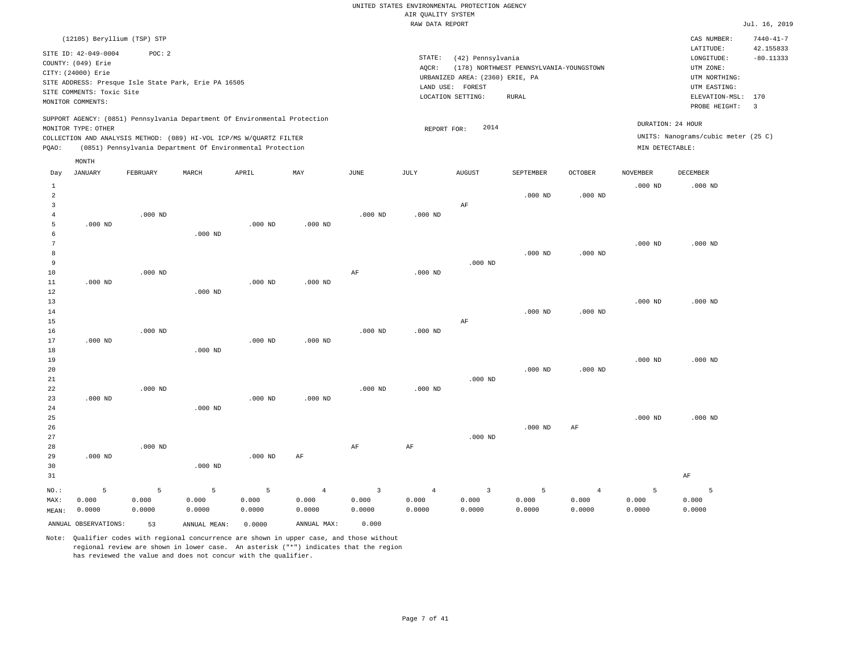|                 |                             |            |                                                                            |            |                         |                         | RAW DATA REPORT         |                                  |                                         |                         |                 |                                     | Jul. 16, 2019   |
|-----------------|-----------------------------|------------|----------------------------------------------------------------------------|------------|-------------------------|-------------------------|-------------------------|----------------------------------|-----------------------------------------|-------------------------|-----------------|-------------------------------------|-----------------|
|                 | (12105) Beryllium (TSP) STP |            |                                                                            |            |                         |                         |                         |                                  |                                         |                         |                 | CAS NUMBER:                         | $7440 - 41 - 7$ |
|                 | SITE ID: 42-049-0004        | POC: 2     |                                                                            |            |                         |                         |                         |                                  |                                         |                         |                 | LATITUDE:                           | 42.155833       |
|                 | COUNTY: (049) Erie          |            |                                                                            |            |                         |                         | STATE:                  | (42) Pennsylvania                |                                         |                         |                 | LONGITUDE:                          | $-80.11333$     |
|                 | CITY: (24000) Erie          |            |                                                                            |            |                         |                         | AOCR:                   |                                  | (178) NORTHWEST PENNSYLVANIA-YOUNGSTOWN |                         |                 | UTM ZONE:                           |                 |
|                 |                             |            |                                                                            |            |                         |                         |                         | URBANIZED AREA: (2360) ERIE, PA  |                                         |                         |                 | UTM NORTHING:                       |                 |
|                 |                             |            | SITE ADDRESS: Presque Isle State Park, Erie PA 16505                       |            |                         |                         |                         | LAND USE: FOREST                 |                                         |                         |                 | UTM EASTING:                        |                 |
|                 | SITE COMMENTS: Toxic Site   |            |                                                                            |            |                         |                         |                         | LOCATION SETTING:                | <b>RURAL</b>                            |                         |                 | ELEVATION-MSL: 170                  |                 |
|                 | MONITOR COMMENTS:           |            |                                                                            |            |                         |                         |                         |                                  |                                         |                         |                 | PROBE HEIGHT:                       | $\overline{3}$  |
|                 |                             |            | SUPPORT AGENCY: (0851) Pennsylvania Department Of Environmental Protection |            |                         |                         |                         |                                  |                                         |                         |                 | DURATION: 24 HOUR                   |                 |
|                 | MONITOR TYPE: OTHER         |            |                                                                            |            |                         |                         | REPORT FOR:             | 2014                             |                                         |                         |                 |                                     |                 |
|                 |                             |            | COLLECTION AND ANALYSIS METHOD: (089) HI-VOL ICP/MS W/QUARTZ FILTER        |            |                         |                         |                         |                                  |                                         |                         |                 | UNITS: Nanograms/cubic meter (25 C) |                 |
| PQAO:           |                             |            | (0851) Pennsylvania Department Of Environmental Protection                 |            |                         |                         |                         |                                  |                                         |                         | MIN DETECTABLE: |                                     |                 |
|                 | MONTH                       |            |                                                                            |            |                         |                         |                         |                                  |                                         |                         |                 |                                     |                 |
| Day             | JANUARY                     | FEBRUARY   | MARCH                                                                      | APRIL      | MAY                     | JUNE                    | JULY                    | <b>AUGUST</b>                    | SEPTEMBER                               | OCTOBER                 | <b>NOVEMBER</b> | DECEMBER                            |                 |
| $\mathbf{1}$    |                             |            |                                                                            |            |                         |                         |                         |                                  |                                         |                         | $.000$ ND       | $.000$ ND                           |                 |
| $\overline{2}$  |                             |            |                                                                            |            |                         |                         |                         |                                  | $.000$ ND                               | $.000$ ND               |                 |                                     |                 |
| 3               |                             |            |                                                                            |            |                         |                         |                         | AF                               |                                         |                         |                 |                                     |                 |
| $\overline{4}$  |                             | $.000$ ND  |                                                                            |            |                         | $.000$ ND               | $.000$ ND               |                                  |                                         |                         |                 |                                     |                 |
| 5               | $.000$ ND                   |            |                                                                            | $.000$ ND  | $.000$ ND               |                         |                         |                                  |                                         |                         |                 |                                     |                 |
| 6               |                             |            | $.000$ ND                                                                  |            |                         |                         |                         |                                  |                                         |                         |                 |                                     |                 |
| $7\phantom{.0}$ |                             |            |                                                                            |            |                         |                         |                         |                                  |                                         |                         | $.000$ ND       | $.000$ ND                           |                 |
| 8               |                             |            |                                                                            |            |                         |                         |                         |                                  | $.000$ ND                               | $.000$ ND               |                 |                                     |                 |
| 9               |                             |            |                                                                            |            |                         |                         |                         | $.000$ ND                        |                                         |                         |                 |                                     |                 |
| 10              |                             | $.000$ ND  |                                                                            |            |                         | AF                      | $.000$ ND               |                                  |                                         |                         |                 |                                     |                 |
| 11              | $.000$ ND                   |            |                                                                            | $.000$ ND  | $.000$ ND               |                         |                         |                                  |                                         |                         |                 |                                     |                 |
| 12              |                             |            | $.000$ ND                                                                  |            |                         |                         |                         |                                  |                                         |                         |                 |                                     |                 |
| 13              |                             |            |                                                                            |            |                         |                         |                         |                                  |                                         |                         | $.000$ ND       | $.000$ ND                           |                 |
| 14              |                             |            |                                                                            |            |                         |                         |                         |                                  | $.000$ ND                               | $.000$ ND               |                 |                                     |                 |
| 15              |                             |            |                                                                            |            |                         |                         |                         | AF                               |                                         |                         |                 |                                     |                 |
| 16<br>17        | $.000$ ND                   | $.000$ ND  |                                                                            | $.000$ ND  | $.000$ ND               | $.000$ ND               | $.000$ ND               |                                  |                                         |                         |                 |                                     |                 |
| 18              |                             |            | $.000$ ND                                                                  |            |                         |                         |                         |                                  |                                         |                         |                 |                                     |                 |
| 19              |                             |            |                                                                            |            |                         |                         |                         |                                  |                                         |                         | $.000$ ND       | $.000$ ND                           |                 |
| 20              |                             |            |                                                                            |            |                         |                         |                         |                                  | $.000$ ND                               | $.000$ ND               |                 |                                     |                 |
| 21              |                             |            |                                                                            |            |                         |                         |                         | $.000$ ND                        |                                         |                         |                 |                                     |                 |
| 22              |                             | $.000$ ND  |                                                                            |            |                         | $.000$ ND               | $.000$ ND               |                                  |                                         |                         |                 |                                     |                 |
| 23              | $.000$ ND                   |            |                                                                            | $.000$ ND  | $.000$ ND               |                         |                         |                                  |                                         |                         |                 |                                     |                 |
| 24              |                             |            | $.000$ ND                                                                  |            |                         |                         |                         |                                  |                                         |                         |                 |                                     |                 |
| 25              |                             |            |                                                                            |            |                         |                         |                         |                                  |                                         |                         | $.000$ ND       | $.000$ ND                           |                 |
| 26              |                             |            |                                                                            |            |                         |                         |                         |                                  | $.000$ ND                               | AF                      |                 |                                     |                 |
| 27              |                             |            |                                                                            |            |                         |                         |                         | $.000$ ND                        |                                         |                         |                 |                                     |                 |
| 28              |                             | $.000$ ND  |                                                                            |            |                         | AF                      | AF                      |                                  |                                         |                         |                 |                                     |                 |
| 29              | $.000$ ND                   |            |                                                                            | $.000$ ND  | AF                      |                         |                         |                                  |                                         |                         |                 |                                     |                 |
| 30              |                             |            | $.000$ ND                                                                  |            |                         |                         |                         |                                  |                                         |                         |                 |                                     |                 |
| 31              |                             |            |                                                                            |            |                         |                         |                         |                                  |                                         |                         |                 | AF                                  |                 |
|                 |                             |            |                                                                            |            |                         |                         |                         |                                  |                                         |                         |                 |                                     |                 |
| NO.:            | $\overline{5}$<br>0.000     | 5<br>0.000 | 5<br>0.000                                                                 | 5<br>0.000 | $\overline{4}$<br>0.000 | $\overline{3}$<br>0.000 | $\overline{4}$<br>0.000 | $\overline{\mathbf{3}}$<br>0.000 | 5<br>0.000                              | $\overline{4}$<br>0.000 | 5<br>0.000      | 5<br>0.000                          |                 |
| MAX:            |                             |            |                                                                            |            |                         | 0.0000                  | 0.0000                  |                                  | 0.0000                                  |                         | 0.0000          |                                     |                 |
| MEAN:           | 0.0000                      | 0.0000     | 0.0000                                                                     | 0.0000     | 0.0000                  |                         |                         | 0.0000                           |                                         | 0.0000                  |                 | 0.0000                              |                 |
|                 | ANNUAL OBSERVATIONS:        | 53         | ANNUAL MEAN:                                                               | 0.0000     | ANNUAL MAX:             | 0.000                   |                         |                                  |                                         |                         |                 |                                     |                 |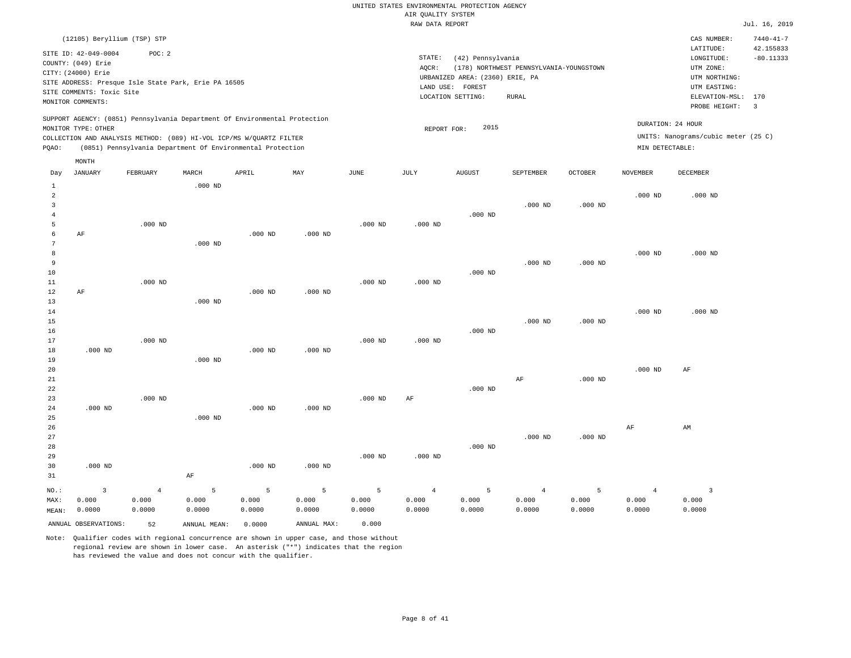LOCATION SETTING: RURAL

| AIR OUALITY SYSTEM                               |               |                 |
|--------------------------------------------------|---------------|-----------------|
| RAW DATA REPORT                                  |               | Jul. 16, 2019   |
|                                                  | CAS NUMBER:   | $7440 - 41 - 7$ |
|                                                  | LATITUDE:     | 42.155833       |
| STATE:<br>(42) Pennsylvania                      | LONGITUDE:    | $-80.11333$     |
| (178) NORTHWEST PENNSYLVANIA-YOUNGSTOWN<br>AOCR: | UTM ZONE:     |                 |
| URBANIZED AREA: (2360) ERIE, PA                  | UTM NORTHING: |                 |
| LAND USE:<br>FOREST                              | UTM EASTING:  |                 |

PROBE HEIGHT: 3 ELEVATION-MSL: 170

DURATION: 24 HOUR

SUPPORT AGENCY: (0851) Pennsylvania Department Of Environmental Protection MONITOR TYPE: OTHER

(12105) Beryllium (TSP) STP

SITE ADDRESS: Presque Isle State Park, Erie PA 16505

SITE ID: 42-049-0004 POC: 2

COUNTY: (049) Erie CITY: (24000) Erie

SITE COMMENTS: Toxic Site MONITOR COMMENTS:

MONTH

COLLECTION AND ANALYSIS METHOD: (089) HI-VOL ICP/MS W/QUARTZ FILTER REPORT FOR: 2015 UNITS: Nanograms/cubic meter (25 C) PQAO: (0851) Pennsylvania Department Of Environmental Protection MIN DETECTABLE:

| Day                           | <b>JANUARY</b>                                                     | FEBRUARY                                | MARCH                                | APRIL                          | MAY                                 | $\operatorname{JUNE}$         | JULY                              | <b>AUGUST</b>        | SEPTEMBER                         | <b>OCTOBER</b>       | <b>NOVEMBER</b>                   | DECEMBER                          |
|-------------------------------|--------------------------------------------------------------------|-----------------------------------------|--------------------------------------|--------------------------------|-------------------------------------|-------------------------------|-----------------------------------|----------------------|-----------------------------------|----------------------|-----------------------------------|-----------------------------------|
| 1<br>2<br>3<br>$\overline{4}$ |                                                                    |                                         | $.000$ ND                            |                                |                                     |                               |                                   | $.000$ ND            | $.000$ ND                         | $.000$ ND            | $.000$ ND                         | $.000$ ND                         |
| 5<br>6<br>7<br>8              | AF                                                                 | $.000$ ND                               | $.000$ ND                            | $.000$ ND                      | $.000$ ND                           | $.000$ ND                     | $.000$ ND                         |                      |                                   |                      | $.000$ ND                         | $.000$ ND                         |
| 9<br>10<br>11<br>12           | AF                                                                 | $.000$ ND                               |                                      | $.000$ ND                      | $.000$ ND                           | $.000$ ND                     | $.000$ ND                         | $.000$ ND            | $.000$ ND                         | $.000$ ND            |                                   |                                   |
| 13<br>14<br>15<br>16          |                                                                    |                                         | $.000$ ND                            |                                |                                     |                               |                                   | $.000$ ND            | $.000$ ND                         | $.000$ ND            | $.000$ ND                         | $.000$ ND                         |
| 17<br>18<br>19<br>20          | $.000$ ND                                                          | $.000$ ND                               | $.000$ ND                            | $.000$ ND                      | $.000$ ND                           | $.000$ ND                     | $.000$ ND                         |                      |                                   |                      | $.000$ ND                         | AF                                |
| 21<br>22<br>23<br>24          | $.000$ ND                                                          | $.000$ ND                               |                                      | $.000$ ND                      | $.000$ ND                           | $.000$ ND                     | $\rm AF$                          | $.000$ ND            | AF                                | $.000$ ND            |                                   |                                   |
| 25<br>26<br>27<br>28          |                                                                    |                                         | $.000$ ND                            |                                |                                     |                               |                                   | $.000$ ND            | $.000$ ND                         | $.000$ ND            | AF                                | AM                                |
| 29<br>30<br>31                | $.000$ ND                                                          |                                         | $\rm AF$                             | $.000$ ND                      | $.000$ ND                           | $.000$ ND                     | $.000$ ND                         |                      |                                   |                      |                                   |                                   |
| $NO.$ :<br>MAX:<br>MEAN:      | $\overline{\mathbf{3}}$<br>0.000<br>0.0000<br>ANNUAL OBSERVATIONS: | $\overline{4}$<br>0.000<br>0.0000<br>52 | 5<br>0.000<br>0.0000<br>ANNUAL MEAN: | 5<br>0.000<br>0.0000<br>0.0000 | 5<br>0.000<br>0.0000<br>ANNUAL MAX: | 5<br>0.000<br>0.0000<br>0.000 | $\overline{4}$<br>0.000<br>0.0000 | 5<br>0.000<br>0.0000 | $\overline{4}$<br>0.000<br>0.0000 | 5<br>0.000<br>0.0000 | $\overline{4}$<br>0.000<br>0.0000 | $\overline{3}$<br>0.000<br>0.0000 |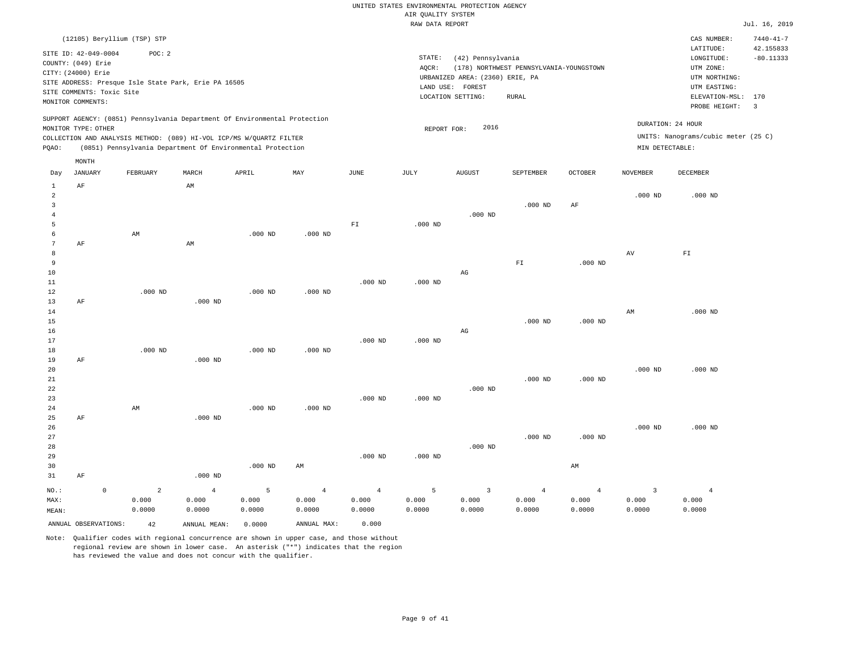|                |                           |                     |                             |                                                                            |           |                |                | RAW DATA REPORT |                                 |                                         |                |                         |                                     | Jul. 16, 2019   |
|----------------|---------------------------|---------------------|-----------------------------|----------------------------------------------------------------------------|-----------|----------------|----------------|-----------------|---------------------------------|-----------------------------------------|----------------|-------------------------|-------------------------------------|-----------------|
|                |                           |                     | (12105) Beryllium (TSP) STP |                                                                            |           |                |                |                 |                                 |                                         |                |                         | CAS NUMBER:                         | $7440 - 41 - 7$ |
|                | SITE ID: 42-049-0004      |                     | POC: 2                      |                                                                            |           |                |                |                 |                                 |                                         |                |                         | LATITUDE:                           | 42.155833       |
|                | COUNTY: (049) Erie        |                     |                             |                                                                            |           |                |                | STATE:          | (42) Pennsylvania               |                                         |                |                         | LONGITUDE:                          | $-80.11333$     |
|                | CITY: (24000) Erie        |                     |                             |                                                                            |           |                |                | AQCR:           |                                 | (178) NORTHWEST PENNSYLVANIA-YOUNGSTOWN |                |                         | UTM ZONE:                           |                 |
|                |                           |                     |                             | SITE ADDRESS: Presque Isle State Park, Erie PA 16505                       |           |                |                |                 | URBANIZED AREA: (2360) ERIE, PA |                                         |                |                         | UTM NORTHING:                       |                 |
|                | SITE COMMENTS: Toxic Site |                     |                             |                                                                            |           |                |                |                 | LAND USE: FOREST                |                                         |                |                         | UTM EASTING:                        |                 |
|                | MONITOR COMMENTS:         |                     |                             |                                                                            |           |                |                |                 | LOCATION SETTING:               | RURAL                                   |                |                         | ELEVATION-MSL:                      | 170             |
|                |                           |                     |                             |                                                                            |           |                |                |                 |                                 |                                         |                |                         | PROBE HEIGHT:                       | 3               |
|                |                           |                     |                             | SUPPORT AGENCY: (0851) Pennsylvania Department Of Environmental Protection |           |                |                |                 |                                 |                                         |                |                         | DURATION: 24 HOUR                   |                 |
|                | MONITOR TYPE: OTHER       |                     |                             |                                                                            |           |                |                | REPORT FOR:     | 2016                            |                                         |                |                         |                                     |                 |
|                |                           |                     |                             | COLLECTION AND ANALYSIS METHOD: (089) HI-VOL ICP/MS W/QUARTZ FILTER        |           |                |                |                 |                                 |                                         |                |                         | UNITS: Nanograms/cubic meter (25 C) |                 |
| PQAO:          |                           |                     |                             | (0851) Pennsylvania Department Of Environmental Protection                 |           |                |                |                 |                                 |                                         |                | MIN DETECTABLE:         |                                     |                 |
|                | MONTH                     |                     |                             |                                                                            |           |                |                |                 |                                 |                                         |                |                         |                                     |                 |
| Day            | <b>JANUARY</b>            |                     | FEBRUARY                    | MARCH                                                                      | APRIL     | MAY            | JUNE           | JULY            | <b>AUGUST</b>                   | SEPTEMBER                               | OCTOBER        | <b>NOVEMBER</b>         | DECEMBER                            |                 |
| $\mathbf{1}$   | $\rm AF$                  |                     |                             | AM                                                                         |           |                |                |                 |                                 |                                         |                |                         |                                     |                 |
| $\overline{a}$ |                           |                     |                             |                                                                            |           |                |                |                 |                                 |                                         |                | $.000$ ND               | $.000$ ND                           |                 |
| 3              |                           |                     |                             |                                                                            |           |                |                |                 |                                 | $.000$ ND                               | AF             |                         |                                     |                 |
| 4              |                           |                     |                             |                                                                            |           |                |                |                 | $.000$ ND                       |                                         |                |                         |                                     |                 |
| 5              |                           |                     |                             |                                                                            |           |                | ${\rm F\,I}$   | $.000$ ND       |                                 |                                         |                |                         |                                     |                 |
| 6              |                           |                     | AM                          |                                                                            | $.000$ ND | $.000$ ND      |                |                 |                                 |                                         |                |                         |                                     |                 |
| $\overline{7}$ | AF                        |                     |                             | AM                                                                         |           |                |                |                 |                                 |                                         |                |                         |                                     |                 |
| 8              |                           |                     |                             |                                                                            |           |                |                |                 |                                 |                                         |                | AV                      | ${\tt F1}$                          |                 |
| 9              |                           |                     |                             |                                                                            |           |                |                |                 |                                 | ${\rm F\,I}$                            | $.000$ ND      |                         |                                     |                 |
| 10             |                           |                     |                             |                                                                            |           |                |                |                 | $_{\rm AG}$                     |                                         |                |                         |                                     |                 |
| 11             |                           |                     |                             |                                                                            |           |                | $.000$ ND      | $.000$ ND       |                                 |                                         |                |                         |                                     |                 |
| 12<br>13       |                           |                     | $.000$ ND                   |                                                                            | $.000$ ND | $.000$ ND      |                |                 |                                 |                                         |                |                         |                                     |                 |
| 14             | $\rm AF$                  |                     |                             | $.000$ ND                                                                  |           |                |                |                 |                                 |                                         |                | AM                      | $.000$ ND                           |                 |
| 15             |                           |                     |                             |                                                                            |           |                |                |                 |                                 | $.000$ ND                               | $.000$ ND      |                         |                                     |                 |
| 16             |                           |                     |                             |                                                                            |           |                |                |                 | $\mathbb{A}\mathbb{G}$          |                                         |                |                         |                                     |                 |
| 17             |                           |                     |                             |                                                                            |           |                | $.000$ ND      | $.000$ ND       |                                 |                                         |                |                         |                                     |                 |
| 18             |                           |                     | $.000$ ND                   |                                                                            | $.000$ ND | $.000$ ND      |                |                 |                                 |                                         |                |                         |                                     |                 |
| 19             | AF                        |                     |                             | $.000$ ND                                                                  |           |                |                |                 |                                 |                                         |                |                         |                                     |                 |
| 20             |                           |                     |                             |                                                                            |           |                |                |                 |                                 |                                         |                | $.000$ ND               | $.000$ ND                           |                 |
| 21             |                           |                     |                             |                                                                            |           |                |                |                 |                                 | $.000$ ND                               | $.000$ ND      |                         |                                     |                 |
| 22             |                           |                     |                             |                                                                            |           |                |                |                 | $.000$ ND                       |                                         |                |                         |                                     |                 |
| 23             |                           |                     |                             |                                                                            |           |                | $.000$ ND      | $.000$ ND       |                                 |                                         |                |                         |                                     |                 |
| 24             |                           |                     | AM                          |                                                                            | $.000$ ND | $.000$ ND      |                |                 |                                 |                                         |                |                         |                                     |                 |
| 25             | AF                        |                     |                             | $.000$ ND                                                                  |           |                |                |                 |                                 |                                         |                |                         |                                     |                 |
| 26             |                           |                     |                             |                                                                            |           |                |                |                 |                                 |                                         |                | $.000$ ND               | $.000$ ND                           |                 |
| 27             |                           |                     |                             |                                                                            |           |                |                |                 |                                 | $.000$ ND                               | $.000$ ND      |                         |                                     |                 |
| 28             |                           |                     |                             |                                                                            |           |                |                |                 | $.000$ ND                       |                                         |                |                         |                                     |                 |
| 29             |                           |                     |                             |                                                                            |           |                | $.000$ ND      | $.000$ ND       |                                 |                                         |                |                         |                                     |                 |
| 30             |                           |                     |                             |                                                                            | $.000$ ND | AM             |                |                 |                                 |                                         | AM             |                         |                                     |                 |
| 31             | AF                        |                     |                             | $.000$ ND                                                                  |           |                |                |                 |                                 |                                         |                |                         |                                     |                 |
| NO.:           |                           | $\mathsf{O}\xspace$ | $\overline{a}$              | $\overline{4}$                                                             | 5         | $\overline{4}$ | $\overline{4}$ | 5               | $\overline{\mathbf{3}}$         | $\overline{4}$                          | $\overline{4}$ | $\overline{\mathbf{3}}$ | $\overline{4}$                      |                 |
| MAX:           |                           |                     | 0.000                       | 0.000                                                                      | 0.000     | 0.000          | 0.000          | 0.000           | 0.000                           | 0.000                                   | 0.000          | 0.000                   | 0.000                               |                 |
| MEAN:          |                           |                     | 0.0000                      | 0.0000                                                                     | 0.0000    | 0.0000         | 0.0000         | 0.0000          | 0.0000                          | 0.0000                                  | 0.0000         | 0.0000                  | 0.0000                              |                 |
|                | ANNUAL OBSERVATIONS:      |                     | 42                          | ANNUAL MEAN:                                                               | 0.0000    | ANNUAL MAX:    | 0.000          |                 |                                 |                                         |                |                         |                                     |                 |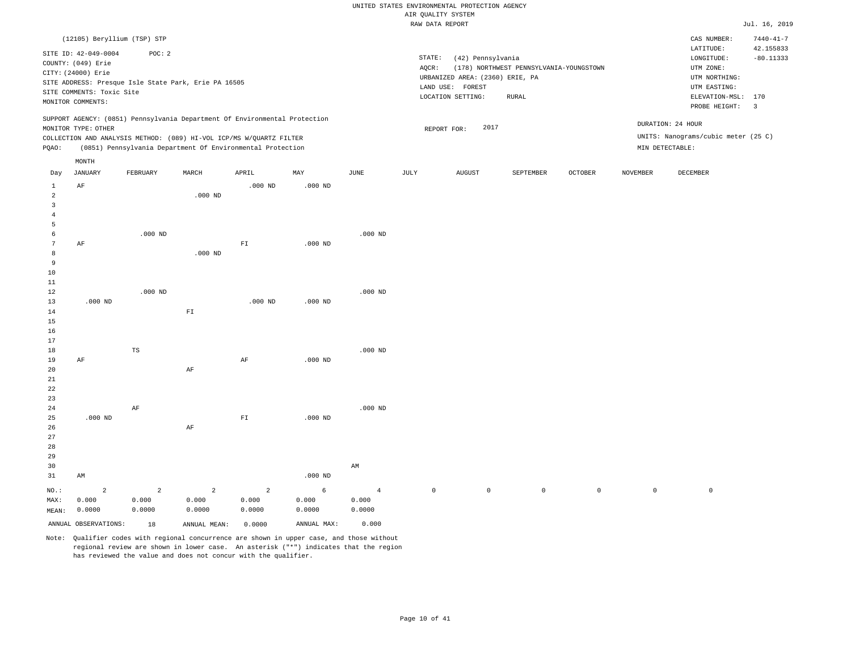|                |                             |                |                                                                            |                |             |                | RAW DATA REPORT |                                 |                                         |                |          |                                     | Jul. 16, 2019   |
|----------------|-----------------------------|----------------|----------------------------------------------------------------------------|----------------|-------------|----------------|-----------------|---------------------------------|-----------------------------------------|----------------|----------|-------------------------------------|-----------------|
|                | (12105) Beryllium (TSP) STP |                |                                                                            |                |             |                |                 |                                 |                                         |                |          | CAS NUMBER:                         | $7440 - 41 - 7$ |
|                |                             |                |                                                                            |                |             |                |                 |                                 |                                         |                |          | LATITUDE:                           | 42.155833       |
|                | SITE ID: 42-049-0004        | POC: 2         |                                                                            |                |             |                | STATE:          | (42) Pennsylvania               |                                         |                |          | LONGITUDE:                          | $-80.11333$     |
|                | COUNTY: (049) Erie          |                |                                                                            |                |             |                | AQCR:           |                                 | (178) NORTHWEST PENNSYLVANIA-YOUNGSTOWN |                |          | UTM ZONE:                           |                 |
|                | CITY: (24000) Erie          |                |                                                                            |                |             |                |                 | URBANIZED AREA: (2360) ERIE, PA |                                         |                |          | UTM NORTHING:                       |                 |
|                |                             |                | SITE ADDRESS: Presque Isle State Park, Erie PA 16505                       |                |             |                |                 | LAND USE: FOREST                |                                         |                |          | UTM EASTING:                        |                 |
|                | SITE COMMENTS: Toxic Site   |                |                                                                            |                |             |                |                 | LOCATION SETTING:               | <b>RURAL</b>                            |                |          | ELEVATION-MSL:                      | 170             |
|                | MONITOR COMMENTS:           |                |                                                                            |                |             |                |                 |                                 |                                         |                |          | PROBE HEIGHT:                       | $\overline{3}$  |
|                |                             |                | SUPPORT AGENCY: (0851) Pennsylvania Department Of Environmental Protection |                |             |                |                 |                                 |                                         |                |          | DURATION: 24 HOUR                   |                 |
|                | MONITOR TYPE: OTHER         |                |                                                                            |                |             |                |                 | 2017<br>REPORT FOR:             |                                         |                |          |                                     |                 |
|                |                             |                | COLLECTION AND ANALYSIS METHOD: (089) HI-VOL ICP/MS W/QUARTZ FILTER        |                |             |                |                 |                                 |                                         |                |          | UNITS: Nanograms/cubic meter (25 C) |                 |
| PQAO:          |                             |                | (0851) Pennsylvania Department Of Environmental Protection                 |                |             |                |                 |                                 |                                         |                |          | MIN DETECTABLE:                     |                 |
|                | MONTH                       |                |                                                                            |                |             |                |                 |                                 |                                         |                |          |                                     |                 |
| Day            | JANUARY                     | FEBRUARY       | MARCH                                                                      | APRIL          | MAY         | <b>JUNE</b>    | JULY            | <b>AUGUST</b>                   | SEPTEMBER                               | <b>OCTOBER</b> | NOVEMBER | DECEMBER                            |                 |
| $\mathbf{1}$   | AF                          |                |                                                                            | $.000$ ND      | $.000$ ND   |                |                 |                                 |                                         |                |          |                                     |                 |
| $\overline{a}$ |                             |                | $.000$ ND                                                                  |                |             |                |                 |                                 |                                         |                |          |                                     |                 |
| $\overline{3}$ |                             |                |                                                                            |                |             |                |                 |                                 |                                         |                |          |                                     |                 |
| $\overline{4}$ |                             |                |                                                                            |                |             |                |                 |                                 |                                         |                |          |                                     |                 |
| 5              |                             |                |                                                                            |                |             | $.000$ ND      |                 |                                 |                                         |                |          |                                     |                 |
| 6<br>7         | AF                          | $.000$ ND      |                                                                            | FT             | $.000$ ND   |                |                 |                                 |                                         |                |          |                                     |                 |
| 8              |                             |                | $.000$ ND                                                                  |                |             |                |                 |                                 |                                         |                |          |                                     |                 |
| $\overline{9}$ |                             |                |                                                                            |                |             |                |                 |                                 |                                         |                |          |                                     |                 |
| $10$           |                             |                |                                                                            |                |             |                |                 |                                 |                                         |                |          |                                     |                 |
| 11             |                             |                |                                                                            |                |             |                |                 |                                 |                                         |                |          |                                     |                 |
| 12             |                             | $.000$ ND      |                                                                            |                |             | $.000$ ND      |                 |                                 |                                         |                |          |                                     |                 |
| 13             | $.000$ ND                   |                |                                                                            | $.000$ ND      | $.000$ ND   |                |                 |                                 |                                         |                |          |                                     |                 |
| 14             |                             |                | $\mathbb{F} \, \mathbb{I}$                                                 |                |             |                |                 |                                 |                                         |                |          |                                     |                 |
| 15             |                             |                |                                                                            |                |             |                |                 |                                 |                                         |                |          |                                     |                 |
| 16             |                             |                |                                                                            |                |             |                |                 |                                 |                                         |                |          |                                     |                 |
| 17             |                             |                |                                                                            |                |             |                |                 |                                 |                                         |                |          |                                     |                 |
| 18             |                             | TS             |                                                                            |                |             | $.000$ ND      |                 |                                 |                                         |                |          |                                     |                 |
| 19             | AF                          |                |                                                                            | $\rm AF$       | $.000$ ND   |                |                 |                                 |                                         |                |          |                                     |                 |
| 20             |                             |                | $\rm AF$                                                                   |                |             |                |                 |                                 |                                         |                |          |                                     |                 |
| $21\,$         |                             |                |                                                                            |                |             |                |                 |                                 |                                         |                |          |                                     |                 |
| 22<br>23       |                             |                |                                                                            |                |             |                |                 |                                 |                                         |                |          |                                     |                 |
| 24             |                             | AF             |                                                                            |                |             | $.000$ ND      |                 |                                 |                                         |                |          |                                     |                 |
| 25             | $.000$ ND                   |                |                                                                            | ${\rm F\,I}$   | $.000$ ND   |                |                 |                                 |                                         |                |          |                                     |                 |
| 26             |                             |                | AF                                                                         |                |             |                |                 |                                 |                                         |                |          |                                     |                 |
| 27             |                             |                |                                                                            |                |             |                |                 |                                 |                                         |                |          |                                     |                 |
| 28             |                             |                |                                                                            |                |             |                |                 |                                 |                                         |                |          |                                     |                 |
| 29             |                             |                |                                                                            |                |             |                |                 |                                 |                                         |                |          |                                     |                 |
| 30             |                             |                |                                                                            |                |             | AM             |                 |                                 |                                         |                |          |                                     |                 |
| 31             | AM                          |                |                                                                            |                | $.000$ ND   |                |                 |                                 |                                         |                |          |                                     |                 |
| $NO.$ :        | $\overline{c}$              | $\overline{a}$ | $\overline{c}$                                                             | $\overline{a}$ | 6           | $\overline{4}$ | $\mathbb O$     | $\mathsf{O}\xspace$             | $\mathsf 0$                             | $\mathsf{O}$   | $\circ$  | $\mathbb O$                         |                 |
| MAX:           | 0.000                       | 0.000          | 0.000                                                                      | 0.000          | 0.000       | 0.000          |                 |                                 |                                         |                |          |                                     |                 |
| MEAN:          | 0.0000                      | 0.0000         | 0.0000                                                                     | 0.0000         | 0.0000      | 0.0000         |                 |                                 |                                         |                |          |                                     |                 |
|                |                             |                |                                                                            |                |             |                |                 |                                 |                                         |                |          |                                     |                 |
|                | ANNUAL OBSERVATIONS:        | 18             | ANNUAL MEAN:                                                               | 0.0000         | ANNUAL MAX: | 0.000          |                 |                                 |                                         |                |          |                                     |                 |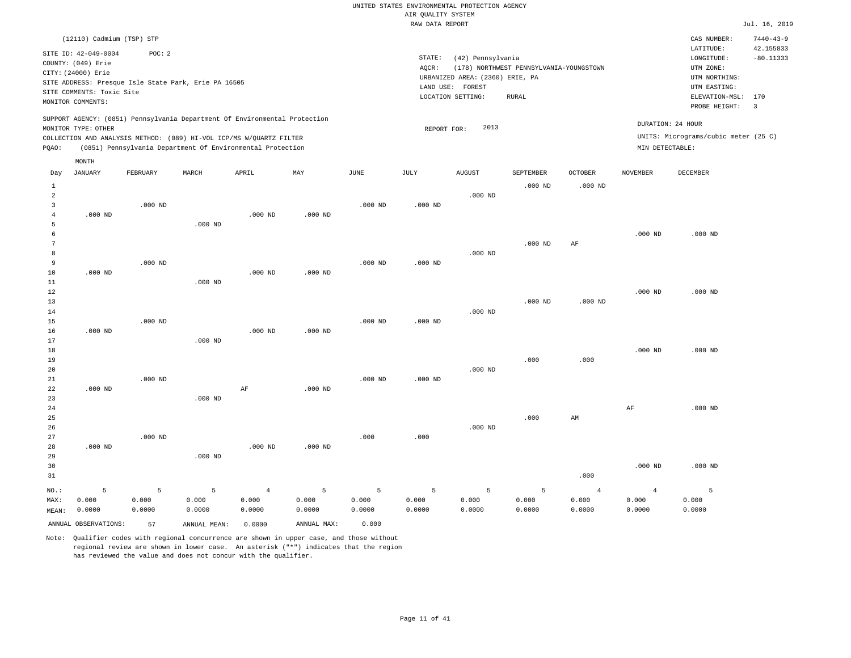|                |                                                      |           |              |                                                                            |             |                       | RAW DATA REPORT |                                 |                                         |                |                 |                                      | Jul. 16, 2019   |
|----------------|------------------------------------------------------|-----------|--------------|----------------------------------------------------------------------------|-------------|-----------------------|-----------------|---------------------------------|-----------------------------------------|----------------|-----------------|--------------------------------------|-----------------|
|                | (12110) Cadmium (TSP) STP                            |           |              |                                                                            |             |                       |                 |                                 |                                         |                |                 | CAS NUMBER:                          | $7440 - 43 - 9$ |
|                | SITE ID: 42-049-0004                                 | POC: 2    |              |                                                                            |             |                       |                 |                                 |                                         |                |                 | LATITUDE:                            | 42.155833       |
|                | COUNTY: (049) Erie                                   |           |              |                                                                            |             |                       | STATE:          | (42) Pennsylvania               |                                         |                |                 | LONGITUDE:                           | $-80.11333$     |
|                | CITY: (24000) Erie                                   |           |              |                                                                            |             |                       | AQCR:           |                                 | (178) NORTHWEST PENNSYLVANIA-YOUNGSTOWN |                |                 | UTM ZONE:                            |                 |
|                | SITE ADDRESS: Presque Isle State Park, Erie PA 16505 |           |              |                                                                            |             |                       |                 | URBANIZED AREA: (2360) ERIE, PA |                                         |                |                 | UTM NORTHING:                        |                 |
|                | SITE COMMENTS: Toxic Site                            |           |              |                                                                            |             |                       |                 | LAND USE: FOREST                |                                         |                |                 | UTM EASTING:                         |                 |
|                | MONITOR COMMENTS:                                    |           |              |                                                                            |             |                       |                 | LOCATION SETTING:               | <b>RURAL</b>                            |                |                 | ELEVATION-MSL: 170                   |                 |
|                |                                                      |           |              |                                                                            |             |                       |                 |                                 |                                         |                |                 | PROBE HEIGHT:                        | $\overline{3}$  |
|                | MONITOR TYPE: OTHER                                  |           |              | SUPPORT AGENCY: (0851) Pennsylvania Department Of Environmental Protection |             |                       | REPORT FOR:     | 2013                            |                                         |                |                 | DURATION: 24 HOUR                    |                 |
|                |                                                      |           |              | COLLECTION AND ANALYSIS METHOD: (089) HI-VOL ICP/MS W/QUARTZ FILTER        |             |                       |                 |                                 |                                         |                |                 | UNITS: Micrograms/cubic meter (25 C) |                 |
| PQAO:          |                                                      |           |              | (0851) Pennsylvania Department Of Environmental Protection                 |             |                       |                 |                                 |                                         |                | MIN DETECTABLE: |                                      |                 |
|                | MONTH                                                |           |              |                                                                            |             |                       |                 |                                 |                                         |                |                 |                                      |                 |
| Day            | <b>JANUARY</b>                                       | FEBRUARY  | MARCH        | APRIL                                                                      | MAY         | $\operatorname{JUNE}$ | JULY            | ${\tt AUGUST}$                  | SEPTEMBER                               | OCTOBER        | <b>NOVEMBER</b> | DECEMBER                             |                 |
| $\mathbf{1}$   |                                                      |           |              |                                                                            |             |                       |                 |                                 | $.000$ ND                               | $.000$ ND      |                 |                                      |                 |
| 2              |                                                      |           |              |                                                                            |             |                       |                 | $.000$ ND                       |                                         |                |                 |                                      |                 |
| 3              |                                                      | $.000$ ND |              |                                                                            |             | $.000$ ND             | $.000$ ND       |                                 |                                         |                |                 |                                      |                 |
| $\overline{4}$ | $.000$ ND                                            |           |              | $.000$ ND                                                                  | $.000$ ND   |                       |                 |                                 |                                         |                |                 |                                      |                 |
| 5              |                                                      |           | $.000$ ND    |                                                                            |             |                       |                 |                                 |                                         |                |                 |                                      |                 |
| 6              |                                                      |           |              |                                                                            |             |                       |                 |                                 |                                         |                | $.000$ ND       | $.000$ ND                            |                 |
| 7              |                                                      |           |              |                                                                            |             |                       |                 |                                 | $.000$ ND                               | AF             |                 |                                      |                 |
| 8              |                                                      |           |              |                                                                            |             |                       |                 | $.000$ ND                       |                                         |                |                 |                                      |                 |
| 9              |                                                      | $.000$ ND |              |                                                                            |             | $.000$ ND             | $.000$ ND       |                                 |                                         |                |                 |                                      |                 |
| 10             | $.000$ ND                                            |           |              | $.000$ ND                                                                  | $.000$ ND   |                       |                 |                                 |                                         |                |                 |                                      |                 |
| 11             |                                                      |           | $.000$ ND    |                                                                            |             |                       |                 |                                 |                                         |                |                 |                                      |                 |
| 12             |                                                      |           |              |                                                                            |             |                       |                 |                                 |                                         |                | $.000$ ND       | $.000$ ND                            |                 |
| 13             |                                                      |           |              |                                                                            |             |                       |                 |                                 | $.000$ ND                               | $.000$ ND      |                 |                                      |                 |
| 14             |                                                      |           |              |                                                                            |             |                       |                 | $.000$ ND                       |                                         |                |                 |                                      |                 |
| 15             |                                                      | $.000$ ND |              |                                                                            |             | $.000$ ND             | $.000$ ND       |                                 |                                         |                |                 |                                      |                 |
| 16             | $.000$ ND                                            |           |              | $.000$ ND                                                                  | $.000$ ND   |                       |                 |                                 |                                         |                |                 |                                      |                 |
| 17             |                                                      |           | $.000$ ND    |                                                                            |             |                       |                 |                                 |                                         |                |                 |                                      |                 |
| 18             |                                                      |           |              |                                                                            |             |                       |                 |                                 |                                         |                | $.000$ ND       | $.000$ ND                            |                 |
| 19             |                                                      |           |              |                                                                            |             |                       |                 |                                 | .000                                    | .000           |                 |                                      |                 |
| 20             |                                                      |           |              |                                                                            |             |                       |                 | $.000$ ND                       |                                         |                |                 |                                      |                 |
| 21             |                                                      | $.000$ ND |              |                                                                            |             | $.000$ ND             | $.000$ ND       |                                 |                                         |                |                 |                                      |                 |
| 22<br>23       | $.000$ ND                                            |           | $.000$ ND    | $\rm AF$                                                                   | $.000$ ND   |                       |                 |                                 |                                         |                |                 |                                      |                 |
| 24             |                                                      |           |              |                                                                            |             |                       |                 |                                 |                                         |                | $\rm{AF}$       | $.000$ ND                            |                 |
| 25             |                                                      |           |              |                                                                            |             |                       |                 |                                 | .000                                    | AM             |                 |                                      |                 |
| 26             |                                                      |           |              |                                                                            |             |                       |                 | $.000$ ND                       |                                         |                |                 |                                      |                 |
| 27             |                                                      | $.000$ ND |              |                                                                            |             | .000                  | .000.           |                                 |                                         |                |                 |                                      |                 |
| 28             | $.000$ ND                                            |           |              | $.000$ ND                                                                  | $.000$ ND   |                       |                 |                                 |                                         |                |                 |                                      |                 |
| 29             |                                                      |           | $.000$ ND    |                                                                            |             |                       |                 |                                 |                                         |                |                 |                                      |                 |
| 30             |                                                      |           |              |                                                                            |             |                       |                 |                                 |                                         |                | $.000$ ND       | $.000$ ND                            |                 |
| 31             |                                                      |           |              |                                                                            |             |                       |                 |                                 |                                         | .000           |                 |                                      |                 |
|                |                                                      |           |              |                                                                            |             |                       |                 |                                 |                                         |                |                 |                                      |                 |
| NO.:           | 5                                                    | 5         | 5            | $\overline{4}$                                                             | 5           | 5                     | 5               | 5                               | 5                                       | $\overline{4}$ | $\overline{4}$  | 5                                    |                 |
| MAX:           | 0.000                                                | 0.000     | 0.000        | 0.000                                                                      | 0.000       | 0.000                 | 0.000           | 0.000                           | 0.000                                   | 0.000          | 0.000           | 0.000                                |                 |
| MEAN:          | 0.0000                                               | 0.0000    | 0.0000       | 0.0000                                                                     | 0.0000      | 0.0000                | 0.0000          | 0.0000                          | 0.0000                                  | 0.0000         | 0.0000          | 0.0000                               |                 |
|                | ANNUAL OBSERVATIONS:                                 | 57        | ANNUAL MEAN: | 0.0000                                                                     | ANNUAL MAX: | 0.000                 |                 |                                 |                                         |                |                 |                                      |                 |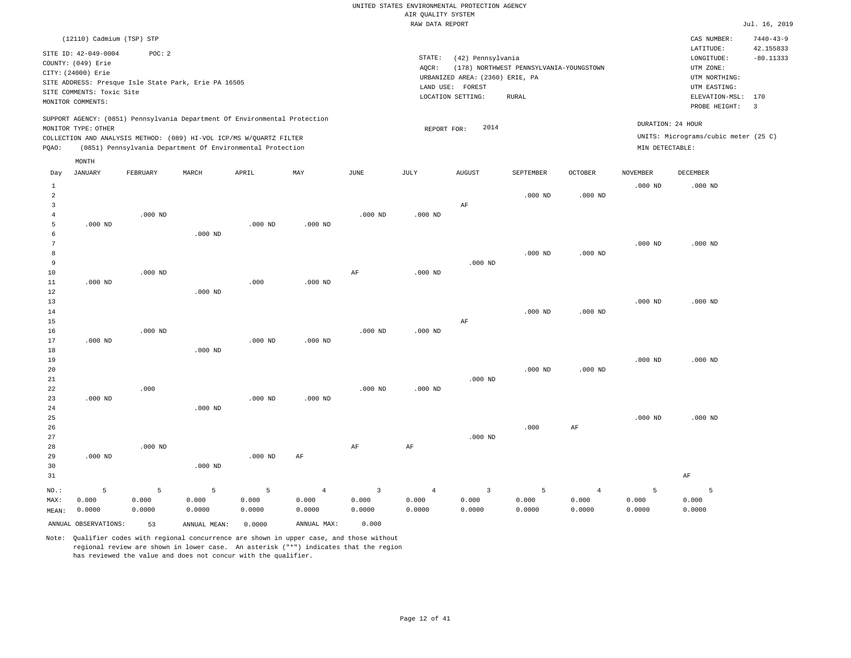|                |                                                                                            |           |                                                            |           |                |                | RAW DATA REPORT |                                 |                                         |                |                 |                                      | Jul. 16, 2019   |
|----------------|--------------------------------------------------------------------------------------------|-----------|------------------------------------------------------------|-----------|----------------|----------------|-----------------|---------------------------------|-----------------------------------------|----------------|-----------------|--------------------------------------|-----------------|
|                | (12110) Cadmium (TSP) STP                                                                  |           |                                                            |           |                |                |                 |                                 |                                         |                |                 | CAS NUMBER:                          | $7440 - 43 - 9$ |
|                | SITE ID: 42-049-0004                                                                       | POC: 2    |                                                            |           |                |                |                 |                                 |                                         |                |                 | LATITUDE:                            | 42.155833       |
|                | COUNTY: (049) Erie                                                                         |           |                                                            |           |                |                | STATE:          | (42) Pennsylvania               |                                         |                |                 | LONGITUDE:                           | $-80.11333$     |
|                | CITY: (24000) Erie                                                                         |           |                                                            |           |                |                | AQCR:           |                                 | (178) NORTHWEST PENNSYLVANIA-YOUNGSTOWN |                |                 | UTM ZONE:                            |                 |
|                | SITE ADDRESS: Presque Isle State Park, Erie PA 16505                                       |           |                                                            |           |                |                |                 | URBANIZED AREA: (2360) ERIE, PA |                                         |                |                 | UTM NORTHING:                        |                 |
|                | SITE COMMENTS: Toxic Site                                                                  |           |                                                            |           |                |                |                 | LAND USE: FOREST                |                                         |                |                 | UTM EASTING:                         |                 |
|                |                                                                                            |           |                                                            |           |                |                |                 | LOCATION SETTING:               | RURAL                                   |                |                 | ELEVATION-MSL:                       | 170             |
|                | MONITOR COMMENTS:                                                                          |           |                                                            |           |                |                |                 |                                 |                                         |                |                 | PROBE HEIGHT:                        | $\overline{3}$  |
|                | SUPPORT AGENCY: (0851) Pennsylvania Department Of Environmental Protection                 |           |                                                            |           |                |                |                 |                                 |                                         |                |                 | DURATION: 24 HOUR                    |                 |
|                | MONITOR TYPE: OTHER<br>COLLECTION AND ANALYSIS METHOD: (089) HI-VOL ICP/MS W/QUARTZ FILTER |           |                                                            |           |                |                | REPORT FOR:     | 2014                            |                                         |                |                 | UNITS: Micrograms/cubic meter (25 C) |                 |
| PQAO:          |                                                                                            |           | (0851) Pennsylvania Department Of Environmental Protection |           |                |                |                 |                                 |                                         |                | MIN DETECTABLE: |                                      |                 |
|                | MONTH                                                                                      |           |                                                            |           |                |                |                 |                                 |                                         |                |                 |                                      |                 |
| Day            | <b>JANUARY</b>                                                                             | FEBRUARY  | MARCH                                                      | APRIL     | MAY            | JUNE           | JULY            | <b>AUGUST</b>                   | SEPTEMBER                               | <b>OCTOBER</b> | <b>NOVEMBER</b> | <b>DECEMBER</b>                      |                 |
| $\mathbf{1}$   |                                                                                            |           |                                                            |           |                |                |                 |                                 |                                         |                | $.000$ ND       | $.000$ ND                            |                 |
| $\overline{2}$ |                                                                                            |           |                                                            |           |                |                |                 |                                 | $.000$ ND                               | $.000$ ND      |                 |                                      |                 |
| 3              |                                                                                            |           |                                                            |           |                |                |                 | AF                              |                                         |                |                 |                                      |                 |
| $\overline{4}$ |                                                                                            | $.000$ ND |                                                            |           |                | $.000$ ND      | $.000$ ND       |                                 |                                         |                |                 |                                      |                 |
| 5              | $.000$ ND                                                                                  |           |                                                            | $.000$ ND | $.000$ ND      |                |                 |                                 |                                         |                |                 |                                      |                 |
| 6              |                                                                                            |           | $.000$ ND                                                  |           |                |                |                 |                                 |                                         |                |                 |                                      |                 |
| 7              |                                                                                            |           |                                                            |           |                |                |                 |                                 |                                         |                | $.000$ ND       | $.000$ ND                            |                 |
| 8              |                                                                                            |           |                                                            |           |                |                |                 |                                 | $.000$ ND                               | $.000$ ND      |                 |                                      |                 |
| $\overline{9}$ |                                                                                            |           |                                                            |           |                |                |                 | $.000$ ND                       |                                         |                |                 |                                      |                 |
| 10             |                                                                                            | $.000$ ND |                                                            |           |                | AF             | $.000$ ND       |                                 |                                         |                |                 |                                      |                 |
| 11             | $.000$ ND                                                                                  |           |                                                            | .000      | $.000$ ND      |                |                 |                                 |                                         |                |                 |                                      |                 |
| 12             |                                                                                            |           | $.000$ ND                                                  |           |                |                |                 |                                 |                                         |                |                 |                                      |                 |
| 13             |                                                                                            |           |                                                            |           |                |                |                 |                                 |                                         |                | $.000$ ND       | $.000$ ND                            |                 |
| 14             |                                                                                            |           |                                                            |           |                |                |                 |                                 | $.000$ ND                               | $.000$ ND      |                 |                                      |                 |
| 15             |                                                                                            |           |                                                            |           |                |                |                 | AF                              |                                         |                |                 |                                      |                 |
| 16             |                                                                                            | $.000$ ND |                                                            |           |                | $.000$ ND      | $.000$ ND       |                                 |                                         |                |                 |                                      |                 |
| 17             | $.000$ ND                                                                                  |           |                                                            | $.000$ ND | $.000$ ND      |                |                 |                                 |                                         |                |                 |                                      |                 |
| 18             |                                                                                            |           | $.000$ ND                                                  |           |                |                |                 |                                 |                                         |                |                 |                                      |                 |
| 19             |                                                                                            |           |                                                            |           |                |                |                 |                                 |                                         |                | $.000$ ND       | $.000$ ND                            |                 |
| 20             |                                                                                            |           |                                                            |           |                |                |                 |                                 | $.000$ ND                               | $.000$ ND      |                 |                                      |                 |
| 21             |                                                                                            |           |                                                            |           |                |                |                 | $.000$ ND                       |                                         |                |                 |                                      |                 |
| 22             |                                                                                            | .000      |                                                            |           |                | $.000$ ND      | $.000$ ND       |                                 |                                         |                |                 |                                      |                 |
| 23             | $.000$ ND                                                                                  |           |                                                            | $.000$ ND | $.000$ ND      |                |                 |                                 |                                         |                |                 |                                      |                 |
| 24             |                                                                                            |           | $.000$ ND                                                  |           |                |                |                 |                                 |                                         |                |                 |                                      |                 |
| 25             |                                                                                            |           |                                                            |           |                |                |                 |                                 |                                         |                | $.000$ ND       | $.000$ ND                            |                 |
| 26             |                                                                                            |           |                                                            |           |                |                |                 |                                 | .000                                    | $\rm{AF}$      |                 |                                      |                 |
| 27             |                                                                                            |           |                                                            |           |                |                |                 | $.000$ ND                       |                                         |                |                 |                                      |                 |
| 28             |                                                                                            | $.000$ ND |                                                            |           |                | AF             | AF              |                                 |                                         |                |                 |                                      |                 |
| 29             | $.000$ ND                                                                                  |           |                                                            | $.000$ ND | AF             |                |                 |                                 |                                         |                |                 |                                      |                 |
| 30             |                                                                                            |           | $.000$ ND                                                  |           |                |                |                 |                                 |                                         |                |                 |                                      |                 |
| 31             |                                                                                            |           |                                                            |           |                |                |                 |                                 |                                         |                |                 | AF                                   |                 |
| NO.:           | 5                                                                                          | 5         | 5                                                          | 5         | $\overline{4}$ | $\overline{3}$ | $\overline{4}$  | $\overline{\mathbf{3}}$         | 5                                       | $\overline{4}$ | 5               | $\overline{5}$                       |                 |
| MAX:           | 0.000                                                                                      | 0.000     | 0.000                                                      | 0.000     | 0.000          | 0.000          | 0.000           | 0.000                           | 0.000                                   | 0.000          | 0.000           | 0.000                                |                 |
| MEAN:          | 0.0000                                                                                     | 0.0000    | 0.0000                                                     | 0.0000    | 0.0000         | 0.0000         | 0.0000          | 0.0000                          | 0.0000                                  | 0.0000         | 0.0000          | 0.0000                               |                 |
|                |                                                                                            |           |                                                            |           |                |                |                 |                                 |                                         |                |                 |                                      |                 |
|                | ANNUAL OBSERVATIONS:                                                                       | 53        | ANNUAL MEAN:                                               | 0.0000    | ANNUAL MAX:    | 0.000          |                 |                                 |                                         |                |                 |                                      |                 |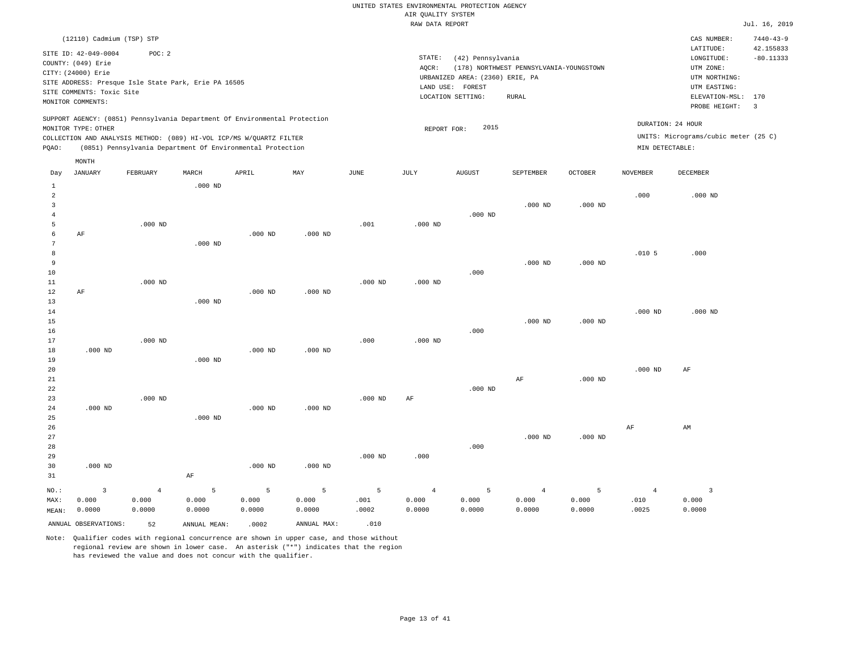|                                                                                                                                                                                                                                                 | vu                                                                                                                                                                      |                                                                                                                                                  |
|-------------------------------------------------------------------------------------------------------------------------------------------------------------------------------------------------------------------------------------------------|-------------------------------------------------------------------------------------------------------------------------------------------------------------------------|--------------------------------------------------------------------------------------------------------------------------------------------------|
|                                                                                                                                                                                                                                                 | RAW DATA REPORT                                                                                                                                                         | Jul. 16, 2019                                                                                                                                    |
| (12110) Cadmium (TSP) STP                                                                                                                                                                                                                       |                                                                                                                                                                         | $7440 - 43 - 9$<br>CAS NUMBER:                                                                                                                   |
| SITE ID: 42-049-0004<br>POC: 2<br>COUNTY: (049) Erie<br>CITY: (24000) Erie<br>SITE ADDRESS: Presque Isle State Park, Erie PA 16505<br>SITE COMMENTS: Toxic Site<br>MONITOR COMMENTS:                                                            | STATE:<br>(42) Pennsylvania<br>(178) NORTHWEST PENNSYLVANIA-YOUNGSTOWN<br>AOCR:<br>URBANIZED AREA: (2360) ERIE, PA<br>FOREST<br>LAND USE:<br>LOCATION SETTING:<br>RURAL | 42.155833<br>LATITUDE:<br>$-80.11333$<br>LONGITUDE:<br>UTM ZONE:<br>UTM NORTHING:<br>UTM EASTING:<br>ELEVATION-MSL:<br>170<br>PROBE HEIGHT:<br>3 |
| SUPPORT AGENCY: (0851) Pennsylvania Department Of Environmental Protection<br>MONITOR TYPE: OTHER<br>COLLECTION AND ANALYSIS METHOD: (089) HI-VOL ICP/MS W/OUARTZ FILTER<br>(0851) Pennsylvania Department Of Environmental Protection<br>POAO: | 2015<br>REPORT FOR:                                                                                                                                                     | DURATION: 24 HOUR<br>UNITS: Micrograms/cubic meter (25 C)<br>MIN DETECTABLE:                                                                     |
| MONTH<br>MAY<br>JANUARY<br>FEBRUARY<br>MARCH<br>APRIL<br>JUNE<br>Day                                                                                                                                                                            | JULY<br><b>AUGUST</b><br>SEPTEMBER<br><b>OCTOBER</b>                                                                                                                    | <b>NOVEMBER</b><br>DECEMBER                                                                                                                      |

| $\mathbf{1}$            |              |                | $.000$ ND |           |           |           |                |           |                |           |                   |                |
|-------------------------|--------------|----------------|-----------|-----------|-----------|-----------|----------------|-----------|----------------|-----------|-------------------|----------------|
| $\overline{a}$          |              |                |           |           |           |           |                |           |                |           | .000              | $.000$ ND      |
| $\overline{\mathbf{3}}$ |              |                |           |           |           |           |                |           | $.000$ ND      | $.000$ ND |                   |                |
| $\overline{4}$          |              |                |           |           |           |           |                | $.000$ ND |                |           |                   |                |
| 5                       |              | $.000$ ND      |           |           |           | .001      | $.000$ ND      |           |                |           |                   |                |
| 6                       | $\rm AF$     |                |           | $.000$ ND | $.000$ ND |           |                |           |                |           |                   |                |
| 7                       |              |                | $.000$ ND |           |           |           |                |           |                |           |                   |                |
| 8                       |              |                |           |           |           |           |                |           |                |           | .010 <sub>5</sub> | .000           |
| 9                       |              |                |           |           |           |           |                |           | $.000$ ND      | $.000$ ND |                   |                |
| $10$                    |              |                |           |           |           |           |                | .000      |                |           |                   |                |
| 11                      |              | $.000$ ND      |           |           |           | $.000$ ND | $.000$ ND      |           |                |           |                   |                |
| 12                      | AF           |                |           | $.000$ ND | $.000$ ND |           |                |           |                |           |                   |                |
| 13                      |              |                | $.000$ ND |           |           |           |                |           |                |           |                   |                |
| 14                      |              |                |           |           |           |           |                |           |                |           | $.000$ ND         | $.000$ ND      |
| 15                      |              |                |           |           |           |           |                |           | $.000$ ND      | $.000$ ND |                   |                |
| $16\,$                  |              |                |           |           |           |           |                | .000      |                |           |                   |                |
| 17                      |              | $.000$ ND      |           |           |           | .000      | $.000$ ND      |           |                |           |                   |                |
| 18                      | $.000$ ND    |                |           | $.000$ ND | $.000$ ND |           |                |           |                |           |                   |                |
| 19                      |              |                | $.000$ ND |           |           |           |                |           |                |           |                   |                |
| 20                      |              |                |           |           |           |           |                |           |                |           | $.000$ ND         | AF             |
| $2\sqrt{1}$             |              |                |           |           |           |           |                |           | $\rm AF$       | $.000$ ND |                   |                |
| 22                      |              |                |           |           |           |           |                | $.000$ ND |                |           |                   |                |
| 23                      |              | $.000$ ND      |           |           |           | $.000$ ND | $\rm{AF}$      |           |                |           |                   |                |
| 24                      | $.000$ ND    |                |           | $.000$ ND | $.000$ ND |           |                |           |                |           |                   |                |
| 25                      |              |                | $.000$ ND |           |           |           |                |           |                |           |                   |                |
| 26                      |              |                |           |           |           |           |                |           |                |           | $\rm{AF}$         | AM             |
| 27                      |              |                |           |           |           |           |                |           | $.000$ ND      | $.000$ ND |                   |                |
| 28                      |              |                |           |           |           |           |                | .000      |                |           |                   |                |
| 29                      |              |                |           |           |           | $.000$ ND | .000           |           |                |           |                   |                |
| 30                      | $.000$ ND    |                |           | $.000$ ND | $.000$ ND |           |                |           |                |           |                   |                |
| 31                      |              |                | $\rm AF$  |           |           |           |                |           |                |           |                   |                |
| $NO.$ :                 | $\mathbf{3}$ | $\overline{4}$ | 5         | 5         | 5         | 5         | $\overline{4}$ | 5         | $\overline{4}$ | 5         | $\overline{4}$    | $\overline{3}$ |
| MAX:                    | 0.000        | 0.000          | 0.000     | 0.000     | 0.000     | .001      | 0.000          | 0.000     | 0.000          | 0.000     | .010              | 0.000          |
| MEAN:                   | 0.0000       | 0.0000         | 0.0000    | 0.0000    | 0.0000    | .0002     | 0.0000         | 0.0000    | 0.0000         | 0.0000    | .0025             | 0.0000         |
|                         |              |                |           |           |           |           |                |           |                |           |                   |                |

ANNUAL OBSERVATIONS: 52 ANNUAL MEAN: .0002 ANNUAL MAX: .010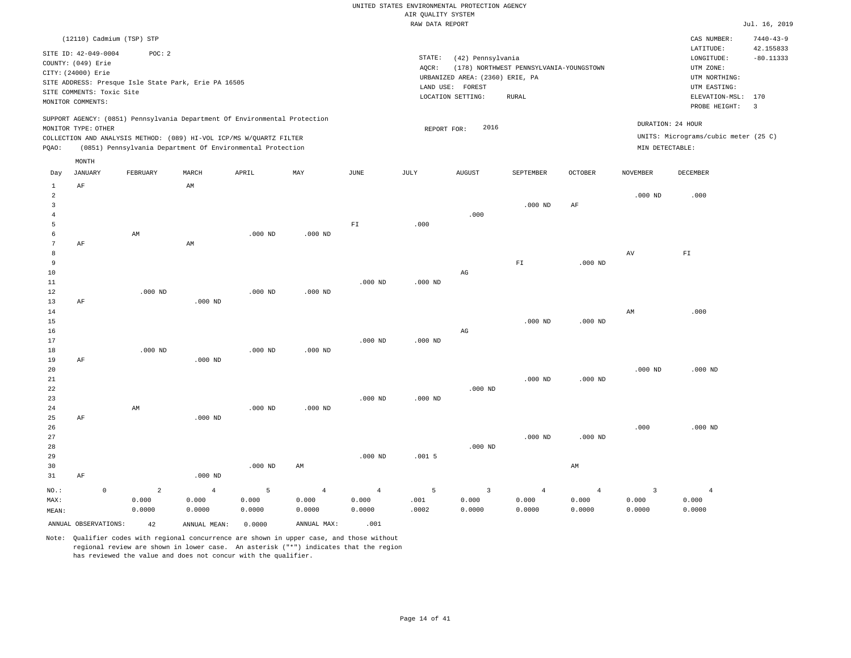|                                           |                           |             |                           |                                                                                                                                   |           |                |                       | RAW DATA REPORT |                                 |                                         |                |                         |                                      | Jul. 16, 2019                |
|-------------------------------------------|---------------------------|-------------|---------------------------|-----------------------------------------------------------------------------------------------------------------------------------|-----------|----------------|-----------------------|-----------------|---------------------------------|-----------------------------------------|----------------|-------------------------|--------------------------------------|------------------------------|
|                                           |                           |             | (12110) Cadmium (TSP) STP |                                                                                                                                   |           |                |                       |                 |                                 |                                         |                |                         | CAS NUMBER:<br>LATITUDE:             | $7440 - 43 - 9$<br>42.155833 |
|                                           | SITE ID: 42-049-0004      |             | POC: 2                    |                                                                                                                                   |           |                |                       | STATE:          | (42) Pennsylvania               |                                         |                |                         | LONGITUDE:                           | $-80.11333$                  |
|                                           | COUNTY: (049) Erie        |             |                           |                                                                                                                                   |           |                |                       | AQCR:           |                                 | (178) NORTHWEST PENNSYLVANIA-YOUNGSTOWN |                |                         | UTM ZONE:                            |                              |
|                                           | CITY: (24000) Erie        |             |                           |                                                                                                                                   |           |                |                       |                 | URBANIZED AREA: (2360) ERIE, PA |                                         |                |                         | UTM NORTHING:                        |                              |
|                                           |                           |             |                           | SITE ADDRESS: Presque Isle State Park, Erie PA 16505                                                                              |           |                |                       |                 | LAND USE: FOREST                |                                         |                |                         | UTM EASTING:                         |                              |
|                                           | SITE COMMENTS: Toxic Site |             |                           |                                                                                                                                   |           |                |                       |                 | LOCATION SETTING:               | <b>RURAL</b>                            |                |                         | $\texttt{ELEVATION-MSL}:$            | 170                          |
|                                           | MONITOR COMMENTS:         |             |                           |                                                                                                                                   |           |                |                       |                 |                                 |                                         |                |                         | PROBE HEIGHT:                        | $\overline{3}$               |
|                                           |                           |             |                           | SUPPORT AGENCY: (0851) Pennsylvania Department Of Environmental Protection                                                        |           |                |                       |                 |                                 |                                         |                |                         | DURATION: 24 HOUR                    |                              |
|                                           | MONITOR TYPE: OTHER       |             |                           |                                                                                                                                   |           |                |                       | REPORT FOR:     | 2016                            |                                         |                |                         |                                      |                              |
| PQAO:                                     |                           |             |                           | COLLECTION AND ANALYSIS METHOD: (089) HI-VOL ICP/MS W/QUARTZ FILTER<br>(0851) Pennsylvania Department Of Environmental Protection |           |                |                       |                 |                                 |                                         |                | MIN DETECTABLE:         | UNITS: Micrograms/cubic meter (25 C) |                              |
|                                           | MONTH                     |             |                           |                                                                                                                                   |           |                |                       |                 |                                 |                                         |                |                         |                                      |                              |
| Day                                       | <b>JANUARY</b>            |             | FEBRUARY                  | MARCH                                                                                                                             | APRIL     | MAY            | $\operatorname{JUNE}$ | JULY            | <b>AUGUST</b>                   | SEPTEMBER                               | OCTOBER        | <b>NOVEMBER</b>         | DECEMBER                             |                              |
| 1                                         | AF                        |             |                           | AM                                                                                                                                |           |                |                       |                 |                                 |                                         |                |                         |                                      |                              |
| $\overline{a}$                            |                           |             |                           |                                                                                                                                   |           |                |                       |                 |                                 |                                         |                | $.000$ ND               | .000                                 |                              |
| $\overline{\mathbf{3}}$<br>$\overline{4}$ |                           |             |                           |                                                                                                                                   |           |                |                       |                 | .000                            | $.000$ ND                               | AF             |                         |                                      |                              |
| $\overline{5}$                            |                           |             |                           |                                                                                                                                   |           |                | ${\rm F}1$            | .000            |                                 |                                         |                |                         |                                      |                              |
| 6                                         |                           |             | AM                        |                                                                                                                                   | $.000$ ND | $.000$ ND      |                       |                 |                                 |                                         |                |                         |                                      |                              |
| 7                                         | AF                        |             |                           | AM                                                                                                                                |           |                |                       |                 |                                 |                                         |                |                         |                                      |                              |
| 8                                         |                           |             |                           |                                                                                                                                   |           |                |                       |                 |                                 |                                         |                | AV                      | ${\rm FT}$                           |                              |
| 9                                         |                           |             |                           |                                                                                                                                   |           |                |                       |                 |                                 | FI                                      | $.000$ ND      |                         |                                      |                              |
| 10                                        |                           |             |                           |                                                                                                                                   |           |                |                       |                 | $_{\rm AG}$                     |                                         |                |                         |                                      |                              |
| 11                                        |                           |             |                           |                                                                                                                                   |           |                | $.000$ ND             | $.000$ ND       |                                 |                                         |                |                         |                                      |                              |
| 12                                        |                           |             | $.000$ ND                 |                                                                                                                                   | $.000$ ND | $.000$ ND      |                       |                 |                                 |                                         |                |                         |                                      |                              |
| 13                                        | AF                        |             |                           | $.000$ ND                                                                                                                         |           |                |                       |                 |                                 |                                         |                |                         |                                      |                              |
| 14                                        |                           |             |                           |                                                                                                                                   |           |                |                       |                 |                                 |                                         |                | AM                      | .000                                 |                              |
| 15                                        |                           |             |                           |                                                                                                                                   |           |                |                       |                 |                                 | $.000$ ND                               | $.000$ ND      |                         |                                      |                              |
| 16                                        |                           |             |                           |                                                                                                                                   |           |                |                       |                 | $\rm{AG}$                       |                                         |                |                         |                                      |                              |
| 17                                        |                           |             |                           |                                                                                                                                   |           |                | $.000$ ND             | $.000$ ND       |                                 |                                         |                |                         |                                      |                              |
| 18                                        |                           |             | $.000$ ND                 |                                                                                                                                   | $.000$ ND | $.000$ ND      |                       |                 |                                 |                                         |                |                         |                                      |                              |
| 19                                        | AF                        |             |                           | $.000$ ND                                                                                                                         |           |                |                       |                 |                                 |                                         |                |                         |                                      |                              |
| 20                                        |                           |             |                           |                                                                                                                                   |           |                |                       |                 |                                 |                                         |                | $.000$ ND               | $.000$ ND                            |                              |
| $21\,$                                    |                           |             |                           |                                                                                                                                   |           |                |                       |                 |                                 | $.000$ ND                               | $.000$ ND      |                         |                                      |                              |
| 22                                        |                           |             |                           |                                                                                                                                   |           |                |                       |                 | $.000$ ND                       |                                         |                |                         |                                      |                              |
| 23                                        |                           |             | AM                        |                                                                                                                                   | $.000$ ND |                | $.000$ ND             | $.000$ ND       |                                 |                                         |                |                         |                                      |                              |
| 24<br>25                                  | AF                        |             |                           | $.000$ ND                                                                                                                         |           | $.000$ ND      |                       |                 |                                 |                                         |                |                         |                                      |                              |
| 26                                        |                           |             |                           |                                                                                                                                   |           |                |                       |                 |                                 |                                         |                | .000                    | $.000$ ND                            |                              |
| 27                                        |                           |             |                           |                                                                                                                                   |           |                |                       |                 |                                 | $.000$ ND                               | $.000$ ND      |                         |                                      |                              |
| 28                                        |                           |             |                           |                                                                                                                                   |           |                |                       |                 | $.000$ ND                       |                                         |                |                         |                                      |                              |
| 29                                        |                           |             |                           |                                                                                                                                   |           |                | $.000$ ND             | .0015           |                                 |                                         |                |                         |                                      |                              |
| 30                                        |                           |             |                           |                                                                                                                                   | $.000$ ND | AM             |                       |                 |                                 |                                         | AM             |                         |                                      |                              |
| 31                                        | AF                        |             |                           | $.000$ ND                                                                                                                         |           |                |                       |                 |                                 |                                         |                |                         |                                      |                              |
| NO.:                                      |                           | $\mathbf 0$ | $\overline{a}$            | $\overline{4}$                                                                                                                    | 5         | $\overline{4}$ | $\overline{4}$        | 5               | 3                               | $\overline{4}$                          | $\overline{4}$ | $\overline{\mathbf{3}}$ | $\overline{4}$                       |                              |
| MAX:                                      |                           |             | 0.000                     | 0.000                                                                                                                             | 0.000     | 0.000          | 0.000                 | .001            | 0.000                           | 0.000                                   | 0.000          | 0.000                   | 0.000                                |                              |
| MEAN:                                     |                           |             | 0.0000                    | 0.0000                                                                                                                            | 0.0000    | 0.0000         | 0.0000                | .0002           | 0.0000                          | 0.0000                                  | 0.0000         | 0.0000                  | 0.0000                               |                              |

ANNUAL OBSERVATIONS:  $42$  ANNUAL MEAN:  $0.0000$  ANNUAL MAX:  $.001$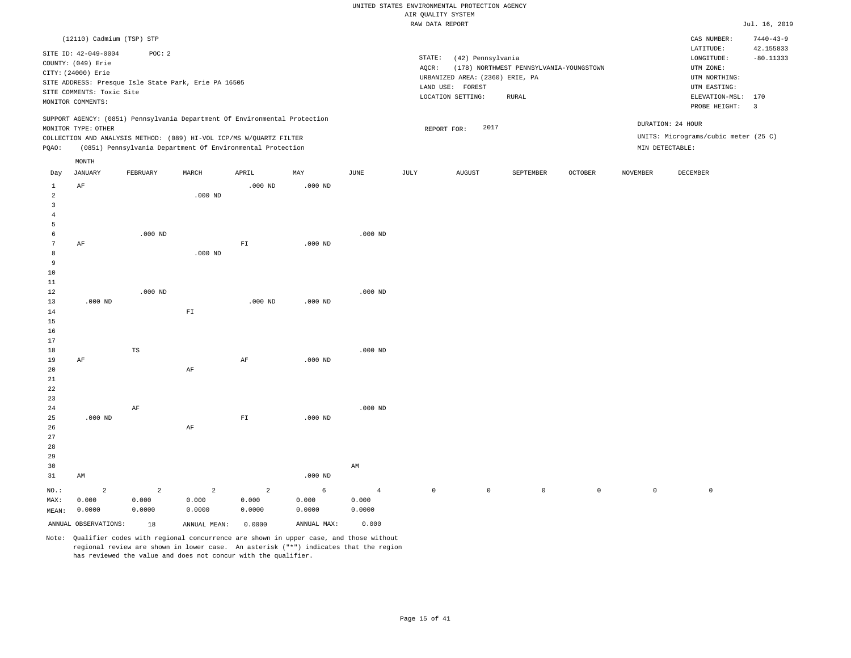|                                       |                                                                                                                    |                                                                                                                                                   |            |                    |                  |           |      | RAW DATA REPORT                                                                                                  |                                                         |                |                 |                                                                                                          | Jul. 16, 2019                                              |
|---------------------------------------|--------------------------------------------------------------------------------------------------------------------|---------------------------------------------------------------------------------------------------------------------------------------------------|------------|--------------------|------------------|-----------|------|------------------------------------------------------------------------------------------------------------------|---------------------------------------------------------|----------------|-----------------|----------------------------------------------------------------------------------------------------------|------------------------------------------------------------|
|                                       | (12110) Cadmium (TSP) STP                                                                                          |                                                                                                                                                   |            |                    |                  |           |      |                                                                                                                  |                                                         |                |                 | CAS NUMBER:                                                                                              | $7440 - 43 - 9$                                            |
|                                       | SITE ID: 42-049-0004<br>COUNTY: (049) Erie<br>CITY: (24000) Erie<br>SITE COMMENTS: Toxic Site<br>MONITOR COMMENTS: | POC: 2<br>SITE ADDRESS: Presque Isle State Park, Erie PA 16505                                                                                    |            |                    |                  |           |      | STATE:<br>(42) Pennsylvania<br>AQCR:<br>URBANIZED AREA: (2360) ERIE, PA<br>LAND USE: FOREST<br>LOCATION SETTING: | (178) NORTHWEST PENNSYLVANIA-YOUNGSTOWN<br><b>RURAL</b> |                |                 | LATITUDE:<br>LONGITUDE:<br>UTM ZONE:<br>UTM NORTHING:<br>UTM EASTING:<br>ELEVATION-MSL:<br>PROBE HEIGHT: | 42.155833<br>$-80.11333$<br>170<br>$\overline{\mathbf{3}}$ |
|                                       | MONITOR TYPE: OTHER                                                                                                | SUPPORT AGENCY: (0851) Pennsylvania Department Of Environmental Protection<br>COLLECTION AND ANALYSIS METHOD: (089) HI-VOL ICP/MS W/QUARTZ FILTER |            |                    |                  |           |      | 2017<br>REPORT FOR:                                                                                              |                                                         |                |                 | DURATION: 24 HOUR<br>UNITS: Micrograms/cubic meter (25 C)                                                |                                                            |
| PQAO:                                 |                                                                                                                    | (0851) Pennsylvania Department Of Environmental Protection                                                                                        |            |                    |                  |           |      |                                                                                                                  |                                                         |                | MIN DETECTABLE: |                                                                                                          |                                                            |
|                                       | MONTH                                                                                                              |                                                                                                                                                   |            |                    |                  |           |      |                                                                                                                  |                                                         |                |                 |                                                                                                          |                                                            |
| Day<br>$\mathbf{1}$                   | <b>JANUARY</b><br>AF                                                                                               | FEBRUARY                                                                                                                                          | MARCH      | APRIL<br>$.000$ ND | MAY<br>$.000$ ND | JUNE      | JULY | <b>AUGUST</b>                                                                                                    | SEPTEMBER                                               | <b>OCTOBER</b> | <b>NOVEMBER</b> | DECEMBER                                                                                                 |                                                            |
| $\overline{a}$<br>3<br>$\overline{4}$ |                                                                                                                    |                                                                                                                                                   | $.000$ ND  |                    |                  |           |      |                                                                                                                  |                                                         |                |                 |                                                                                                          |                                                            |
| 5<br>6<br>7<br>8<br>9                 | AF                                                                                                                 | $.000$ ND                                                                                                                                         | $.000$ ND  | ${\rm FT}$         | $.000$ ND        | $.000$ ND |      |                                                                                                                  |                                                         |                |                 |                                                                                                          |                                                            |
| 10<br>11<br>12<br>13<br>14            | $.000$ ND                                                                                                          | $.000$ ND                                                                                                                                         | ${\rm FT}$ | $.000$ ND          | $.000$ ND        | $.000$ ND |      |                                                                                                                  |                                                         |                |                 |                                                                                                          |                                                            |
| 15<br>16<br>17<br>18                  |                                                                                                                    | TS                                                                                                                                                |            |                    |                  | $.000$ ND |      |                                                                                                                  |                                                         |                |                 |                                                                                                          |                                                            |
| 19<br>20<br>21<br>22                  | AF                                                                                                                 |                                                                                                                                                   | $\rm{AF}$  | AF                 | $.000$ ND        |           |      |                                                                                                                  |                                                         |                |                 |                                                                                                          |                                                            |
| 23<br>24<br>25<br>26<br>27<br>28      | $.000$ ND                                                                                                          | AF                                                                                                                                                | AF         | ${\rm FT}$         | $.000$ ND        | $.000$ ND |      |                                                                                                                  |                                                         |                |                 |                                                                                                          |                                                            |
| 29<br>30                              |                                                                                                                    |                                                                                                                                                   |            |                    |                  | AM        |      |                                                                                                                  |                                                         |                |                 |                                                                                                          |                                                            |

NO.: MAX: MEAN: 2 0.000 0.0000 2 0.000 0.0000 2 0.000 0.0000 2 0.000 0.0000 6 0.000 0.0000 4 0.000 0.0000 0 0 0 0 0 0

.000 ND

Note: Qualifier codes with regional concurrence are shown in upper case, and those without regional review are shown in lower case. An asterisk ("\*") indicates that the region has reviewed the value and does not concur with the qualifier.

ANNUAL OBSERVATIONS: 18 ANNUAL MEAN: 0.0000 ANNUAL MAX: 0.000

31

AM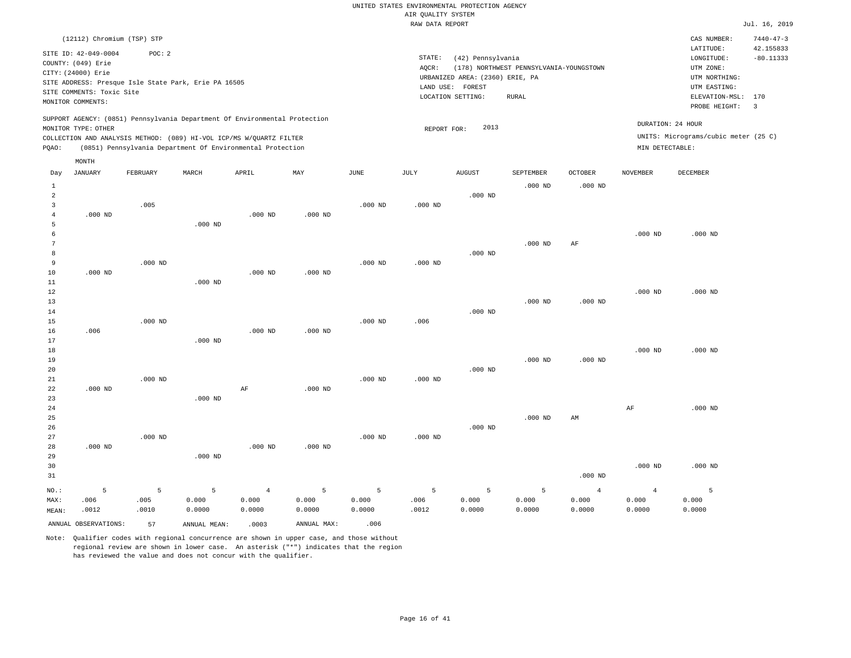|                |                                            |           |                                                                            |                         |             |               | i goi bibin.<br>RAW DATA REPORT |                                 |                                         |                         |                         |                                      | Jul. 16, 2019                |
|----------------|--------------------------------------------|-----------|----------------------------------------------------------------------------|-------------------------|-------------|---------------|---------------------------------|---------------------------------|-----------------------------------------|-------------------------|-------------------------|--------------------------------------|------------------------------|
|                | (12112) Chromium (TSP) STP                 |           |                                                                            |                         |             |               |                                 |                                 |                                         |                         |                         | CAS NUMBER:                          | $7440 - 47 - 3$<br>42.155833 |
|                | SITE ID: 42-049-0004<br>COUNTY: (049) Erie | POC: 2    |                                                                            |                         |             |               | STATE:                          | (42) Pennsylvania               |                                         |                         |                         | LATITUDE:<br>LONGITUDE:              | $-80.11333$                  |
|                | CITY: (24000) Erie                         |           |                                                                            |                         |             |               | AQCR:                           |                                 | (178) NORTHWEST PENNSYLVANIA-YOUNGSTOWN |                         |                         | UTM ZONE:                            |                              |
|                |                                            |           | SITE ADDRESS: Presque Isle State Park, Erie PA 16505                       |                         |             |               |                                 | URBANIZED AREA: (2360) ERIE, PA |                                         |                         |                         | UTM NORTHING:                        |                              |
|                | SITE COMMENTS: Toxic Site                  |           |                                                                            |                         |             |               |                                 | LAND USE: FOREST                |                                         |                         |                         | UTM EASTING:                         |                              |
|                | MONITOR COMMENTS:                          |           |                                                                            |                         |             |               |                                 | LOCATION SETTING:               | <b>RURAL</b>                            |                         |                         | ELEVATION-MSL:<br>PROBE HEIGHT:      | 170<br>$\overline{3}$        |
|                |                                            |           |                                                                            |                         |             |               |                                 |                                 |                                         |                         |                         |                                      |                              |
|                | MONITOR TYPE: OTHER                        |           | SUPPORT AGENCY: (0851) Pennsylvania Department Of Environmental Protection |                         |             |               | REPORT FOR:                     | 2013                            |                                         |                         |                         | DURATION: 24 HOUR                    |                              |
|                |                                            |           | COLLECTION AND ANALYSIS METHOD: (089) HI-VOL ICP/MS W/QUARTZ FILTER        |                         |             |               |                                 |                                 |                                         |                         |                         | UNITS: Micrograms/cubic meter (25 C) |                              |
| PQAO:          |                                            |           | (0851) Pennsylvania Department Of Environmental Protection                 |                         |             |               |                                 |                                 |                                         |                         | MIN DETECTABLE:         |                                      |                              |
|                | MONTH                                      |           |                                                                            |                         |             |               |                                 |                                 |                                         |                         |                         |                                      |                              |
| Day            | JANUARY                                    | FEBRUARY  | MARCH                                                                      | APRIL                   | MAY         | $_{\rm JUNE}$ | JULY                            | <b>AUGUST</b>                   | SEPTEMBER                               | <b>OCTOBER</b>          | <b>NOVEMBER</b>         | <b>DECEMBER</b>                      |                              |
| $\mathbf{1}$   |                                            |           |                                                                            |                         |             |               |                                 |                                 | $.000$ ND                               | $.000$ ND               |                         |                                      |                              |
| $\overline{a}$ |                                            |           |                                                                            |                         |             |               |                                 | $.000$ ND                       |                                         |                         |                         |                                      |                              |
| 3              |                                            | .005      |                                                                            |                         |             | $.000$ ND     | $.000$ ND                       |                                 |                                         |                         |                         |                                      |                              |
| $\overline{4}$ | $.000$ ND                                  |           |                                                                            | $.000$ ND               | $.000$ ND   |               |                                 |                                 |                                         |                         |                         |                                      |                              |
| 5              |                                            |           | $.000$ ND                                                                  |                         |             |               |                                 |                                 |                                         |                         |                         |                                      |                              |
| 6              |                                            |           |                                                                            |                         |             |               |                                 |                                 |                                         |                         | $.000$ ND               | $.000$ ND                            |                              |
| 7<br>8         |                                            |           |                                                                            |                         |             |               |                                 | $.000$ ND                       | $.000$ ND                               | AF                      |                         |                                      |                              |
| 9              |                                            | $.000$ ND |                                                                            |                         |             | $.000$ ND     | $.000$ ND                       |                                 |                                         |                         |                         |                                      |                              |
| 10             | $.000$ ND                                  |           |                                                                            | $.000$ ND               | $.000$ ND   |               |                                 |                                 |                                         |                         |                         |                                      |                              |
| 11             |                                            |           | $.000$ ND                                                                  |                         |             |               |                                 |                                 |                                         |                         |                         |                                      |                              |
| 12             |                                            |           |                                                                            |                         |             |               |                                 |                                 |                                         |                         | $.000$ ND               | $.000$ ND                            |                              |
| 13             |                                            |           |                                                                            |                         |             |               |                                 |                                 | $.000$ ND                               | $.000$ ND               |                         |                                      |                              |
| 14             |                                            |           |                                                                            |                         |             |               |                                 | $.000$ ND                       |                                         |                         |                         |                                      |                              |
| 15             |                                            | $.000$ ND |                                                                            |                         |             | $.000$ ND     | .006                            |                                 |                                         |                         |                         |                                      |                              |
| 16             | .006                                       |           |                                                                            | $.000$ ND               | $.000$ ND   |               |                                 |                                 |                                         |                         |                         |                                      |                              |
| 17             |                                            |           | $.000$ ND                                                                  |                         |             |               |                                 |                                 |                                         |                         |                         |                                      |                              |
| 18<br>19       |                                            |           |                                                                            |                         |             |               |                                 |                                 | $.000$ ND                               | $.000$ ND               | $.000$ ND               | $.000$ ND                            |                              |
| 20             |                                            |           |                                                                            |                         |             |               |                                 | $.000$ ND                       |                                         |                         |                         |                                      |                              |
| 21             |                                            | $.000$ ND |                                                                            |                         |             | $.000$ ND     | $.000$ ND                       |                                 |                                         |                         |                         |                                      |                              |
| 22             | $.000$ ND                                  |           |                                                                            | AF                      | $.000$ ND   |               |                                 |                                 |                                         |                         |                         |                                      |                              |
| 23             |                                            |           | $.000$ ND                                                                  |                         |             |               |                                 |                                 |                                         |                         |                         |                                      |                              |
| 24             |                                            |           |                                                                            |                         |             |               |                                 |                                 |                                         |                         | AF                      | $.000$ ND                            |                              |
| 25             |                                            |           |                                                                            |                         |             |               |                                 |                                 | $.000$ ND                               | AM                      |                         |                                      |                              |
| 26             |                                            |           |                                                                            |                         |             |               |                                 | $.000$ ND                       |                                         |                         |                         |                                      |                              |
| 27             |                                            | $.000$ ND |                                                                            |                         |             | $.000$ ND     | $.000$ ND                       |                                 |                                         |                         |                         |                                      |                              |
| 28<br>29       | $.000$ ND                                  |           | $.000$ ND                                                                  | $.000$ ND               | $.000$ ND   |               |                                 |                                 |                                         |                         |                         |                                      |                              |
| 30             |                                            |           |                                                                            |                         |             |               |                                 |                                 |                                         |                         | $.000$ ND               | $.000$ ND                            |                              |
| 31             |                                            |           |                                                                            |                         |             |               |                                 |                                 |                                         | $.000$ ND               |                         |                                      |                              |
|                |                                            |           |                                                                            |                         |             |               |                                 |                                 |                                         |                         |                         |                                      |                              |
| NO.:<br>MAX:   | 5<br>.006                                  | 5<br>.005 | 5<br>0.000                                                                 | $\overline{4}$<br>0.000 | 5<br>0.000  | 5<br>0.000    | 5<br>.006                       | 5<br>0.000                      | 5<br>0.000                              | $\overline{4}$<br>0.000 | $\overline{4}$<br>0.000 | $\overline{5}$<br>0.000              |                              |
| MEAN:          | .0012                                      | .0010     | 0.0000                                                                     | 0.0000                  | 0.0000      | 0.0000        | .0012                           | 0.0000                          | 0.0000                                  | 0.0000                  | 0.0000                  | 0.0000                               |                              |
|                |                                            |           |                                                                            |                         |             |               |                                 |                                 |                                         |                         |                         |                                      |                              |
|                | ANNUAL OBSERVATIONS:                       | 57        | ANNUAL MEAN:                                                               | .0003                   | ANNUAL MAX: | .006          |                                 |                                 |                                         |                         |                         |                                      |                              |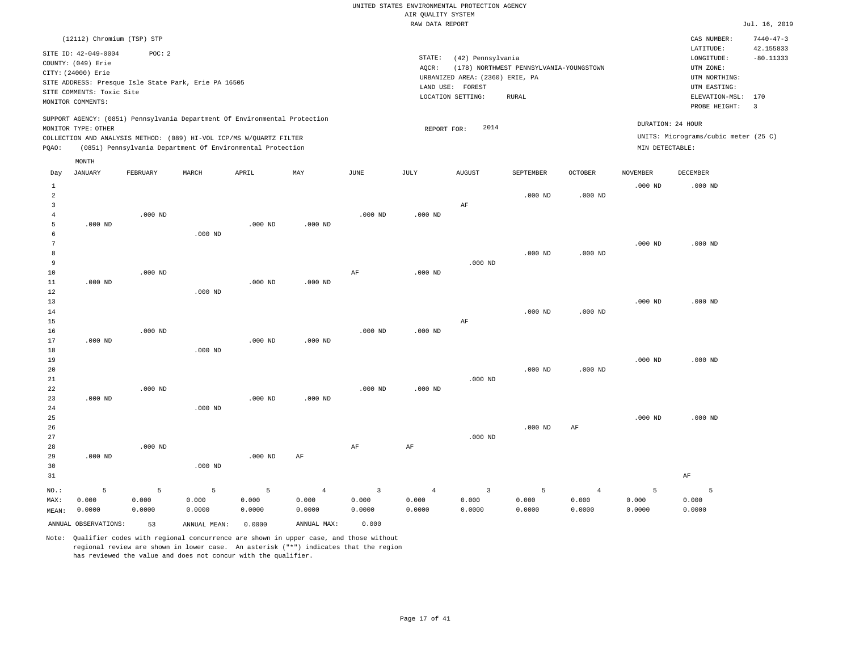|                |                                                                                                   |           |                                                            |           |                |                | RAW DATA REPORT |                                 |                                         |                    |                 |                                      | Jul. 16, 2019   |
|----------------|---------------------------------------------------------------------------------------------------|-----------|------------------------------------------------------------|-----------|----------------|----------------|-----------------|---------------------------------|-----------------------------------------|--------------------|-----------------|--------------------------------------|-----------------|
|                | (12112) Chromium (TSP) STP                                                                        |           |                                                            |           |                |                |                 |                                 |                                         |                    |                 | CAS NUMBER:                          | $7440 - 47 - 3$ |
|                | SITE ID: 42-049-0004                                                                              | POC: 2    |                                                            |           |                |                |                 |                                 |                                         |                    |                 | LATITUDE:                            | 42.155833       |
|                | COUNTY: (049) Erie                                                                                |           |                                                            |           |                |                | STATE:          | (42) Pennsylvania               |                                         |                    |                 | LONGITUDE:                           | $-80.11333$     |
|                | CITY: (24000) Erie                                                                                |           |                                                            |           |                |                | AQCR:           |                                 | (178) NORTHWEST PENNSYLVANIA-YOUNGSTOWN |                    |                 | UTM ZONE:                            |                 |
|                | SITE ADDRESS: Presque Isle State Park, Erie PA 16505                                              |           |                                                            |           |                |                |                 | URBANIZED AREA: (2360) ERIE, PA |                                         |                    |                 | UTM NORTHING:                        |                 |
|                | SITE COMMENTS: Toxic Site                                                                         |           |                                                            |           |                |                |                 | LAND USE: FOREST                |                                         |                    |                 | UTM EASTING:                         |                 |
|                | MONITOR COMMENTS:                                                                                 |           |                                                            |           |                |                |                 | LOCATION SETTING:               | <b>RURAL</b>                            |                    |                 | ELEVATION-MSL: 170                   |                 |
|                |                                                                                                   |           |                                                            |           |                |                |                 |                                 |                                         |                    |                 | PROBE HEIGHT:                        | $\overline{3}$  |
|                | SUPPORT AGENCY: (0851) Pennsylvania Department Of Environmental Protection<br>MONITOR TYPE: OTHER |           |                                                            |           |                |                | REPORT FOR:     | 2014                            |                                         |                    |                 | DURATION: 24 HOUR                    |                 |
|                | COLLECTION AND ANALYSIS METHOD: (089) HI-VOL ICP/MS W/QUARTZ FILTER                               |           |                                                            |           |                |                |                 |                                 |                                         |                    |                 | UNITS: Micrograms/cubic meter (25 C) |                 |
| PQAO:          |                                                                                                   |           | (0851) Pennsylvania Department Of Environmental Protection |           |                |                |                 |                                 |                                         |                    | MIN DETECTABLE: |                                      |                 |
|                | MONTH                                                                                             |           |                                                            |           |                |                |                 |                                 |                                         |                    |                 |                                      |                 |
| Day            | <b>JANUARY</b>                                                                                    | FEBRUARY  | MARCH                                                      | APRIL     | MAY            | JUNE           | JULY            | <b>AUGUST</b>                   | SEPTEMBER                               | <b>OCTOBER</b>     | <b>NOVEMBER</b> | DECEMBER                             |                 |
| 1              |                                                                                                   |           |                                                            |           |                |                |                 |                                 |                                         |                    | $.000$ ND       | $.000$ ND                            |                 |
| $\overline{a}$ |                                                                                                   |           |                                                            |           |                |                |                 |                                 | $.000$ ND                               | $.000$ ND          |                 |                                      |                 |
| $\overline{3}$ |                                                                                                   |           |                                                            |           |                |                |                 | $\rm AF$                        |                                         |                    |                 |                                      |                 |
| $\overline{4}$ |                                                                                                   | $.000$ ND |                                                            |           |                | $.000$ ND      | $.000$ ND       |                                 |                                         |                    |                 |                                      |                 |
| 5              | $.000$ ND                                                                                         |           |                                                            | $.000$ ND | $.000$ ND      |                |                 |                                 |                                         |                    |                 |                                      |                 |
| 6              |                                                                                                   |           | $.000$ ND                                                  |           |                |                |                 |                                 |                                         |                    |                 |                                      |                 |
| 7              |                                                                                                   |           |                                                            |           |                |                |                 |                                 |                                         |                    | $.000$ ND       | $.000$ ND                            |                 |
| 8              |                                                                                                   |           |                                                            |           |                |                |                 |                                 | $.000$ ND                               | $.000$ ND          |                 |                                      |                 |
| 9              |                                                                                                   |           |                                                            |           |                |                |                 | $.000$ ND                       |                                         |                    |                 |                                      |                 |
| $10$           |                                                                                                   | $.000$ ND |                                                            |           |                | $\rm{AF}$      | $.000$ ND       |                                 |                                         |                    |                 |                                      |                 |
| 11             | $.000$ ND                                                                                         |           |                                                            | $.000$ ND | $.000$ ND      |                |                 |                                 |                                         |                    |                 |                                      |                 |
| 12             |                                                                                                   |           | $.000$ ND                                                  |           |                |                |                 |                                 |                                         |                    |                 |                                      |                 |
| 13             |                                                                                                   |           |                                                            |           |                |                |                 |                                 |                                         |                    | $.000$ ND       | $.000$ ND                            |                 |
| 14             |                                                                                                   |           |                                                            |           |                |                |                 |                                 | $.000$ ND                               | .000 <sub>ND</sub> |                 |                                      |                 |
| 15             |                                                                                                   |           |                                                            |           |                |                |                 | $\rm AF$                        |                                         |                    |                 |                                      |                 |
| 16<br>17       | $.000$ ND                                                                                         | $.000$ ND |                                                            | $.000$ ND | $.000$ ND      | $.000$ ND      | $.000$ ND       |                                 |                                         |                    |                 |                                      |                 |
| 18             |                                                                                                   |           | $.000$ ND                                                  |           |                |                |                 |                                 |                                         |                    |                 |                                      |                 |
| 19             |                                                                                                   |           |                                                            |           |                |                |                 |                                 |                                         |                    | $.000$ ND       | $.000$ ND                            |                 |
| 20             |                                                                                                   |           |                                                            |           |                |                |                 |                                 | .000 <sub>ND</sub>                      | $.000$ ND          |                 |                                      |                 |
| 21             |                                                                                                   |           |                                                            |           |                |                |                 | $.000$ ND                       |                                         |                    |                 |                                      |                 |
| 22             |                                                                                                   | $.000$ ND |                                                            |           |                | $.000$ ND      | $.000$ ND       |                                 |                                         |                    |                 |                                      |                 |
| 23             | $.000$ ND                                                                                         |           |                                                            | $.000$ ND | $.000$ ND      |                |                 |                                 |                                         |                    |                 |                                      |                 |
| 24             |                                                                                                   |           | $.000$ ND                                                  |           |                |                |                 |                                 |                                         |                    |                 |                                      |                 |
| 25             |                                                                                                   |           |                                                            |           |                |                |                 |                                 |                                         |                    | $.000$ ND       | $.000$ ND                            |                 |
| 26             |                                                                                                   |           |                                                            |           |                |                |                 |                                 | $.000$ ND                               | AF                 |                 |                                      |                 |
| 27             |                                                                                                   |           |                                                            |           |                |                |                 | $.000$ ND                       |                                         |                    |                 |                                      |                 |
| 28             |                                                                                                   | $.000$ ND |                                                            |           |                | $\rm{AF}$      | AF              |                                 |                                         |                    |                 |                                      |                 |
| 29             | $.000$ ND                                                                                         |           |                                                            | $.000$ ND | $\rm{AF}$      |                |                 |                                 |                                         |                    |                 |                                      |                 |
| 30             |                                                                                                   |           | $.000$ ND                                                  |           |                |                |                 |                                 |                                         |                    |                 |                                      |                 |
| 31             |                                                                                                   |           |                                                            |           |                |                |                 |                                 |                                         |                    |                 | AF                                   |                 |
| NO.:           | 5                                                                                                 | 5         | 5                                                          | 5         | $\overline{4}$ | $\overline{3}$ | $\overline{4}$  | $\overline{3}$                  | 5                                       | $\overline{4}$     | 5               | 5                                    |                 |
| MAX:           | 0.000                                                                                             | 0.000     | 0.000                                                      | 0.000     | 0.000          | 0.000          | 0.000           | 0.000                           | 0.000                                   | 0.000              | 0.000           | 0.000                                |                 |
| MEAN:          | 0.0000                                                                                            | 0.0000    | 0.0000                                                     | 0.0000    | 0.0000         | 0.0000         | 0.0000          | 0.0000                          | 0.0000                                  | 0.0000             | 0.0000          | 0.0000                               |                 |
|                | ANNUAL OBSERVATIONS:                                                                              | 53        | ANNUAL MEAN:                                               | 0.0000    | ANNUAL MAX:    | 0.000          |                 |                                 |                                         |                    |                 |                                      |                 |
|                |                                                                                                   |           |                                                            |           |                |                |                 |                                 |                                         |                    |                 |                                      |                 |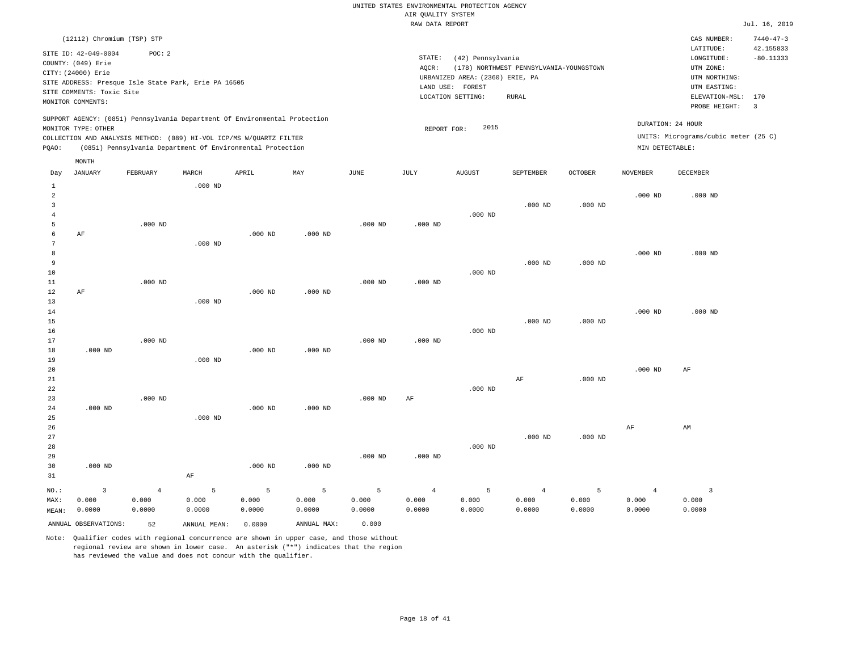LOCATION SETTING: RURAL

REPORT FOR: 2015

| IR QUALITY SYSTEM                                |               |                 |
|--------------------------------------------------|---------------|-----------------|
| RAW DATA REPORT                                  |               | Jul. 16, 2019   |
|                                                  | CAS NUMBER:   | $7440 - 47 - 3$ |
|                                                  | LATITUDE:     | 42.155833       |
| STATE:<br>(42) Pennsylvania                      | LONGITUDE:    | $-80.11333$     |
| AOCR:<br>(178) NORTHWEST PENNSYLVANIA-YOUNGSTOWN | UTM ZONE:     |                 |
| URBANIZED AREA: (2360) ERIE. PA                  | UTM NORTHING: |                 |
| LAND USE:<br>FOREST                              | UTM EASTING:  |                 |

PROBE HEIGHT: 3 ELEVATION-MSL: 170

UNITS: Micrograms/cubic meter (25 C)

DURATION: 24 HOUR

CITY: (24000) Erie SITE ADDRESS: Presque Isle State Park, Erie PA 16505 SITE COMMENTS: Toxic Site MONITOR COMMENTS:

(12112) Chromium (TSP) STP

SITE ID: 42-049-0004 POC: 2

COUNTY: (049) Erie

SUPPORT AGENCY: (0851) Pennsylvania Department Of Environmental Protection MONITOR TYPE: OTHER

COLLECTION AND ANALYSIS METHOD: (089) HI-VOL ICP/MS W/QUARTZ FILTER PQAO: (0851) Pennsylvania Department Of Environmental Protection MIN DETECTABLE:

|                | MONTH                   |                |              |           |             |           |                |               |                |                |                 |                         |
|----------------|-------------------------|----------------|--------------|-----------|-------------|-----------|----------------|---------------|----------------|----------------|-----------------|-------------------------|
| Day            | JANUARY                 | FEBRUARY       | MARCH        | APRIL     | MAY         | JUNE      | JULY           | <b>AUGUST</b> | SEPTEMBER      | <b>OCTOBER</b> | <b>NOVEMBER</b> | <b>DECEMBER</b>         |
| $\mathbf{1}$   |                         |                | $.000$ ND    |           |             |           |                |               |                |                |                 |                         |
| $\overline{a}$ |                         |                |              |           |             |           |                |               |                |                | $.000$ ND       | $.000$ ND               |
| $\overline{3}$ |                         |                |              |           |             |           |                |               | $.000$ ND      | $.000$ ND      |                 |                         |
| 4              |                         |                |              |           |             |           |                | $.000$ ND     |                |                |                 |                         |
| 5              |                         | $.000$ ND      |              |           |             | $.000$ ND | $.000$ ND      |               |                |                |                 |                         |
| 6              | $\rm AF$                |                |              | $.000$ ND | $.000$ ND   |           |                |               |                |                |                 |                         |
| 7              |                         |                | $.000$ ND    |           |             |           |                |               |                |                |                 |                         |
| 8              |                         |                |              |           |             |           |                |               |                |                | $.000$ ND       | $.000$ ND               |
| 9              |                         |                |              |           |             |           |                |               | $.000$ ND      | $.000$ ND      |                 |                         |
| 10             |                         |                |              |           |             |           |                | $.000$ ND     |                |                |                 |                         |
| 11             |                         | $.000$ ND      |              |           |             | $.000$ ND | $.000$ ND      |               |                |                |                 |                         |
| 12<br>13       | $\rm AF$                |                | $.000$ ND    | $.000$ ND | $.000$ ND   |           |                |               |                |                |                 |                         |
| 14             |                         |                |              |           |             |           |                |               |                |                | $.000$ ND       | $.000$ ND               |
| 15             |                         |                |              |           |             |           |                |               | $.000$ ND      | $.000$ ND      |                 |                         |
| 16             |                         |                |              |           |             |           |                | $.000$ ND     |                |                |                 |                         |
| 17             |                         | $.000$ ND      |              |           |             | $.000$ ND | $.000$ ND      |               |                |                |                 |                         |
| 18             | $.000$ ND               |                |              | $.000$ ND | $.000$ ND   |           |                |               |                |                |                 |                         |
| 19             |                         |                | $.000$ ND    |           |             |           |                |               |                |                |                 |                         |
| 20             |                         |                |              |           |             |           |                |               |                |                | $.000$ ND       | AF                      |
| 21             |                         |                |              |           |             |           |                |               | $\rm AF$       | $.000$ ND      |                 |                         |
| 22             |                         |                |              |           |             |           |                | $.000$ ND     |                |                |                 |                         |
| 23             |                         | $.000$ ND      |              |           |             | $.000$ ND | $\rm{AF}$      |               |                |                |                 |                         |
| 24             | $.000$ ND               |                |              | $.000$ ND | $.000$ ND   |           |                |               |                |                |                 |                         |
| 25             |                         |                | $.000$ ND    |           |             |           |                |               |                |                |                 |                         |
| 26             |                         |                |              |           |             |           |                |               |                |                | $\rm{AF}$       | AM                      |
| 27             |                         |                |              |           |             |           |                |               | $.000$ ND      | $.000$ ND      |                 |                         |
| 28             |                         |                |              |           |             |           |                | $.000$ ND     |                |                |                 |                         |
| 29             |                         |                |              |           |             | $.000$ ND | $.000$ ND      |               |                |                |                 |                         |
| 30             | $.000$ ND               |                |              | $.000$ ND | $.000$ ND   |           |                |               |                |                |                 |                         |
| 31             |                         |                | $\rm AF$     |           |             |           |                |               |                |                |                 |                         |
| $_{\rm NO.}$ : | $\overline{\mathbf{3}}$ | $\overline{4}$ | 5            | 5         | 5           | 5         | $\overline{4}$ | 5             | $\overline{4}$ | 5              | $\overline{4}$  | $\overline{\mathbf{3}}$ |
| MAX:           | 0.000                   | 0.000          | 0.000        | 0.000     | 0.000       | 0.000     | 0.000          | 0.000         | 0.000          | 0.000          | 0.000           | 0.000                   |
| MEAN:          | 0.0000                  | 0.0000         | 0.0000       | 0.0000    | 0.0000      | 0.0000    | 0.0000         | 0.0000        | 0.0000         | 0.0000         | 0.0000          | 0.0000                  |
|                | ANNUAL OBSERVATIONS:    | 52             | ANNUAL MEAN: | 0.0000    | ANNUAL MAX: | 0.000     |                |               |                |                |                 |                         |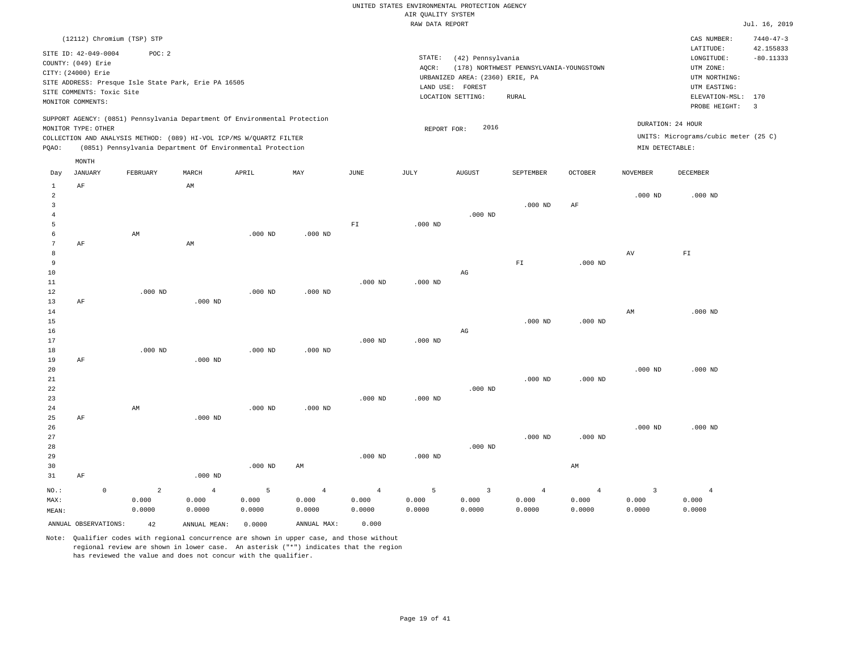|                 |                           |                                                                            |                |           |                |                | RAW DATA REPORT |                                 |                                         |                |                 |                                      | Jul. 16, 2019           |
|-----------------|---------------------------|----------------------------------------------------------------------------|----------------|-----------|----------------|----------------|-----------------|---------------------------------|-----------------------------------------|----------------|-----------------|--------------------------------------|-------------------------|
|                 |                           | (12112) Chromium (TSP) STP                                                 |                |           |                |                |                 |                                 |                                         |                |                 | CAS NUMBER:                          | $7440 - 47 - 3$         |
|                 |                           |                                                                            |                |           |                |                |                 |                                 |                                         |                |                 | LATITUDE:                            | 42.155833               |
|                 | SITE ID: 42-049-0004      | POC: 2                                                                     |                |           |                |                | STATE:          | (42) Pennsylvania               |                                         |                |                 | LONGITUDE:                           | $-80.11333$             |
|                 | COUNTY: (049) Erie        |                                                                            |                |           |                |                | AQCR:           |                                 | (178) NORTHWEST PENNSYLVANIA-YOUNGSTOWN |                |                 | UTM ZONE:                            |                         |
|                 | CITY: (24000) Erie        |                                                                            |                |           |                |                |                 | URBANIZED AREA: (2360) ERIE, PA |                                         |                |                 | UTM NORTHING:                        |                         |
|                 |                           | SITE ADDRESS: Presque Isle State Park, Erie PA 16505                       |                |           |                |                |                 | LAND USE: FOREST                |                                         |                |                 | UTM EASTING:                         |                         |
|                 | SITE COMMENTS: Toxic Site |                                                                            |                |           |                |                |                 | LOCATION SETTING:               | ${\tt RURAL}$                           |                |                 | ELEVATION-MSL: 170                   |                         |
|                 | MONITOR COMMENTS:         |                                                                            |                |           |                |                |                 |                                 |                                         |                |                 | PROBE HEIGHT:                        | $\overline{\mathbf{3}}$ |
|                 |                           | SUPPORT AGENCY: (0851) Pennsylvania Department Of Environmental Protection |                |           |                |                |                 |                                 |                                         |                |                 |                                      |                         |
|                 | MONITOR TYPE: OTHER       |                                                                            |                |           |                |                | REPORT FOR:     | 2016                            |                                         |                |                 | DURATION: 24 HOUR                    |                         |
|                 |                           | COLLECTION AND ANALYSIS METHOD: (089) HI-VOL ICP/MS W/QUARTZ FILTER        |                |           |                |                |                 |                                 |                                         |                |                 | UNITS: Micrograms/cubic meter (25 C) |                         |
| PQAO:           |                           | (0851) Pennsylvania Department Of Environmental Protection                 |                |           |                |                |                 |                                 |                                         |                | MIN DETECTABLE: |                                      |                         |
|                 | MONTH                     |                                                                            |                |           |                |                |                 |                                 |                                         |                |                 |                                      |                         |
| Day             | JANUARY                   | FEBRUARY                                                                   | MARCH          | APRIL     | MAY            | JUNE           | JULY            | <b>AUGUST</b>                   | SEPTEMBER                               | <b>OCTOBER</b> | <b>NOVEMBER</b> | DECEMBER                             |                         |
| $\mathbf{1}$    | AF                        |                                                                            | AM             |           |                |                |                 |                                 |                                         |                |                 |                                      |                         |
| $\overline{2}$  |                           |                                                                            |                |           |                |                |                 |                                 |                                         |                | $.000$ ND       | $.000$ ND                            |                         |
| $\overline{3}$  |                           |                                                                            |                |           |                |                |                 |                                 | $.000$ ND                               | $\rm AF$       |                 |                                      |                         |
| $\overline{4}$  |                           |                                                                            |                |           |                |                |                 | $.000$ ND                       |                                         |                |                 |                                      |                         |
| 5               |                           |                                                                            |                |           |                | ${\rm F\,I}$   | $.000$ ND       |                                 |                                         |                |                 |                                      |                         |
| 6               |                           | AM                                                                         |                | $.000$ ND | $.000$ ND      |                |                 |                                 |                                         |                |                 |                                      |                         |
| $7\phantom{.0}$ | AF                        |                                                                            | AM             |           |                |                |                 |                                 |                                         |                |                 |                                      |                         |
| 8               |                           |                                                                            |                |           |                |                |                 |                                 |                                         |                | AV              | $\mathbb{F} \, \mathbb{I}$           |                         |
| $\overline{9}$  |                           |                                                                            |                |           |                |                |                 |                                 | ${\rm FT}$                              | $.000$ ND      |                 |                                      |                         |
| 10              |                           |                                                                            |                |           |                |                |                 | AG                              |                                         |                |                 |                                      |                         |
| 11<br>12        |                           | $.000$ ND                                                                  |                | $.000$ ND | $.000$ ND      | $.000$ ND      | $.000$ ND       |                                 |                                         |                |                 |                                      |                         |
| 13              | AF                        |                                                                            | $.000$ ND      |           |                |                |                 |                                 |                                         |                |                 |                                      |                         |
| 14              |                           |                                                                            |                |           |                |                |                 |                                 |                                         |                | AM              | $.000$ ND                            |                         |
| 15              |                           |                                                                            |                |           |                |                |                 |                                 | $.000$ ND                               | $.000$ ND      |                 |                                      |                         |
| 16              |                           |                                                                            |                |           |                |                |                 | $_{\rm AG}$                     |                                         |                |                 |                                      |                         |
| 17              |                           |                                                                            |                |           |                | $.000$ ND      | $.000$ ND       |                                 |                                         |                |                 |                                      |                         |
| 18              |                           | $.000$ ND                                                                  |                | $.000$ ND | $.000$ ND      |                |                 |                                 |                                         |                |                 |                                      |                         |
| 19              | AF                        |                                                                            | $.000$ ND      |           |                |                |                 |                                 |                                         |                |                 |                                      |                         |
| 20              |                           |                                                                            |                |           |                |                |                 |                                 |                                         |                | $.000$ ND       | $.000$ ND                            |                         |
| 21              |                           |                                                                            |                |           |                |                |                 |                                 | $.000$ ND                               | $.000$ ND      |                 |                                      |                         |
| 22              |                           |                                                                            |                |           |                |                |                 | $.000$ ND                       |                                         |                |                 |                                      |                         |
| 23              |                           |                                                                            |                |           |                | $.000$ ND      | $.000$ ND       |                                 |                                         |                |                 |                                      |                         |
| 24              |                           | AM                                                                         |                | $.000$ ND | $.000$ ND      |                |                 |                                 |                                         |                |                 |                                      |                         |
| 25              | AF                        |                                                                            | $.000$ ND      |           |                |                |                 |                                 |                                         |                |                 |                                      |                         |
| 26              |                           |                                                                            |                |           |                |                |                 |                                 |                                         |                | $.000$ ND       | $.000$ ND                            |                         |
| 27              |                           |                                                                            |                |           |                |                |                 |                                 | $.000$ ND                               | $.000$ ND      |                 |                                      |                         |
| 28              |                           |                                                                            |                |           |                |                |                 | $.000$ ND                       |                                         |                |                 |                                      |                         |
| 29              |                           |                                                                            |                |           |                | $.000$ ND      | $.000$ ND       |                                 |                                         |                |                 |                                      |                         |
| 30              |                           |                                                                            |                | $.000$ ND | AM             |                |                 |                                 |                                         | AM             |                 |                                      |                         |
| 31              | AF                        |                                                                            | $.000$ ND      |           |                |                |                 |                                 |                                         |                |                 |                                      |                         |
| NO.:            | $\mathbb O$               | $\overline{2}$                                                             | $\overline{4}$ | 5         | $\overline{4}$ | $\overline{4}$ | 5               | $\overline{\mathbf{3}}$         | $\overline{4}$                          | $\overline{4}$ | $\overline{3}$  | $\overline{4}$                       |                         |
| MAX:            |                           | 0.000                                                                      | 0.000          | 0.000     | 0.000          | 0.000          | 0.000           | 0.000                           | 0.000                                   | 0.000          | 0.000           | 0.000                                |                         |
| MEAN:           |                           | 0.0000                                                                     | 0.0000         | 0.0000    | 0.0000         | 0.0000         | 0.0000          | 0.0000                          | 0.0000                                  | 0.0000         | 0.0000          | 0.0000                               |                         |
|                 | ANNUAL OBSERVATIONS:      | 42                                                                         | ANNUAL MEAN:   | 0.0000    | ANNUAL MAX:    | 0.000          |                 |                                 |                                         |                |                 |                                      |                         |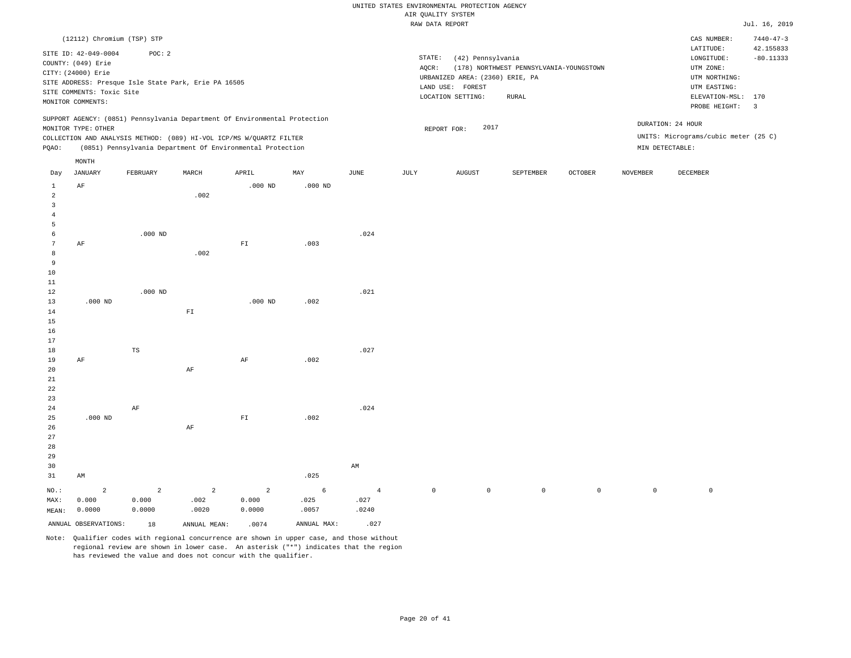|                      |                           |                                                      |              |                                                                            |           |                       | AIR QUALITY SYSTEM<br>RAW DATA REPORT |                                 |                                         |         |                 |                                      | Jul. 16, 2019                |
|----------------------|---------------------------|------------------------------------------------------|--------------|----------------------------------------------------------------------------|-----------|-----------------------|---------------------------------------|---------------------------------|-----------------------------------------|---------|-----------------|--------------------------------------|------------------------------|
|                      |                           |                                                      |              |                                                                            |           |                       |                                       |                                 |                                         |         |                 |                                      |                              |
|                      |                           | (12112) Chromium (TSP) STP                           |              |                                                                            |           |                       |                                       |                                 |                                         |         |                 | CAS NUMBER:<br>LATITUDE:             | $7440 - 47 - 3$<br>42.155833 |
|                      | SITE ID: 42-049-0004      | POC: 2                                               |              |                                                                            |           |                       | STATE:                                | (42) Pennsylvania               |                                         |         |                 | LONGITUDE:                           | $-80.11333$                  |
|                      | COUNTY: (049) Erie        |                                                      |              |                                                                            |           |                       | AQCR:                                 |                                 | (178) NORTHWEST PENNSYLVANIA-YOUNGSTOWN |         |                 | UTM ZONE:                            |                              |
|                      | CITY: (24000) Erie        |                                                      |              |                                                                            |           |                       |                                       | URBANIZED AREA: (2360) ERIE, PA |                                         |         |                 | UTM NORTHING:                        |                              |
|                      |                           | SITE ADDRESS: Presque Isle State Park, Erie PA 16505 |              |                                                                            |           |                       |                                       | LAND USE: FOREST                |                                         |         |                 | UTM EASTING:                         |                              |
|                      | SITE COMMENTS: Toxic Site |                                                      |              |                                                                            |           |                       |                                       | LOCATION SETTING:               | RURAL                                   |         |                 | ELEVATION-MSL: 170                   |                              |
|                      | MONITOR COMMENTS:         |                                                      |              |                                                                            |           |                       |                                       |                                 |                                         |         |                 | PROBE HEIGHT:                        | $\overline{\phantom{a}}$     |
|                      |                           |                                                      |              | SUPPORT AGENCY: (0851) Pennsylvania Department Of Environmental Protection |           |                       |                                       |                                 |                                         |         |                 | DURATION: 24 HOUR                    |                              |
|                      | MONITOR TYPE: OTHER       |                                                      |              |                                                                            |           |                       |                                       | 2017<br>REPORT FOR:             |                                         |         |                 |                                      |                              |
|                      |                           |                                                      |              | COLLECTION AND ANALYSIS METHOD: (089) HI-VOL ICP/MS W/QUARTZ FILTER        |           |                       |                                       |                                 |                                         |         |                 | UNITS: Micrograms/cubic meter (25 C) |                              |
| PQAO:                |                           |                                                      |              | (0851) Pennsylvania Department Of Environmental Protection                 |           |                       |                                       |                                 |                                         |         |                 | MIN DETECTABLE:                      |                              |
|                      | MONTH                     |                                                      |              |                                                                            |           |                       |                                       |                                 |                                         |         |                 |                                      |                              |
| Day                  | JANUARY                   | FEBRUARY                                             | MARCH        | APRIL                                                                      | MAY       | $\operatorname{JUNE}$ | $\mathtt{JULY}$                       | ${\tt AUGUST}$                  | SEPTEMBER                               | OCTOBER | <b>NOVEMBER</b> | DECEMBER                             |                              |
| $\mathbf{1}$         | AF                        |                                                      |              | $.000$ ND                                                                  | $.000$ ND |                       |                                       |                                 |                                         |         |                 |                                      |                              |
| $\overline{2}$       |                           |                                                      | .002         |                                                                            |           |                       |                                       |                                 |                                         |         |                 |                                      |                              |
| $\overline{3}$       |                           |                                                      |              |                                                                            |           |                       |                                       |                                 |                                         |         |                 |                                      |                              |
| $\overline{4}$       |                           |                                                      |              |                                                                            |           |                       |                                       |                                 |                                         |         |                 |                                      |                              |
| 5                    |                           |                                                      |              |                                                                            |           |                       |                                       |                                 |                                         |         |                 |                                      |                              |
| 6                    |                           | $.000$ ND                                            |              |                                                                            |           | .024                  |                                       |                                 |                                         |         |                 |                                      |                              |
| $7\phantom{.0}$<br>8 | $\rm AF$                  |                                                      | .002         | ${\rm FT}$                                                                 | .003      |                       |                                       |                                 |                                         |         |                 |                                      |                              |
| 9                    |                           |                                                      |              |                                                                            |           |                       |                                       |                                 |                                         |         |                 |                                      |                              |
| 10                   |                           |                                                      |              |                                                                            |           |                       |                                       |                                 |                                         |         |                 |                                      |                              |
| 11                   |                           |                                                      |              |                                                                            |           |                       |                                       |                                 |                                         |         |                 |                                      |                              |
| 12                   |                           | $.000$ ND                                            |              |                                                                            |           | .021                  |                                       |                                 |                                         |         |                 |                                      |                              |
| 13                   | $.000$ ND                 |                                                      |              | $.000$ ND                                                                  | .002      |                       |                                       |                                 |                                         |         |                 |                                      |                              |
| 14                   |                           |                                                      | ${\rm F\,I}$ |                                                                            |           |                       |                                       |                                 |                                         |         |                 |                                      |                              |
| 15                   |                           |                                                      |              |                                                                            |           |                       |                                       |                                 |                                         |         |                 |                                      |                              |
| 16                   |                           |                                                      |              |                                                                            |           |                       |                                       |                                 |                                         |         |                 |                                      |                              |
| 17                   |                           |                                                      |              |                                                                            |           |                       |                                       |                                 |                                         |         |                 |                                      |                              |
| 18                   |                           | TS                                                   |              |                                                                            |           | .027                  |                                       |                                 |                                         |         |                 |                                      |                              |
| 19                   | AF                        |                                                      |              | $\rm{AF}$                                                                  | .002      |                       |                                       |                                 |                                         |         |                 |                                      |                              |
| 20                   |                           |                                                      | AF           |                                                                            |           |                       |                                       |                                 |                                         |         |                 |                                      |                              |
| 21                   |                           |                                                      |              |                                                                            |           |                       |                                       |                                 |                                         |         |                 |                                      |                              |
| 22                   |                           |                                                      |              |                                                                            |           |                       |                                       |                                 |                                         |         |                 |                                      |                              |
| 23                   |                           |                                                      |              |                                                                            |           |                       |                                       |                                 |                                         |         |                 |                                      |                              |
| 24                   |                           | AF                                                   |              |                                                                            |           | .024                  |                                       |                                 |                                         |         |                 |                                      |                              |
| 25                   | $.000$ ND                 |                                                      |              | ${\rm FT}$                                                                 | .002      |                       |                                       |                                 |                                         |         |                 |                                      |                              |
| 26                   |                           |                                                      | $\rm AF$     |                                                                            |           |                       |                                       |                                 |                                         |         |                 |                                      |                              |
| 27                   |                           |                                                      |              |                                                                            |           |                       |                                       |                                 |                                         |         |                 |                                      |                              |
| 28                   |                           |                                                      |              |                                                                            |           |                       |                                       |                                 |                                         |         |                 |                                      |                              |
| 29                   |                           |                                                      |              |                                                                            |           |                       |                                       |                                 |                                         |         |                 |                                      |                              |
| 30<br>21             | AM.                       |                                                      |              |                                                                            | 025       | AM                    |                                       |                                 |                                         |         |                 |                                      |                              |
|                      |                           |                                                      |              |                                                                            |           |                       |                                       |                                 |                                         |         |                 |                                      |                              |

|       | - 731 1                 |        |              |        | .                      |       |  |          |          |          |  |
|-------|-------------------------|--------|--------------|--------|------------------------|-------|--|----------|----------|----------|--|
|       |                         |        |              |        | NO.: $2$ 2 2 2 6 4 0 0 |       |  | $\sim$ 0 | $\Omega$ | $\Omega$ |  |
| MAX:  | 0.000                   | 0.000  | .002         | 0.000  | .025                   | .027  |  |          |          |          |  |
| MEAN: | 0.0000                  | 0.0000 | .0020        | 0.0000 | .0057                  | .0240 |  |          |          |          |  |
|       | ANNUAL OBSERVATIONS: 18 |        | ANNUAL MEAN: | .0074  | ANNUAL MAX:            | .027  |  |          |          |          |  |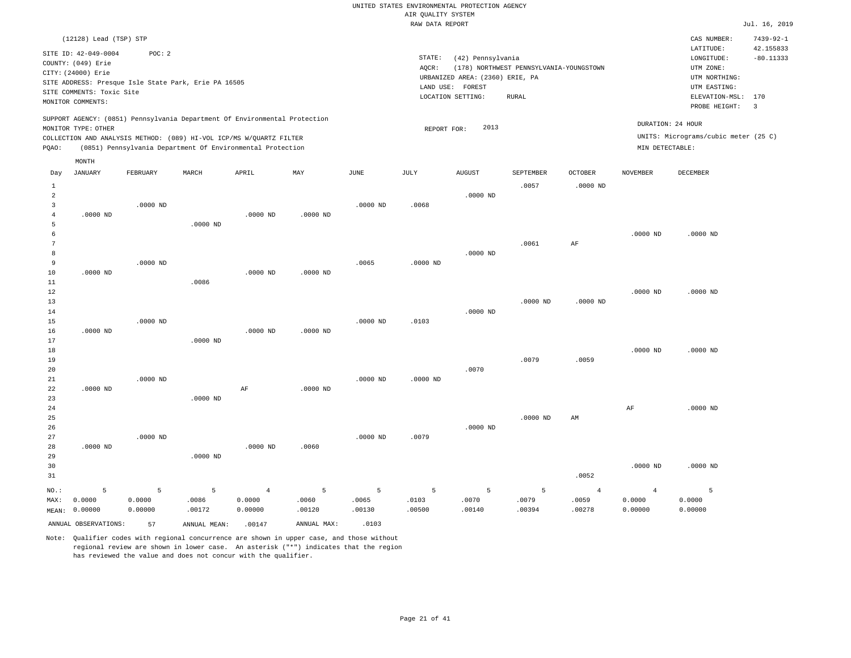|                                |                                                                                                                    |            |                                                                                                                                   |                |             |                | RAW DATA REPORT             |                                                                                               |                                                  |                |                   |                                                                                                          | Jul. 16, 2019                                     |
|--------------------------------|--------------------------------------------------------------------------------------------------------------------|------------|-----------------------------------------------------------------------------------------------------------------------------------|----------------|-------------|----------------|-----------------------------|-----------------------------------------------------------------------------------------------|--------------------------------------------------|----------------|-------------------|----------------------------------------------------------------------------------------------------------|---------------------------------------------------|
|                                | (12128) Lead (TSP) STP                                                                                             |            |                                                                                                                                   |                |             |                |                             |                                                                                               |                                                  |                |                   | CAS NUMBER:                                                                                              | $7439 - 92 - 1$                                   |
|                                | SITE ID: 42-049-0004<br>COUNTY: (049) Erie<br>CITY: (24000) Erie<br>SITE COMMENTS: Toxic Site<br>MONITOR COMMENTS: | POC: 2     | SITE ADDRESS: Presque Isle State Park, Erie PA 16505                                                                              |                |             |                | $\texttt{STATE}$ :<br>AQCR: | (42) Pennsylvania<br>URBANIZED AREA: (2360) ERIE, PA<br>LAND USE: FOREST<br>LOCATION SETTING: | (178) NORTHWEST PENNSYLVANIA-YOUNGSTOWN<br>RURAL |                |                   | LATITUDE:<br>LONGITUDE:<br>UTM ZONE:<br>UTM NORTHING:<br>UTM EASTING:<br>ELEVATION-MSL:<br>PROBE HEIGHT: | 42.155833<br>$-80.11333$<br>170<br>$\overline{3}$ |
|                                | MONITOR TYPE: OTHER                                                                                                |            | SUPPORT AGENCY: (0851) Pennsylvania Department Of Environmental Protection                                                        |                |             |                | REPORT FOR:                 | 2013                                                                                          |                                                  |                | DURATION: 24 HOUR |                                                                                                          |                                                   |
| PQAO:                          |                                                                                                                    |            | COLLECTION AND ANALYSIS METHOD: (089) HI-VOL ICP/MS W/QUARTZ FILTER<br>(0851) Pennsylvania Department Of Environmental Protection |                |             |                |                             |                                                                                               |                                                  |                | MIN DETECTABLE:   | UNITS: Micrograms/cubic meter (25 C)                                                                     |                                                   |
|                                | MONTH                                                                                                              |            |                                                                                                                                   |                |             |                |                             |                                                                                               |                                                  |                |                   |                                                                                                          |                                                   |
| Day                            | JANUARY                                                                                                            | FEBRUARY   | MARCH                                                                                                                             | APRIL          | MAY         | JUNE           | JULY                        | <b>AUGUST</b>                                                                                 | SEPTEMBER                                        | OCTOBER        | <b>NOVEMBER</b>   | DECEMBER                                                                                                 |                                                   |
| $\mathbf{1}$<br>$\overline{a}$ |                                                                                                                    |            |                                                                                                                                   |                |             |                |                             | $.0000$ ND                                                                                    | .0057                                            | $.0000$ ND     |                   |                                                                                                          |                                                   |
| $\overline{3}$                 |                                                                                                                    | $.0000$ ND |                                                                                                                                   |                |             | .0000 ND       | .0068                       |                                                                                               |                                                  |                |                   |                                                                                                          |                                                   |
| $\overline{4}$                 | $.0000$ ND                                                                                                         |            |                                                                                                                                   | $.0000$ ND     | $.0000$ ND  |                |                             |                                                                                               |                                                  |                |                   |                                                                                                          |                                                   |
| 5<br>6                         |                                                                                                                    |            | $.0000$ ND                                                                                                                        |                |             |                |                             |                                                                                               |                                                  |                | $.0000$ ND        | $.0000$ ND                                                                                               |                                                   |
| $7\phantom{.0}$                |                                                                                                                    |            |                                                                                                                                   |                |             |                |                             |                                                                                               | .0061                                            | AF             |                   |                                                                                                          |                                                   |
| 8                              |                                                                                                                    |            |                                                                                                                                   |                |             |                |                             | $.0000$ ND                                                                                    |                                                  |                |                   |                                                                                                          |                                                   |
| 9                              |                                                                                                                    | $.0000$ ND |                                                                                                                                   |                |             | .0065          | $.0000$ ND                  |                                                                                               |                                                  |                |                   |                                                                                                          |                                                   |
| 10<br>11                       | $.0000$ ND                                                                                                         |            | .0086                                                                                                                             | $.0000$ ND     | $.0000$ ND  |                |                             |                                                                                               |                                                  |                |                   |                                                                                                          |                                                   |
| 12                             |                                                                                                                    |            |                                                                                                                                   |                |             |                |                             |                                                                                               |                                                  |                | $.0000$ ND        | $.0000$ ND                                                                                               |                                                   |
| 13                             |                                                                                                                    |            |                                                                                                                                   |                |             |                |                             |                                                                                               | $.0000$ ND                                       | $.0000$ ND     |                   |                                                                                                          |                                                   |
| 14<br>15                       |                                                                                                                    | $.0000$ ND |                                                                                                                                   |                |             | .0000 ND       | .0103                       | $.0000$ ND                                                                                    |                                                  |                |                   |                                                                                                          |                                                   |
| 16                             | $.0000$ ND                                                                                                         |            |                                                                                                                                   | $.0000$ ND     | $.0000$ ND  |                |                             |                                                                                               |                                                  |                |                   |                                                                                                          |                                                   |
| 17                             |                                                                                                                    |            | $.0000 \text{ ND}$                                                                                                                |                |             |                |                             |                                                                                               |                                                  |                |                   |                                                                                                          |                                                   |
| 18                             |                                                                                                                    |            |                                                                                                                                   |                |             |                |                             |                                                                                               |                                                  |                | $.0000$ ND        | $.0000$ ND                                                                                               |                                                   |
| 19<br>20                       |                                                                                                                    |            |                                                                                                                                   |                |             |                |                             | .0070                                                                                         | .0079                                            | .0059          |                   |                                                                                                          |                                                   |
| 21                             |                                                                                                                    | $.0000$ ND |                                                                                                                                   |                |             | $.0000$ ND     | $.0000$ ND                  |                                                                                               |                                                  |                |                   |                                                                                                          |                                                   |
| 22                             | $.0000$ ND                                                                                                         |            |                                                                                                                                   | AF             | $.0000$ ND  |                |                             |                                                                                               |                                                  |                |                   |                                                                                                          |                                                   |
| 23<br>24                       |                                                                                                                    |            | $.0000$ ND                                                                                                                        |                |             |                |                             |                                                                                               |                                                  |                | AF                | $.0000$ ND                                                                                               |                                                   |
| 25                             |                                                                                                                    |            |                                                                                                                                   |                |             |                |                             |                                                                                               | $.0000$ ND                                       | AM             |                   |                                                                                                          |                                                   |
| 26                             |                                                                                                                    |            |                                                                                                                                   |                |             |                |                             | $.0000$ ND                                                                                    |                                                  |                |                   |                                                                                                          |                                                   |
| 27                             |                                                                                                                    | $.0000$ ND |                                                                                                                                   |                |             | $.0000$ ND     | .0079                       |                                                                                               |                                                  |                |                   |                                                                                                          |                                                   |
| 28<br>29                       | $.0000$ ND                                                                                                         |            | .0000 ND                                                                                                                          | $.0000$ ND     | .0060       |                |                             |                                                                                               |                                                  |                |                   |                                                                                                          |                                                   |
| 30                             |                                                                                                                    |            |                                                                                                                                   |                |             |                |                             |                                                                                               |                                                  |                | $.0000$ ND        | $.0000$ ND                                                                                               |                                                   |
| 31                             |                                                                                                                    |            |                                                                                                                                   |                |             |                |                             |                                                                                               |                                                  | .0052          |                   |                                                                                                          |                                                   |
| NO.:                           | 5                                                                                                                  | 5          | 5                                                                                                                                 | $\overline{4}$ | 5           | $\overline{5}$ | 5                           | 5                                                                                             | $\overline{5}$                                   | $\overline{4}$ | $\overline{4}$    | $\overline{5}$                                                                                           |                                                   |
| MAX:                           | 0.0000                                                                                                             | 0.0000     | .0086                                                                                                                             | 0.0000         | .0060       | .0065          | .0103                       | .0070                                                                                         | .0079                                            | .0059          | 0.0000            | 0.0000                                                                                                   |                                                   |
| MEAN:                          | 0.00000                                                                                                            | 0.00000    | .00172                                                                                                                            | 0.00000        | .00120      | .00130         | .00500                      | .00140                                                                                        | .00394                                           | .00278         | 0.00000           | 0.00000                                                                                                  |                                                   |
|                                | ANNUAL OBSERVATIONS:                                                                                               | 57         | ANNUAL MEAN:                                                                                                                      | .00147         | ANNUAL MAX: | .0103          |                             |                                                                                               |                                                  |                |                   |                                                                                                          |                                                   |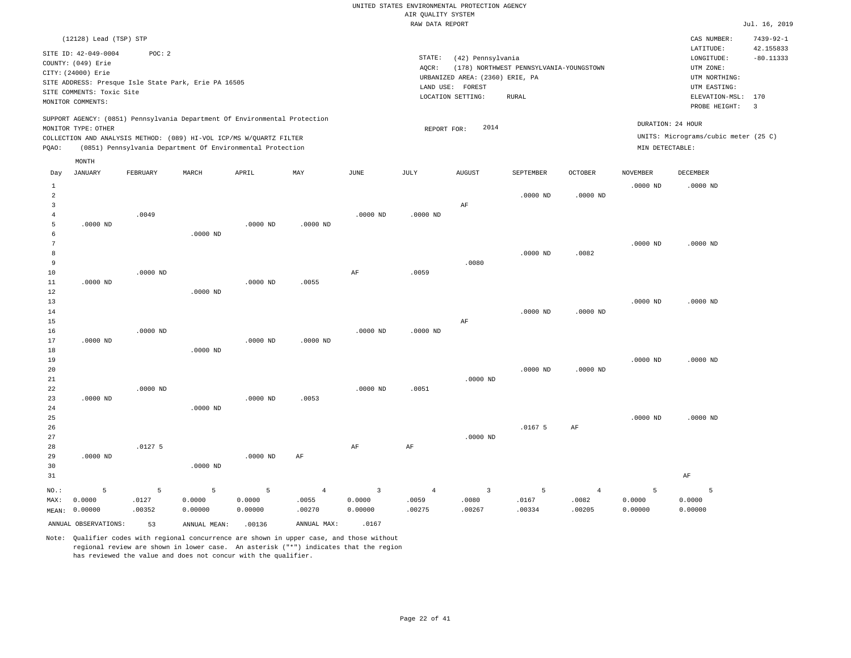|                                  |                           |            |                                                                            |            |                         |                         | RAW DATA REPORT |                                 |                                         |                |                 |                                      | Jul. 16, 2019           |
|----------------------------------|---------------------------|------------|----------------------------------------------------------------------------|------------|-------------------------|-------------------------|-----------------|---------------------------------|-----------------------------------------|----------------|-----------------|--------------------------------------|-------------------------|
|                                  | (12128) Lead (TSP) STP    |            |                                                                            |            |                         |                         |                 |                                 |                                         |                |                 | CAS NUMBER:                          | $7439 - 92 - 1$         |
|                                  | SITE ID: 42-049-0004      | POC: 2     |                                                                            |            |                         |                         |                 |                                 |                                         |                |                 | LATITUDE:                            | 42.155833               |
|                                  | COUNTY: (049) Erie        |            |                                                                            |            |                         |                         | STATE:          | (42) Pennsylvania               |                                         |                |                 | LONGITUDE:                           | $-80.11333$             |
|                                  | CITY: (24000) Erie        |            |                                                                            |            |                         |                         | AOCR:           |                                 | (178) NORTHWEST PENNSYLVANIA-YOUNGSTOWN |                |                 | UTM ZONE:                            |                         |
|                                  |                           |            | SITE ADDRESS: Presque Isle State Park, Erie PA 16505                       |            |                         |                         |                 | URBANIZED AREA: (2360) ERIE, PA |                                         |                |                 | UTM NORTHING:                        |                         |
|                                  | SITE COMMENTS: Toxic Site |            |                                                                            |            |                         |                         |                 | LAND USE: FOREST                |                                         |                |                 | UTM EASTING:                         |                         |
|                                  | MONITOR COMMENTS:         |            |                                                                            |            |                         |                         |                 | LOCATION SETTING:               | <b>RURAL</b>                            |                |                 | ELEVATION-MSL: 170                   |                         |
|                                  |                           |            |                                                                            |            |                         |                         |                 |                                 |                                         |                |                 | PROBE HEIGHT:                        | $\overline{\mathbf{3}}$ |
|                                  |                           |            | SUPPORT AGENCY: (0851) Pennsylvania Department Of Environmental Protection |            |                         |                         |                 | 2014                            |                                         |                |                 | DURATION: 24 HOUR                    |                         |
|                                  | MONITOR TYPE: OTHER       |            | COLLECTION AND ANALYSIS METHOD: (089) HI-VOL ICP/MS W/QUARTZ FILTER        |            |                         |                         | REPORT FOR:     |                                 |                                         |                |                 | UNITS: Micrograms/cubic meter (25 C) |                         |
| PQAO:                            |                           |            | (0851) Pennsylvania Department Of Environmental Protection                 |            |                         |                         |                 |                                 |                                         |                | MIN DETECTABLE: |                                      |                         |
|                                  |                           |            |                                                                            |            |                         |                         |                 |                                 |                                         |                |                 |                                      |                         |
|                                  | MONTH                     |            |                                                                            |            |                         |                         |                 |                                 |                                         |                |                 |                                      |                         |
| Day                              | JANUARY                   | FEBRUARY   | MARCH                                                                      | APRIL      | MAY                     | JUNE                    | JULY            | <b>AUGUST</b>                   | SEPTEMBER                               | OCTOBER        | NOVEMBER        | DECEMBER                             |                         |
| $\mathbf{1}$                     |                           |            |                                                                            |            |                         |                         |                 |                                 |                                         |                | $.0000$ ND      | $.0000$ ND                           |                         |
| $\overline{a}$                   |                           |            |                                                                            |            |                         |                         |                 |                                 | $.0000$ ND                              | $.0000$ ND     |                 |                                      |                         |
| $\overline{3}$<br>$\overline{4}$ |                           | .0049      |                                                                            |            |                         | $.0000$ ND              | $.0000$ ND      | $\rm AF$                        |                                         |                |                 |                                      |                         |
| $\overline{5}$                   | $.0000$ ND                |            |                                                                            | $.0000$ ND | $.0000$ ND              |                         |                 |                                 |                                         |                |                 |                                      |                         |
| 6                                |                           |            | $.0000$ ND                                                                 |            |                         |                         |                 |                                 |                                         |                |                 |                                      |                         |
| $7\phantom{.0}$                  |                           |            |                                                                            |            |                         |                         |                 |                                 |                                         |                | $.0000$ ND      | $.0000$ ND                           |                         |
| 8                                |                           |            |                                                                            |            |                         |                         |                 |                                 | $.0000$ ND                              | .0082          |                 |                                      |                         |
| 9                                |                           |            |                                                                            |            |                         |                         |                 | .0080                           |                                         |                |                 |                                      |                         |
| 10                               |                           | $.0000$ ND |                                                                            |            |                         | AF                      | .0059           |                                 |                                         |                |                 |                                      |                         |
| 11                               | $.0000$ ND                |            |                                                                            | $.0000$ ND | .0055                   |                         |                 |                                 |                                         |                |                 |                                      |                         |
| 12                               |                           |            | $.0000$ ND                                                                 |            |                         |                         |                 |                                 |                                         |                |                 |                                      |                         |
| 13                               |                           |            |                                                                            |            |                         |                         |                 |                                 |                                         |                | $.0000$ ND      | $.0000$ ND                           |                         |
| 14<br>15                         |                           |            |                                                                            |            |                         |                         |                 |                                 | $.0000$ ND                              | $.0000$ ND     |                 |                                      |                         |
| 16                               |                           | $.0000$ ND |                                                                            |            |                         | $.0000$ ND              | $.0000$ ND      | $\rm AF$                        |                                         |                |                 |                                      |                         |
| $17$                             | $.0000$ ND                |            |                                                                            | .0000 ND   | $.0000$ ND              |                         |                 |                                 |                                         |                |                 |                                      |                         |
| $1\,8$                           |                           |            | $.0000$ ND                                                                 |            |                         |                         |                 |                                 |                                         |                |                 |                                      |                         |
| 19                               |                           |            |                                                                            |            |                         |                         |                 |                                 |                                         |                | $.0000$ ND      | $.0000$ ND                           |                         |
| 20                               |                           |            |                                                                            |            |                         |                         |                 |                                 | $.0000$ ND                              | $.0000$ ND     |                 |                                      |                         |
| 21                               |                           |            |                                                                            |            |                         |                         |                 | $.0000$ ND                      |                                         |                |                 |                                      |                         |
| 22                               |                           | $.0000$ ND |                                                                            |            |                         | $.0000$ ND              | .0051           |                                 |                                         |                |                 |                                      |                         |
| 23                               | $.0000$ ND                |            |                                                                            | $.0000$ ND | .0053                   |                         |                 |                                 |                                         |                |                 |                                      |                         |
| 24                               |                           |            | $.0000$ ND                                                                 |            |                         |                         |                 |                                 |                                         |                |                 |                                      |                         |
| 25                               |                           |            |                                                                            |            |                         |                         |                 |                                 |                                         |                | $.0000$ ND      | $.0000$ ND                           |                         |
| 26<br>27                         |                           |            |                                                                            |            |                         |                         |                 | $.0000$ ND                      | .01675                                  | AF             |                 |                                      |                         |
| 28                               |                           | .01275     |                                                                            |            |                         | AF                      | AF              |                                 |                                         |                |                 |                                      |                         |
| 29                               | $.0000$ ND                |            |                                                                            | $.0000$ ND | AF                      |                         |                 |                                 |                                         |                |                 |                                      |                         |
| 30                               |                           |            | $.0000$ ND                                                                 |            |                         |                         |                 |                                 |                                         |                |                 |                                      |                         |
| 31                               |                           |            |                                                                            |            |                         |                         |                 |                                 |                                         |                |                 | AF                                   |                         |
|                                  | 5                         | 5          | 5                                                                          | 5          |                         | $\overline{\mathbf{3}}$ | $\overline{4}$  | $\overline{3}$                  | 5                                       | $\overline{4}$ | 5               | 5                                    |                         |
| NO.:<br>MAX:                     | 0.0000                    | .0127      | 0.0000                                                                     | 0.0000     | $\overline{4}$<br>.0055 | 0.0000                  | .0059           | .0080                           | .0167                                   | .0082          | 0.0000          | 0.0000                               |                         |
| MEAN:                            | 0.00000                   | .00352     | 0.00000                                                                    | 0.00000    | .00270                  | 0.00000                 | .00275          | .00267                          | .00334                                  | .00205         | 0.00000         | 0.00000                              |                         |
|                                  |                           |            |                                                                            |            |                         |                         |                 |                                 |                                         |                |                 |                                      |                         |
|                                  | ANNUAL OBSERVATIONS:      | 53         | ANNUAL MEAN:                                                               | .00136     | ANNUAL MAX:             | .0167                   |                 |                                 |                                         |                |                 |                                      |                         |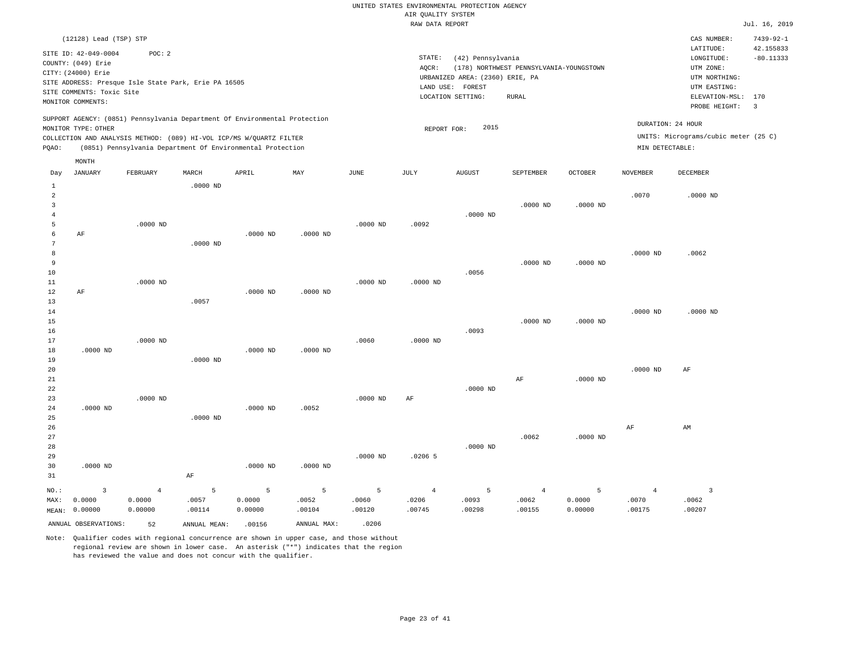#### RAW DATA REPORT JUL. 16, 2019 UNITED STATES ENVIRONMENTAL PROTECTION AGENCY AIR QUALITY SYSTEM

|                | (12128) Lead (TSP) STP    |                                                      |              |                                                                            |             |               |                |                                 |                                         |            |                 | CAS NUMBER:                          | $7439 - 92 - 1$         |
|----------------|---------------------------|------------------------------------------------------|--------------|----------------------------------------------------------------------------|-------------|---------------|----------------|---------------------------------|-----------------------------------------|------------|-----------------|--------------------------------------|-------------------------|
|                |                           |                                                      |              |                                                                            |             |               |                |                                 |                                         |            |                 | LATITUDE:                            | 42.155833               |
|                | SITE ID: 42-049-0004      | POC: 2                                               |              |                                                                            |             |               | STATE:         | (42) Pennsylvania               |                                         |            |                 | LONGITUDE:                           | $-80.11333$             |
|                | COUNTY: (049) Erie        |                                                      |              |                                                                            |             |               | AQCR:          |                                 | (178) NORTHWEST PENNSYLVANIA-YOUNGSTOWN |            |                 | UTM ZONE:                            |                         |
|                | CITY: (24000) Erie        |                                                      |              |                                                                            |             |               |                | URBANIZED AREA: (2360) ERIE, PA |                                         |            |                 | UTM NORTHING:                        |                         |
|                |                           | SITE ADDRESS: Presque Isle State Park, Erie PA 16505 |              |                                                                            |             |               | LAND USE:      | FOREST                          |                                         |            |                 | UTM EASTING:                         |                         |
|                | SITE COMMENTS: Toxic Site |                                                      |              |                                                                            |             |               |                | LOCATION SETTING:               | <b>RURAL</b>                            |            |                 | ELEVATION-MSL:                       | 170                     |
|                | MONITOR COMMENTS:         |                                                      |              |                                                                            |             |               |                |                                 |                                         |            |                 | PROBE HEIGHT:                        | $\overline{\mathbf{3}}$ |
|                | MONITOR TYPE: OTHER       |                                                      |              | SUPPORT AGENCY: (0851) Pennsylvania Department Of Environmental Protection |             |               | REPORT FOR:    | 2015                            |                                         |            |                 | DURATION: 24 HOUR                    |                         |
|                |                           |                                                      |              | COLLECTION AND ANALYSIS METHOD: (089) HI-VOL ICP/MS W/QUARTZ FILTER        |             |               |                |                                 |                                         |            |                 | UNITS: Micrograms/cubic meter (25 C) |                         |
| PQAO:          |                           |                                                      |              | (0851) Pennsylvania Department Of Environmental Protection                 |             |               |                |                                 |                                         |            | MIN DETECTABLE: |                                      |                         |
|                | MONTH                     |                                                      |              |                                                                            |             |               |                |                                 |                                         |            |                 |                                      |                         |
| Day            | <b>JANUARY</b>            | FEBRUARY                                             | MARCH        | APRIL                                                                      | MAY         | $_{\rm JUNE}$ | JULY           | <b>AUGUST</b>                   | SEPTEMBER                               | OCTOBER    | NOVEMBER        | DECEMBER                             |                         |
| $\mathbf{1}$   |                           |                                                      | $.0000$ ND   |                                                                            |             |               |                |                                 |                                         |            |                 |                                      |                         |
| $\overline{a}$ |                           |                                                      |              |                                                                            |             |               |                |                                 |                                         |            | .0070           | $.0000$ ND                           |                         |
| 3              |                           |                                                      |              |                                                                            |             |               |                |                                 | $.0000$ ND                              | $.0000$ ND |                 |                                      |                         |
| $\overline{4}$ |                           |                                                      |              |                                                                            |             |               |                | $.0000$ ND                      |                                         |            |                 |                                      |                         |
| 5              |                           | $.0000$ ND                                           |              |                                                                            |             | $.0000$ ND    | .0092          |                                 |                                         |            |                 |                                      |                         |
| 6              | $\rm AF$                  |                                                      |              | .0000 ND                                                                   | $.0000$ ND  |               |                |                                 |                                         |            |                 |                                      |                         |
| 7              |                           |                                                      | $.0000$ ND   |                                                                            |             |               |                |                                 |                                         |            |                 |                                      |                         |
| 8              |                           |                                                      |              |                                                                            |             |               |                |                                 |                                         |            | $.0000$ ND      | .0062                                |                         |
| 9              |                           |                                                      |              |                                                                            |             |               |                |                                 | $.0000$ ND                              | $.0000$ ND |                 |                                      |                         |
| $10$           |                           |                                                      |              |                                                                            |             |               |                | .0056                           |                                         |            |                 |                                      |                         |
| 11             |                           | $.0000$ ND                                           |              |                                                                            |             | $.0000$ ND    | $.0000$ ND     |                                 |                                         |            |                 |                                      |                         |
| 12             | $\rm AF$                  |                                                      |              | .0000 ND                                                                   | $.0000$ ND  |               |                |                                 |                                         |            |                 |                                      |                         |
| 13             |                           |                                                      | .0057        |                                                                            |             |               |                |                                 |                                         |            |                 |                                      |                         |
| 14             |                           |                                                      |              |                                                                            |             |               |                |                                 |                                         |            | $.0000$ ND      | $.0000$ ND                           |                         |
| 15             |                           |                                                      |              |                                                                            |             |               |                |                                 | $.0000$ ND                              | $.0000$ ND |                 |                                      |                         |
| 16             |                           |                                                      |              |                                                                            |             |               |                | .0093                           |                                         |            |                 |                                      |                         |
| 17             |                           | $.0000$ ND                                           |              |                                                                            |             | .0060         | $.0000$ ND     |                                 |                                         |            |                 |                                      |                         |
| 18             | $.0000$ ND                |                                                      |              | .0000 ND                                                                   | .0000 ND    |               |                |                                 |                                         |            |                 |                                      |                         |
| 19             |                           |                                                      | $.0000$ ND   |                                                                            |             |               |                |                                 |                                         |            |                 |                                      |                         |
| 20<br>21       |                           |                                                      |              |                                                                            |             |               |                |                                 | AF                                      | $.0000$ ND | $.0000$ ND      | AF                                   |                         |
| 22             |                           |                                                      |              |                                                                            |             |               |                | $.0000$ ND                      |                                         |            |                 |                                      |                         |
| 23             |                           | $.0000$ ND                                           |              |                                                                            |             | $.0000$ ND    | AF             |                                 |                                         |            |                 |                                      |                         |
| 24             | $.0000$ ND                |                                                      |              | .0000 ND                                                                   | .0052       |               |                |                                 |                                         |            |                 |                                      |                         |
| 25             |                           |                                                      | $.0000$ ND   |                                                                            |             |               |                |                                 |                                         |            |                 |                                      |                         |
| 26             |                           |                                                      |              |                                                                            |             |               |                |                                 |                                         |            | AF              | AM                                   |                         |
| 27             |                           |                                                      |              |                                                                            |             |               |                |                                 | .0062                                   | $.0000$ ND |                 |                                      |                         |
| 28             |                           |                                                      |              |                                                                            |             |               |                | $.0000$ ND                      |                                         |            |                 |                                      |                         |
| 29             |                           |                                                      |              |                                                                            |             | .0000 ND      | $.0206$ 5      |                                 |                                         |            |                 |                                      |                         |
| 30             | $.0000$ ND                |                                                      |              | $.0000$ ND                                                                 | .0000 ND    |               |                |                                 |                                         |            |                 |                                      |                         |
| 31             |                           |                                                      | AF           |                                                                            |             |               |                |                                 |                                         |            |                 |                                      |                         |
| NO.:           | 3                         | $\overline{4}$                                       | 5            | 5                                                                          | 5           | 5             | $\overline{4}$ | 5                               | $\overline{4}$                          | 5          | $\overline{4}$  | $\overline{3}$                       |                         |
| MAX:           | 0.0000                    | 0.0000                                               | .0057        | 0.0000                                                                     | .0052       | .0060         | .0206          | .0093                           | .0062                                   | 0.0000     | .0070           | .0062                                |                         |
| MEAN:          | 0.00000                   | 0.00000                                              | .00114       | 0.00000                                                                    | .00104      | .00120        | .00745         | .00298                          | .00155                                  | 0.00000    | .00175          | .00207                               |                         |
|                | ANNUAL OBSERVATIONS:      |                                                      |              | .00156                                                                     | ANNUAL MAX: | .0206         |                |                                 |                                         |            |                 |                                      |                         |
|                |                           | 52                                                   | ANNUAL MEAN: |                                                                            |             |               |                |                                 |                                         |            |                 |                                      |                         |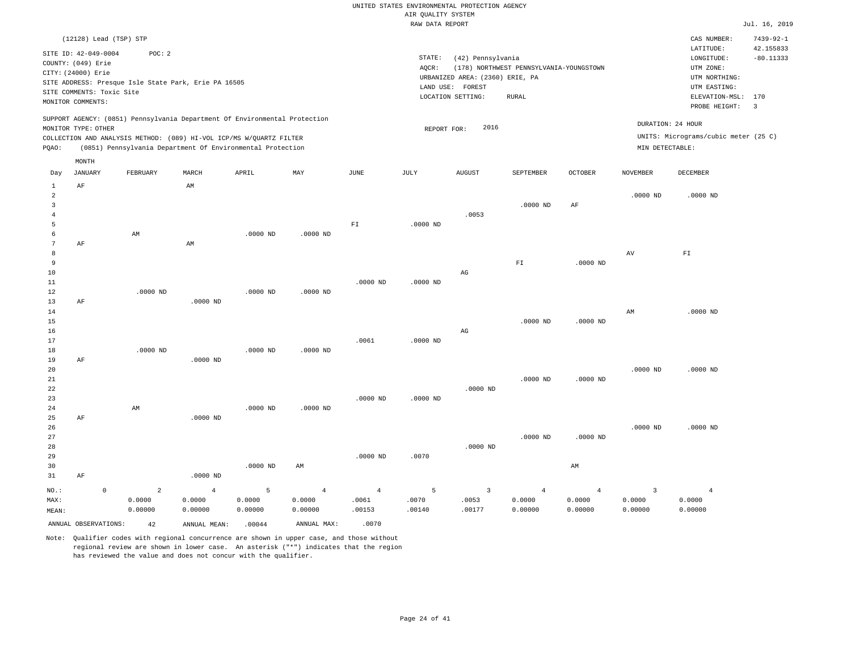|                |                           |                                                                            |                |            |                |                            | RAW DATA REPORT |                                 |                                         |                |                 |                                      | Jul. 16, 2019           |
|----------------|---------------------------|----------------------------------------------------------------------------|----------------|------------|----------------|----------------------------|-----------------|---------------------------------|-----------------------------------------|----------------|-----------------|--------------------------------------|-------------------------|
|                |                           | (12128) Lead (TSP) STP                                                     |                |            |                |                            |                 |                                 |                                         |                |                 | CAS NUMBER:                          | $7439 - 92 - 1$         |
|                |                           |                                                                            |                |            |                |                            |                 |                                 |                                         |                |                 | LATITUDE:                            | 42.155833               |
|                | SITE ID: 42-049-0004      | POC: 2                                                                     |                |            |                |                            | STATE:          | (42) Pennsylvania               |                                         |                |                 | LONGITUDE:                           | $-80.11333$             |
|                | COUNTY: (049) Erie        |                                                                            |                |            |                |                            | AQCR:           |                                 | (178) NORTHWEST PENNSYLVANIA-YOUNGSTOWN |                |                 | UTM ZONE:                            |                         |
|                | CITY: (24000) Erie        |                                                                            |                |            |                |                            |                 | URBANIZED AREA: (2360) ERIE, PA |                                         |                |                 | UTM NORTHING:                        |                         |
|                |                           | SITE ADDRESS: Presque Isle State Park, Erie PA 16505                       |                |            |                |                            |                 | LAND USE: FOREST                |                                         |                |                 | UTM EASTING:                         |                         |
|                | SITE COMMENTS: Toxic Site |                                                                            |                |            |                |                            |                 | LOCATION SETTING:               | RURAL                                   |                |                 | ELEVATION-MSL:                       | 170                     |
|                | MONITOR COMMENTS:         |                                                                            |                |            |                |                            |                 |                                 |                                         |                |                 | PROBE HEIGHT:                        | $\overline{\mathbf{3}}$ |
|                |                           | SUPPORT AGENCY: (0851) Pennsylvania Department Of Environmental Protection |                |            |                |                            |                 |                                 |                                         |                |                 |                                      |                         |
|                | MONITOR TYPE: OTHER       |                                                                            |                |            |                |                            | REPORT FOR:     | 2016                            |                                         |                |                 | DURATION: 24 HOUR                    |                         |
|                |                           | COLLECTION AND ANALYSIS METHOD: (089) HI-VOL ICP/MS W/QUARTZ FILTER        |                |            |                |                            |                 |                                 |                                         |                |                 | UNITS: Micrograms/cubic meter (25 C) |                         |
| PQAO:          |                           | (0851) Pennsylvania Department Of Environmental Protection                 |                |            |                |                            |                 |                                 |                                         |                | MIN DETECTABLE: |                                      |                         |
|                | MONTH                     |                                                                            |                |            |                |                            |                 |                                 |                                         |                |                 |                                      |                         |
| Day            | JANUARY                   | FEBRUARY                                                                   | MARCH          | APRIL      | MAY            | JUNE                       | JULY            | AUGUST                          | SEPTEMBER                               | <b>OCTOBER</b> | <b>NOVEMBER</b> | DECEMBER                             |                         |
| 1              | $\rm AF$                  |                                                                            | AM             |            |                |                            |                 |                                 |                                         |                |                 |                                      |                         |
| 2              |                           |                                                                            |                |            |                |                            |                 |                                 |                                         |                | .0000 ND        | $.0000$ ND                           |                         |
| $\overline{3}$ |                           |                                                                            |                |            |                |                            |                 |                                 | $.0000$ ND                              | AF             |                 |                                      |                         |
| $\bf{4}$       |                           |                                                                            |                |            |                |                            |                 | .0053                           |                                         |                |                 |                                      |                         |
| 5              |                           |                                                                            |                |            |                | $\mathbb{F} \, \mathbb{I}$ | $.0000$ ND      |                                 |                                         |                |                 |                                      |                         |
| 6              |                           | AM                                                                         |                | $.0000$ ND | $.0000$ ND     |                            |                 |                                 |                                         |                |                 |                                      |                         |
| 7              | AF                        |                                                                            | AM             |            |                |                            |                 |                                 |                                         |                |                 |                                      |                         |
| 8              |                           |                                                                            |                |            |                |                            |                 |                                 |                                         |                | AV              | ${\rm F\,I}$                         |                         |
| 9              |                           |                                                                            |                |            |                |                            |                 |                                 | ${\rm FT}$                              | $.0000$ ND     |                 |                                      |                         |
| 10             |                           |                                                                            |                |            |                | $.0000$ ND                 |                 | $_{\rm AG}$                     |                                         |                |                 |                                      |                         |
| 11<br>12       |                           | $.0000$ ND                                                                 |                | .0000 ND   | $.0000$ ND     |                            | $.0000$ ND      |                                 |                                         |                |                 |                                      |                         |
| 13             | AF                        |                                                                            | $.0000$ ND     |            |                |                            |                 |                                 |                                         |                |                 |                                      |                         |
| 14             |                           |                                                                            |                |            |                |                            |                 |                                 |                                         |                | AM              | $.0000$ ND                           |                         |
| 15             |                           |                                                                            |                |            |                |                            |                 |                                 | $.0000$ ND                              | $.0000$ ND     |                 |                                      |                         |
| 16             |                           |                                                                            |                |            |                |                            |                 | $\rm{AG}$                       |                                         |                |                 |                                      |                         |
| 17             |                           |                                                                            |                |            |                | .0061                      | $.0000$ ND      |                                 |                                         |                |                 |                                      |                         |
| 18             |                           | $.0000$ ND                                                                 |                | .0000 ND   | $.0000$ ND     |                            |                 |                                 |                                         |                |                 |                                      |                         |
| 19             | AF                        |                                                                            | $.0000$ ND     |            |                |                            |                 |                                 |                                         |                |                 |                                      |                         |
| 20             |                           |                                                                            |                |            |                |                            |                 |                                 |                                         |                | $.0000$ ND      | $.0000$ ND                           |                         |
| $2\sqrt{1}$    |                           |                                                                            |                |            |                |                            |                 |                                 | $.0000$ ND                              | $.0000$ ND     |                 |                                      |                         |
| 22             |                           |                                                                            |                |            |                |                            |                 | $.0000$ ND                      |                                         |                |                 |                                      |                         |
| 23             |                           |                                                                            |                |            |                | $.0000$ ND                 | $.0000$ ND      |                                 |                                         |                |                 |                                      |                         |
| 24             |                           | AM                                                                         |                | .0000 ND   | $.0000$ ND     |                            |                 |                                 |                                         |                |                 |                                      |                         |
| 25             | AF                        |                                                                            | $.0000$ ND     |            |                |                            |                 |                                 |                                         |                |                 |                                      |                         |
| 26             |                           |                                                                            |                |            |                |                            |                 |                                 |                                         |                | $.0000$ ND      | $.0000$ ND                           |                         |
| 27             |                           |                                                                            |                |            |                |                            |                 |                                 | $.0000$ ND                              | $.0000$ ND     |                 |                                      |                         |
| 28             |                           |                                                                            |                |            |                |                            |                 | $.0000$ ND                      |                                         |                |                 |                                      |                         |
| 29             |                           |                                                                            |                |            |                | $.0000$ ND                 | .0070           |                                 |                                         |                |                 |                                      |                         |
| 30             |                           |                                                                            |                | $.0000$ ND | AM             |                            |                 |                                 |                                         | AM             |                 |                                      |                         |
| 31             | AF                        |                                                                            | $.0000$ ND     |            |                |                            |                 |                                 |                                         |                |                 |                                      |                         |
| NO.:           |                           | $\mathsf{O}\xspace$<br>2                                                   | $\overline{4}$ | 5          | $\overline{4}$ | $\overline{4}$             | 5               | $\overline{\mathbf{3}}$         | $\overline{4}$                          | $\overline{4}$ | $\overline{3}$  | $\overline{4}$                       |                         |
| MAX:           |                           | 0.0000                                                                     | 0.0000         | 0.0000     | 0.0000         | .0061                      | .0070           | .0053                           | 0.0000                                  | 0.0000         | 0.0000          | 0.0000                               |                         |
| MEAN:          |                           | 0.00000                                                                    | 0.00000        | 0.00000    | 0.00000        | .00153                     | .00140          | .00177                          | 0.00000                                 | 0.00000        | 0.00000         | 0.00000                              |                         |
|                | ANNUAL OBSERVATIONS:      | 42                                                                         | ANNUAL MEAN:   | .00044     | ANNUAL MAX:    | .0070                      |                 |                                 |                                         |                |                 |                                      |                         |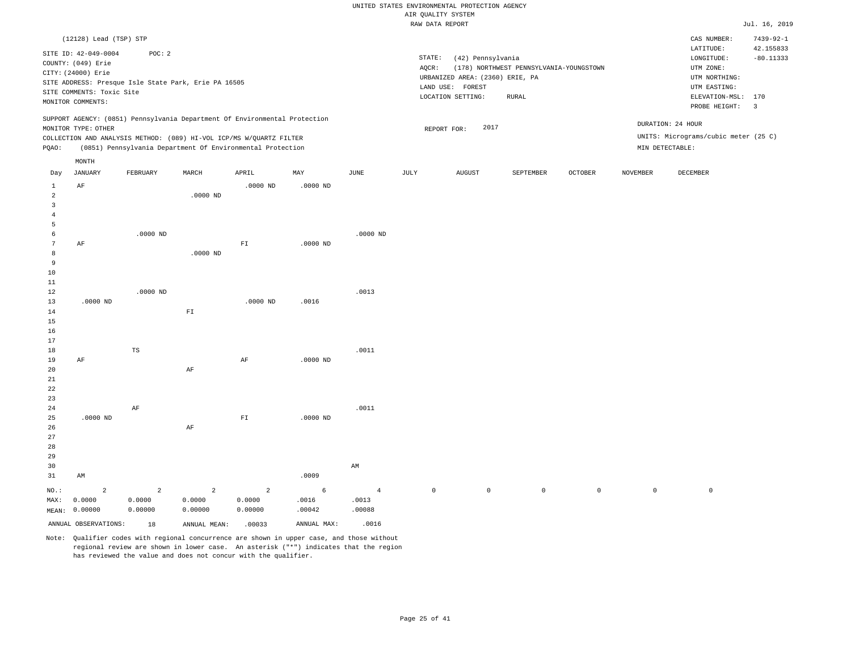#### RAW DATA REPORT JUL. 16, 2019 UNITED STATES ENVIRONMENTAL PROTECTION AGENCY AIR QUALITY SYSTEM

|                                                                             | (12128) Lead (TSP) STP<br>SITE ID: 42-049-0004<br>COUNTY: (049) Erie<br>CITY: (24000) Erie<br>SITE COMMENTS: Toxic Site<br>MONITOR COMMENTS: | POC: 2<br>SITE ADDRESS: Presque Isle State Park, Erie PA 16505 |                                     |                                                                                                                                                                                                                 |                      |                                   | STATE:<br>AQCR:     | (42) Pennsylvania<br>URBANIZED AREA: (2360) ERIE, PA<br>LAND USE: FOREST<br>LOCATION SETTING: | (178) NORTHWEST PENNSYLVANIA-YOUNGSTOWN<br><b>RURAL</b> |                |                     | CAS NUMBER:<br>LATITUDE:<br>LONGITUDE:<br>UTM ZONE:<br>UTM NORTHING:<br>UTM EASTING:<br>ELEVATION-MSL: 170 | $7439 - 92 - 1$<br>42.155833<br>$-80.11333$<br>$\overline{3}$ |
|-----------------------------------------------------------------------------|----------------------------------------------------------------------------------------------------------------------------------------------|----------------------------------------------------------------|-------------------------------------|-----------------------------------------------------------------------------------------------------------------------------------------------------------------------------------------------------------------|----------------------|-----------------------------------|---------------------|-----------------------------------------------------------------------------------------------|---------------------------------------------------------|----------------|---------------------|------------------------------------------------------------------------------------------------------------|---------------------------------------------------------------|
| PQAO:                                                                       | MONITOR TYPE: OTHER                                                                                                                          |                                                                |                                     | SUPPORT AGENCY: (0851) Pennsylvania Department Of Environmental Protection<br>COLLECTION AND ANALYSIS METHOD: (089) HI-VOL ICP/MS W/QUARTZ FILTER<br>(0851) Pennsylvania Department Of Environmental Protection |                      |                                   |                     | 2017<br>REPORT FOR:                                                                           |                                                         |                | MIN DETECTABLE:     | PROBE HEIGHT:<br>DURATION: 24 HOUR<br>UNITS: Micrograms/cubic meter (25 C)                                 |                                                               |
|                                                                             | MONTH                                                                                                                                        |                                                                |                                     |                                                                                                                                                                                                                 |                      |                                   |                     |                                                                                               |                                                         |                |                     |                                                                                                            |                                                               |
| Day                                                                         | JANUARY                                                                                                                                      | FEBRUARY                                                       | MARCH                               | APRIL                                                                                                                                                                                                           | MAY                  | JUNE                              | JULY                | <b>AUGUST</b>                                                                                 | SEPTEMBER                                               | <b>OCTOBER</b> | <b>NOVEMBER</b>     | DECEMBER                                                                                                   |                                                               |
| $\mathbf{1}$<br>$\overline{a}$<br>$\overline{\mathbf{3}}$<br>$\overline{4}$ | AF                                                                                                                                           |                                                                | $.0000$ ND                          | $.0000$ ND                                                                                                                                                                                                      | $.0000$ ND           |                                   |                     |                                                                                               |                                                         |                |                     |                                                                                                            |                                                               |
| 5                                                                           |                                                                                                                                              |                                                                |                                     |                                                                                                                                                                                                                 |                      |                                   |                     |                                                                                               |                                                         |                |                     |                                                                                                            |                                                               |
| 6<br>$7\phantom{.0}$<br>8<br>9<br>10                                        | AF                                                                                                                                           | $.0000$ ND                                                     | $.0000$ ND                          | ${\rm F\,I}$                                                                                                                                                                                                    | $.0000$ ND           | $.0000$ ND                        |                     |                                                                                               |                                                         |                |                     |                                                                                                            |                                                               |
| $11\,$<br>12<br>13<br>14<br>15                                              | $.0000$ ND                                                                                                                                   | $.0000$ ND                                                     | $\mathbb{F} \mathbbm{I}$            | $.0000$ ND                                                                                                                                                                                                      | .0016                | .0013                             |                     |                                                                                               |                                                         |                |                     |                                                                                                            |                                                               |
| 16<br>17<br>18<br>19<br>20                                                  | AF                                                                                                                                           | $\mathbb{TS}$                                                  | AF                                  | AF                                                                                                                                                                                                              | $.0000$ ND           | .0011                             |                     |                                                                                               |                                                         |                |                     |                                                                                                            |                                                               |
| 21<br>22<br>23<br>24<br>25<br>26<br>27                                      | $.0000$ ND                                                                                                                                   | AF                                                             | $\rm AF$                            | ${\rm FT}$                                                                                                                                                                                                      | $.0000$ ND           | .0011                             |                     |                                                                                               |                                                         |                |                     |                                                                                                            |                                                               |
| 28<br>29<br>30<br>31                                                        | AM                                                                                                                                           |                                                                |                                     |                                                                                                                                                                                                                 | .0009                | AM                                |                     |                                                                                               |                                                         |                |                     |                                                                                                            |                                                               |
| NO.:<br>MAX:                                                                | $\overline{a}$<br>0.0000<br>MEAN: 0.00000                                                                                                    | $\overline{a}$<br>0.0000<br>0.00000                            | $\overline{a}$<br>0.0000<br>0.00000 | $\overline{a}$<br>0.0000<br>0.00000                                                                                                                                                                             | 6<br>.0016<br>.00042 | $\overline{4}$<br>.0013<br>.00088 | $\mathsf{O}\xspace$ | $\mathbb O$                                                                                   | $\mathsf 0$                                             | $\mathbb O$    | $\mathsf{O}\xspace$ | $\mathbb O$                                                                                                |                                                               |
|                                                                             | ANNUAL OBSERVATIONS:                                                                                                                         | 18                                                             | ANNUAL MEAN:                        | .00033                                                                                                                                                                                                          | ANNUAL MAX:          | .0016                             |                     |                                                                                               |                                                         |                |                     |                                                                                                            |                                                               |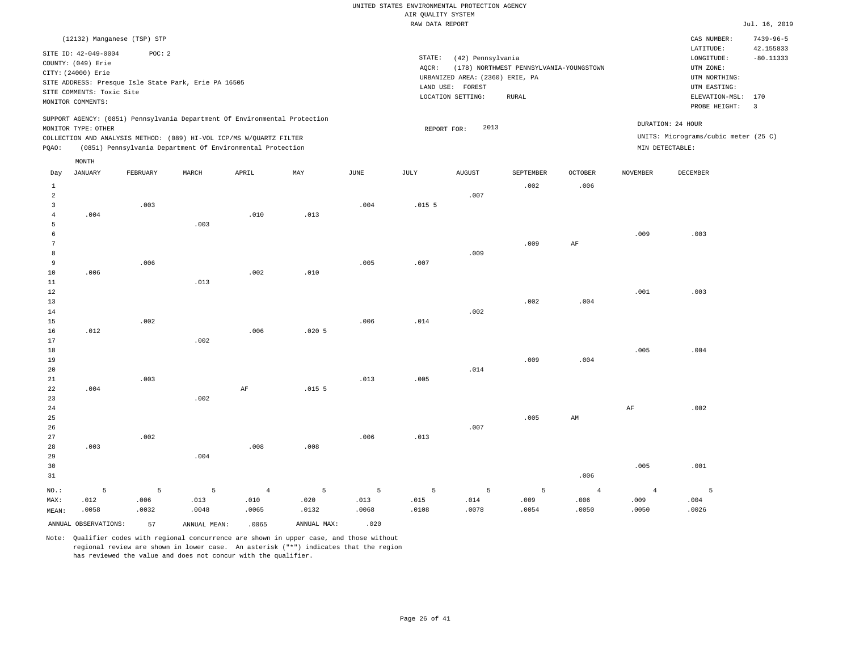|                |                             |          |                                                                            |                |                   |                       | RAW DATA REPORT   |                                 |                                         |                |                 |                                      | Jul. 16, 2019   |
|----------------|-----------------------------|----------|----------------------------------------------------------------------------|----------------|-------------------|-----------------------|-------------------|---------------------------------|-----------------------------------------|----------------|-----------------|--------------------------------------|-----------------|
|                | (12132) Manganese (TSP) STP |          |                                                                            |                |                   |                       |                   |                                 |                                         |                |                 | CAS NUMBER:                          | $7439 - 96 - 5$ |
|                | SITE ID: 42-049-0004        | POC: 2   |                                                                            |                |                   |                       |                   |                                 |                                         |                |                 | LATITUDE:                            | 42.155833       |
|                | COUNTY: (049) Erie          |          |                                                                            |                |                   |                       | STATE:            | (42) Pennsylvania               |                                         |                |                 | LONGITUDE:                           | $-80.11333$     |
|                | CITY: (24000) Erie          |          |                                                                            |                |                   |                       | AQCR:             |                                 | (178) NORTHWEST PENNSYLVANIA-YOUNGSTOWN |                |                 | UTM ZONE:                            |                 |
|                |                             |          | SITE ADDRESS: Presque Isle State Park, Erie PA 16505                       |                |                   |                       |                   | URBANIZED AREA: (2360) ERIE, PA |                                         |                |                 | UTM NORTHING:                        |                 |
|                | SITE COMMENTS: Toxic Site   |          |                                                                            |                |                   |                       |                   | LAND USE: FOREST                |                                         |                |                 | UTM EASTING:                         |                 |
|                | MONITOR COMMENTS:           |          |                                                                            |                |                   |                       |                   | LOCATION SETTING:               | RURAL                                   |                |                 | ELEVATION-MSL: 170                   |                 |
|                |                             |          | SUPPORT AGENCY: (0851) Pennsylvania Department Of Environmental Protection |                |                   |                       |                   |                                 |                                         |                |                 | PROBE HEIGHT:                        | $\overline{3}$  |
|                | MONITOR TYPE: OTHER         |          |                                                                            |                |                   |                       |                   | 2013<br>REPORT FOR:             |                                         |                |                 | DURATION: 24 HOUR                    |                 |
|                |                             |          | COLLECTION AND ANALYSIS METHOD: (089) HI-VOL ICP/MS W/QUARTZ FILTER        |                |                   |                       |                   |                                 |                                         |                |                 | UNITS: Micrograms/cubic meter (25 C) |                 |
| PQAO:          |                             |          | (0851) Pennsylvania Department Of Environmental Protection                 |                |                   |                       |                   |                                 |                                         |                |                 | MIN DETECTABLE:                      |                 |
|                | MONTH                       |          |                                                                            |                |                   |                       |                   |                                 |                                         |                |                 |                                      |                 |
| Day            | <b>JANUARY</b>              | FEBRUARY | MARCH                                                                      | APRIL          | MAY               | $\operatorname{JUNE}$ | JULY              | <b>AUGUST</b>                   | SEPTEMBER                               | OCTOBER        | <b>NOVEMBER</b> | DECEMBER                             |                 |
| $\mathbf{1}$   |                             |          |                                                                            |                |                   |                       |                   |                                 | .002                                    | .006           |                 |                                      |                 |
| $\overline{a}$ |                             |          |                                                                            |                |                   |                       |                   | .007                            |                                         |                |                 |                                      |                 |
| 3              |                             | .003     |                                                                            |                |                   | .004                  | .015 <sub>5</sub> |                                 |                                         |                |                 |                                      |                 |
| $\overline{4}$ | .004                        |          |                                                                            | .010           | .013              |                       |                   |                                 |                                         |                |                 |                                      |                 |
| 5              |                             |          | .003                                                                       |                |                   |                       |                   |                                 |                                         |                |                 |                                      |                 |
| 6              |                             |          |                                                                            |                |                   |                       |                   |                                 |                                         |                | .009            | .003                                 |                 |
| $\overline{7}$ |                             |          |                                                                            |                |                   |                       |                   |                                 | .009                                    | $\rm AF$       |                 |                                      |                 |
| 8              |                             |          |                                                                            |                |                   |                       |                   | .009                            |                                         |                |                 |                                      |                 |
| 9              |                             | .006     |                                                                            |                |                   | .005                  | .007              |                                 |                                         |                |                 |                                      |                 |
| $10$           | .006                        |          |                                                                            | .002           | .010              |                       |                   |                                 |                                         |                |                 |                                      |                 |
| $1\,1$         |                             |          | .013                                                                       |                |                   |                       |                   |                                 |                                         |                |                 |                                      |                 |
| 12             |                             |          |                                                                            |                |                   |                       |                   |                                 |                                         |                | .001            | .003                                 |                 |
| 13             |                             |          |                                                                            |                |                   |                       |                   | .002                            | .002                                    | .004           |                 |                                      |                 |
| 14<br>15       |                             | .002     |                                                                            |                |                   | .006                  | .014              |                                 |                                         |                |                 |                                      |                 |
| 16             | .012                        |          |                                                                            | .006           | $.020$ 5          |                       |                   |                                 |                                         |                |                 |                                      |                 |
| 17             |                             |          | .002                                                                       |                |                   |                       |                   |                                 |                                         |                |                 |                                      |                 |
| 18             |                             |          |                                                                            |                |                   |                       |                   |                                 |                                         |                | .005            | .004                                 |                 |
| 19             |                             |          |                                                                            |                |                   |                       |                   |                                 | .009                                    | .004           |                 |                                      |                 |
| 20             |                             |          |                                                                            |                |                   |                       |                   | .014                            |                                         |                |                 |                                      |                 |
| 21             |                             | .003     |                                                                            |                |                   | .013                  | .005              |                                 |                                         |                |                 |                                      |                 |
| 22             | .004                        |          |                                                                            | $\rm AF$       | .015 <sub>5</sub> |                       |                   |                                 |                                         |                |                 |                                      |                 |
| 23             |                             |          | .002                                                                       |                |                   |                       |                   |                                 |                                         |                |                 |                                      |                 |
| 24             |                             |          |                                                                            |                |                   |                       |                   |                                 |                                         |                | $\rm{AF}$       | .002                                 |                 |
| 25             |                             |          |                                                                            |                |                   |                       |                   |                                 | .005                                    | AM             |                 |                                      |                 |
| 26             |                             |          |                                                                            |                |                   |                       |                   | .007                            |                                         |                |                 |                                      |                 |
| 27             |                             | .002     |                                                                            |                |                   | .006                  | .013              |                                 |                                         |                |                 |                                      |                 |
| $2\,8$         | .003                        |          |                                                                            | .008           | .008              |                       |                   |                                 |                                         |                |                 |                                      |                 |
| 29             |                             |          | .004                                                                       |                |                   |                       |                   |                                 |                                         |                |                 |                                      |                 |
| 30             |                             |          |                                                                            |                |                   |                       |                   |                                 |                                         |                | .005            | .001                                 |                 |
| 31             |                             |          |                                                                            |                |                   |                       |                   |                                 |                                         | .006           |                 |                                      |                 |
| NO.:           | 5                           | 5        | 5                                                                          | $\overline{4}$ | 5                 | 5                     | 5                 | 5                               | 5                                       | $\overline{4}$ | $\overline{4}$  | 5                                    |                 |
| MAX:           | .012                        | .006     | .013                                                                       | .010           | .020              | .013                  | .015              | .014                            | .009                                    | .006           | .009            | .004                                 |                 |
| MEAN:          | .0058                       | .0032    | .0048                                                                      | .0065          | .0132             | .0068                 | .0108             | .0078                           | .0054                                   | .0050          | .0050           | .0026                                |                 |
|                |                             |          |                                                                            |                |                   |                       |                   |                                 |                                         |                |                 |                                      |                 |
|                | ANNUAL OBSERVATIONS:        | 57       | ANNUAL MEAN:                                                               | .0065          | ANNUAL MAX:       | .020                  |                   |                                 |                                         |                |                 |                                      |                 |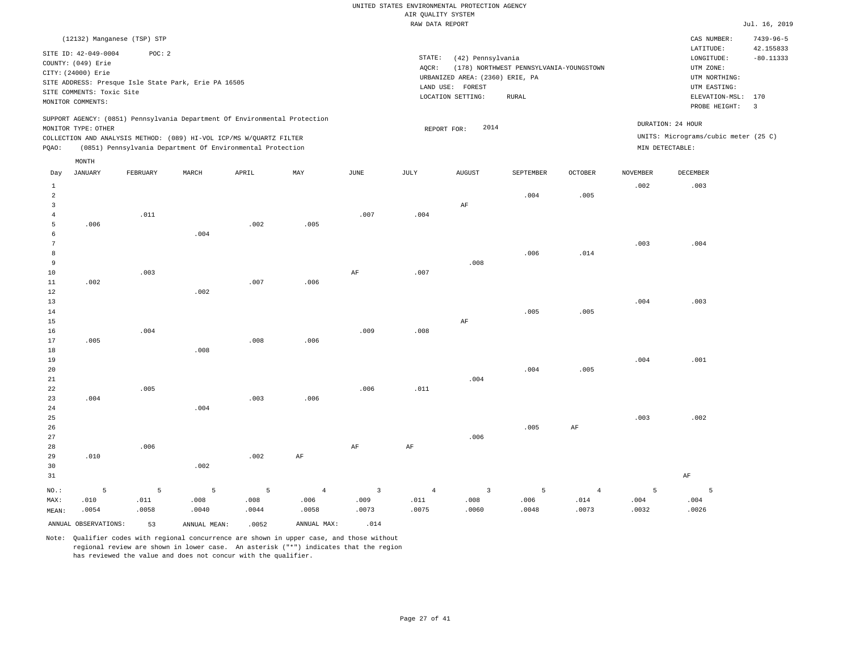|                 |                                            |          |                                                                            |       |                |                         | RAW DATA REPORT |                                 |                                         |                |          |                                      | Jul. 16, 2019           |
|-----------------|--------------------------------------------|----------|----------------------------------------------------------------------------|-------|----------------|-------------------------|-----------------|---------------------------------|-----------------------------------------|----------------|----------|--------------------------------------|-------------------------|
|                 | (12132) Manganese (TSP) STP                |          |                                                                            |       |                |                         |                 |                                 |                                         |                |          | CAS NUMBER:                          | $7439 - 96 - 5$         |
|                 |                                            |          |                                                                            |       |                |                         |                 |                                 |                                         |                |          | LATITUDE:                            | 42.155833               |
|                 | SITE ID: 42-049-0004<br>COUNTY: (049) Erie | POC: 2   |                                                                            |       |                |                         | STATE:          | (42) Pennsylvania               |                                         |                |          | LONGITUDE:                           | $-80.11333$             |
|                 |                                            |          |                                                                            |       |                |                         | AQCR:           |                                 | (178) NORTHWEST PENNSYLVANIA-YOUNGSTOWN |                |          | UTM ZONE:                            |                         |
|                 | CITY: (24000) Erie                         |          |                                                                            |       |                |                         |                 | URBANIZED AREA: (2360) ERIE, PA |                                         |                |          | UTM NORTHING:                        |                         |
|                 |                                            |          | SITE ADDRESS: Presque Isle State Park, Erie PA 16505                       |       |                |                         |                 | LAND USE: FOREST                |                                         |                |          | UTM EASTING:                         |                         |
|                 | SITE COMMENTS: Toxic Site                  |          |                                                                            |       |                |                         |                 | LOCATION SETTING:               | RURAL                                   |                |          | ELEVATION-MSL: 170                   |                         |
|                 | MONITOR COMMENTS:                          |          |                                                                            |       |                |                         |                 |                                 |                                         |                |          | PROBE HEIGHT:                        | $\overline{\mathbf{3}}$ |
|                 |                                            |          | SUPPORT AGENCY: (0851) Pennsylvania Department Of Environmental Protection |       |                |                         |                 |                                 |                                         |                |          |                                      |                         |
|                 | MONITOR TYPE: OTHER                        |          |                                                                            |       |                |                         |                 | 2014<br>REPORT FOR:             |                                         |                |          | DURATION: 24 HOUR                    |                         |
|                 |                                            |          | COLLECTION AND ANALYSIS METHOD: (089) HI-VOL ICP/MS W/QUARTZ FILTER        |       |                |                         |                 |                                 |                                         |                |          | UNITS: Micrograms/cubic meter (25 C) |                         |
| PQAO:           |                                            |          | (0851) Pennsylvania Department Of Environmental Protection                 |       |                |                         |                 |                                 |                                         |                |          | MIN DETECTABLE:                      |                         |
|                 | MONTH                                      |          |                                                                            |       |                |                         |                 |                                 |                                         |                |          |                                      |                         |
| Day             | <b>JANUARY</b>                             | FEBRUARY | MARCH                                                                      | APRIL | MAY            | JUNE                    | JULY            | <b>AUGUST</b>                   | SEPTEMBER                               | <b>OCTOBER</b> | NOVEMBER | DECEMBER                             |                         |
| $\mathbf{1}$    |                                            |          |                                                                            |       |                |                         |                 |                                 |                                         |                | .002     | .003                                 |                         |
| $\overline{a}$  |                                            |          |                                                                            |       |                |                         |                 |                                 | .004                                    | .005           |          |                                      |                         |
| $\overline{3}$  |                                            |          |                                                                            |       |                |                         |                 | $\rm AF$                        |                                         |                |          |                                      |                         |
| $\overline{4}$  |                                            | .011     |                                                                            |       |                | .007                    | .004            |                                 |                                         |                |          |                                      |                         |
| 5               | .006                                       |          |                                                                            | .002  | .005           |                         |                 |                                 |                                         |                |          |                                      |                         |
| 6               |                                            |          | .004                                                                       |       |                |                         |                 |                                 |                                         |                |          |                                      |                         |
| $7\phantom{.0}$ |                                            |          |                                                                            |       |                |                         |                 |                                 |                                         |                | .003     | .004                                 |                         |
| 8               |                                            |          |                                                                            |       |                |                         |                 |                                 | .006                                    | .014           |          |                                      |                         |
| $\overline{9}$  |                                            |          |                                                                            |       |                |                         |                 | .008                            |                                         |                |          |                                      |                         |
| 10              |                                            | .003     |                                                                            |       |                | AF                      | .007            |                                 |                                         |                |          |                                      |                         |
| 11              | .002                                       |          |                                                                            | .007  | .006           |                         |                 |                                 |                                         |                |          |                                      |                         |
| $12\,$          |                                            |          | .002                                                                       |       |                |                         |                 |                                 |                                         |                |          |                                      |                         |
| 13<br>14        |                                            |          |                                                                            |       |                |                         |                 |                                 | .005                                    | .005           | .004     | .003                                 |                         |
| 15              |                                            |          |                                                                            |       |                |                         |                 | AF                              |                                         |                |          |                                      |                         |
| 16              |                                            | .004     |                                                                            |       |                | .009                    | .008            |                                 |                                         |                |          |                                      |                         |
| 17              | .005                                       |          |                                                                            | .008  | .006           |                         |                 |                                 |                                         |                |          |                                      |                         |
| 18              |                                            |          | .008                                                                       |       |                |                         |                 |                                 |                                         |                |          |                                      |                         |
| 19              |                                            |          |                                                                            |       |                |                         |                 |                                 |                                         |                | .004     | .001                                 |                         |
| 20              |                                            |          |                                                                            |       |                |                         |                 |                                 | .004                                    | .005           |          |                                      |                         |
| 21              |                                            |          |                                                                            |       |                |                         |                 | .004                            |                                         |                |          |                                      |                         |
| 22              |                                            | .005     |                                                                            |       |                | .006                    | .011            |                                 |                                         |                |          |                                      |                         |
| 23              | .004                                       |          |                                                                            | .003  | .006           |                         |                 |                                 |                                         |                |          |                                      |                         |
| 24              |                                            |          | .004                                                                       |       |                |                         |                 |                                 |                                         |                |          |                                      |                         |
| 25              |                                            |          |                                                                            |       |                |                         |                 |                                 |                                         |                | .003     | .002                                 |                         |
| 26              |                                            |          |                                                                            |       |                |                         |                 |                                 | .005                                    | $\rm{AF}$      |          |                                      |                         |
| 27              |                                            |          |                                                                            |       |                |                         |                 | .006                            |                                         |                |          |                                      |                         |
| 28              |                                            | .006     |                                                                            |       |                | AF                      | AF              |                                 |                                         |                |          |                                      |                         |
| 29              | .010                                       |          |                                                                            | .002  | AF             |                         |                 |                                 |                                         |                |          |                                      |                         |
| 30              |                                            |          | .002                                                                       |       |                |                         |                 |                                 |                                         |                |          |                                      |                         |
| 31              |                                            |          |                                                                            |       |                |                         |                 |                                 |                                         |                |          | AF                                   |                         |
| NO.:            | 5                                          | 5        | $\overline{5}$                                                             | 5     | $\overline{4}$ | $\overline{\mathbf{3}}$ | $\overline{4}$  | $\mathbf{3}$                    | 5                                       | $\overline{4}$ | 5        | 5                                    |                         |
| MAX:            | .010                                       | .011     | .008                                                                       | .008  | .006           | .009                    | .011            | .008                            | .006                                    | .014           | .004     | .004                                 |                         |
| MEAN:           | .0054                                      | .0058    | .0040                                                                      | .0044 | .0058          | .0073                   | .0075           | .0060                           | .0048                                   | .0073          | .0032    | .0026                                |                         |
|                 | ANNUAL OBSERVATIONS:                       | 53       | ANNUAL MEAN:                                                               | .0052 | ANNUAL MAX:    | .014                    |                 |                                 |                                         |                |          |                                      |                         |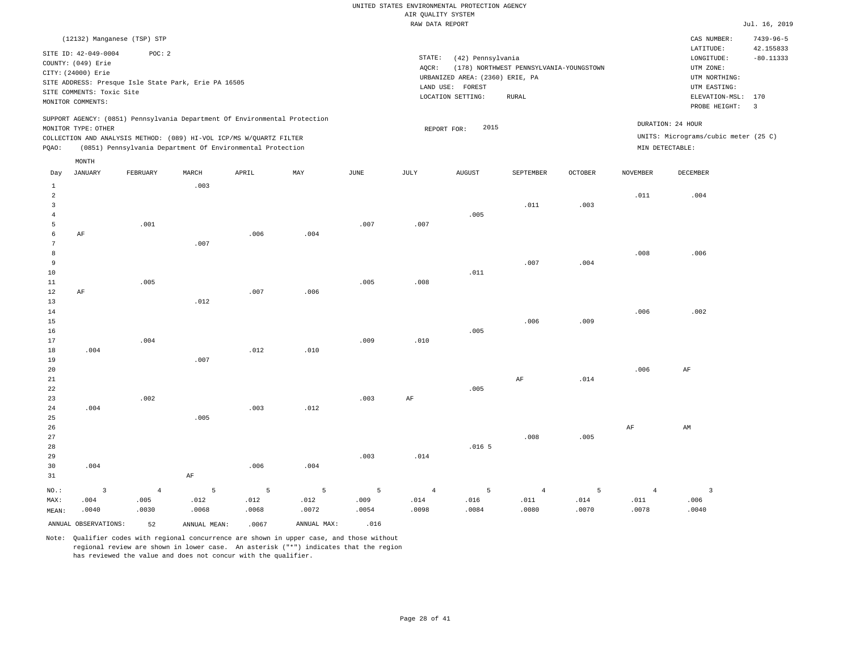#### RAW DATA REPORT **FOULD ASSESSED ASSESSED A** THE RAW DATA REPORT **Jul. 16, 2019** UNITED STATES ENVIRONMENTAL PROTECTION AGENCY AIR QUALITY SYSTEM

|                |                                                                                                                    |                                                                |       |                                                                                                                                                                                                                 |      |      |                              |                                                                                     |                                                         |                |          |                                                                                                          | $0.421 + 201$                                              |
|----------------|--------------------------------------------------------------------------------------------------------------------|----------------------------------------------------------------|-------|-----------------------------------------------------------------------------------------------------------------------------------------------------------------------------------------------------------------|------|------|------------------------------|-------------------------------------------------------------------------------------|---------------------------------------------------------|----------------|----------|----------------------------------------------------------------------------------------------------------|------------------------------------------------------------|
|                |                                                                                                                    | (12132) Manganese (TSP) STP                                    |       |                                                                                                                                                                                                                 |      |      |                              |                                                                                     |                                                         |                |          | CAS NUMBER:                                                                                              | $7439 - 96 - 5$                                            |
|                | SITE ID: 42-049-0004<br>COUNTY: (049) Erie<br>CITY: (24000) Erie<br>SITE COMMENTS: Toxic Site<br>MONITOR COMMENTS: | POC: 2<br>SITE ADDRESS: Presque Isle State Park, Erie PA 16505 |       |                                                                                                                                                                                                                 |      |      | STATE:<br>AQCR:<br>LAND USE: | (42) Pennsylvania<br>URBANIZED AREA: (2360) ERIE, PA<br>FOREST<br>LOCATION SETTING: | (178) NORTHWEST PENNSYLVANIA-YOUNGSTOWN<br><b>RURAL</b> |                |          | LATITUDE:<br>LONGITUDE:<br>UTM ZONE:<br>UTM NORTHING:<br>UTM EASTING:<br>ELEVATION-MSL:<br>PROBE HEIGHT: | 42.155833<br>$-80.11333$<br>170<br>$\overline{\mathbf{3}}$ |
| POAO:          | MONITOR TYPE: OTHER<br>MONTH                                                                                       |                                                                |       | SUPPORT AGENCY: (0851) Pennsylvania Department Of Environmental Protection<br>COLLECTION AND ANALYSIS METHOD: (089) HI-VOL ICP/MS W/QUARTZ FILTER<br>(0851) Pennsylvania Department Of Environmental Protection |      |      |                              | 2015<br>REPORT FOR:                                                                 |                                                         |                |          | DURATION: 24 HOUR<br>UNITS: Micrograms/cubic meter (25 C)<br>MIN DETECTABLE:                             |                                                            |
| Day            | JANUARY                                                                                                            | FEBRUARY                                                       | MARCH | APRIL                                                                                                                                                                                                           | MAY  | JUNE | JULY                         | <b>AUGUST</b>                                                                       | SEPTEMBER                                               | <b>OCTOBER</b> | NOVEMBER | DECEMBER                                                                                                 |                                                            |
| $\overline{2}$ |                                                                                                                    | .001                                                           | .003  |                                                                                                                                                                                                                 |      | .007 | .007                         | .005                                                                                | .011                                                    | .003           | .011     | .004                                                                                                     |                                                            |
|                | AF                                                                                                                 |                                                                |       | .006                                                                                                                                                                                                            | .004 |      |                              |                                                                                     |                                                         |                |          |                                                                                                          |                                                            |

| $7\overline{ }$ |           |      | .007 |      |      |      |      |      |      |      |      |      |
|-----------------|-----------|------|------|------|------|------|------|------|------|------|------|------|
| 8               |           |      |      |      |      |      |      |      |      |      | .008 | .006 |
| 9               |           |      |      |      |      |      |      |      | .007 | .004 |      |      |
| 10              |           |      |      |      |      |      |      | .011 |      |      |      |      |
| $11\,$          |           | .005 |      |      |      | .005 | .008 |      |      |      |      |      |
| $1\,2$          | $\rm{AF}$ |      |      | .007 | .006 |      |      |      |      |      |      |      |
| 13              |           |      | .012 |      |      |      |      |      |      |      |      |      |
| $1\,4$          |           |      |      |      |      |      |      |      |      |      | .006 | .002 |
| $1\,5$          |           |      |      |      |      |      |      |      | .006 | .009 |      |      |
| $16\,$          |           |      |      |      |      |      |      | .005 |      |      |      |      |
| $17\,$          |           | .004 |      |      |      | .009 | .010 |      |      |      |      |      |
| 18              | .004      |      |      | .012 | .010 |      |      |      |      |      |      |      |

| 20          |      |      |      |      |      |      |      |                   |           |      | .006 | AF |
|-------------|------|------|------|------|------|------|------|-------------------|-----------|------|------|----|
| 21          |      |      |      |      |      |      |      |                   | $\rm{AF}$ | .014 |      |    |
| $2\sqrt{2}$ |      |      |      |      |      |      |      | .005              |           |      |      |    |
| 23          |      | .002 |      |      |      | .003 | AF   |                   |           |      |      |    |
| $2\,4$      | .004 |      |      | .003 | .012 |      |      |                   |           |      |      |    |
| 25          |      |      | .005 |      |      |      |      |                   |           |      |      |    |
| $26\,$      |      |      |      |      |      |      |      |                   |           |      | AF   | AM |
| $2\,7$      |      |      |      |      |      |      |      |                   | .008      | .005 |      |    |
| 28          |      |      |      |      |      |      |      | .016 <sub>5</sub> |           |      |      |    |
| 29          |      |      |      |      |      | .003 | .014 |                   |           |      |      |    |

| 31    |                      |       | AF           |       |             |       |       |       |       |       |       |       |
|-------|----------------------|-------|--------------|-------|-------------|-------|-------|-------|-------|-------|-------|-------|
| NO.:  |                      | 4     |              |       |             |       |       |       |       |       |       |       |
| MAX:  | .004                 | .005  | .012         | .012  | .012        | .009  | .014  | .016  | .011  | .014  | .011  | .006  |
| MEAN: | .0040                | .0030 | .0068        | .0068 | .0072       | .0054 | .0098 | .0084 | .0080 | .0070 | .0078 | .0040 |
|       | ANNUAL OBSERVATIONS: | 52    | ANNUAL MEAN: | .0067 | ANNUAL MAX: | .016  |       |       |       |       |       |       |

Note: Qualifier codes with regional concurrence are shown in upper case, and those without regional review are shown in lower case. An asterisk ("\*") indicates that the region has reviewed the value and does not concur with the qualifier.

.006 .004

.007

19

30

.004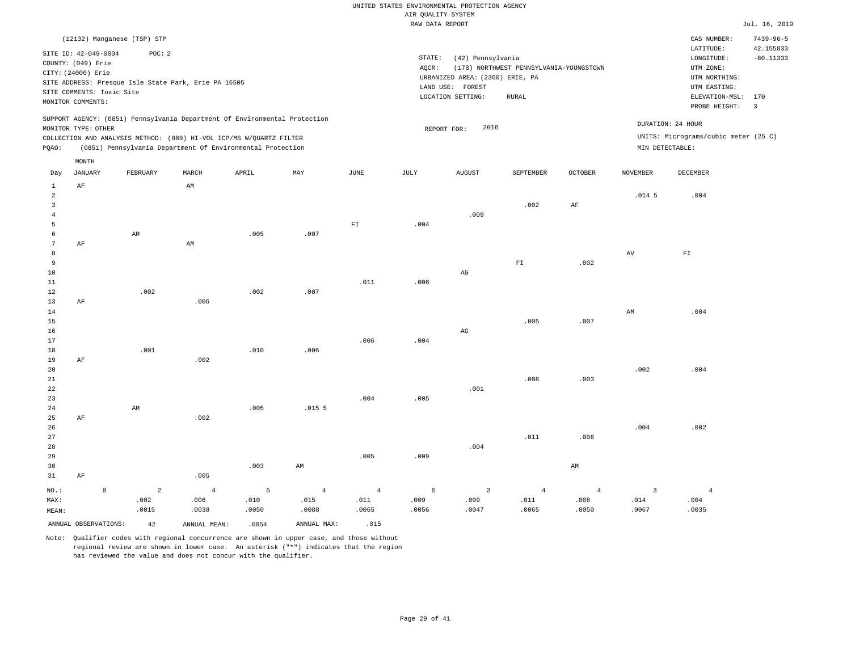|                |                           |                             |                                                                            |       |                |                            | RAW DATA REPORT |                                 |                                         |                    |                   |                                      | Jul. 16, 2019           |
|----------------|---------------------------|-----------------------------|----------------------------------------------------------------------------|-------|----------------|----------------------------|-----------------|---------------------------------|-----------------------------------------|--------------------|-------------------|--------------------------------------|-------------------------|
|                |                           | (12132) Manganese (TSP) STP |                                                                            |       |                |                            |                 |                                 |                                         |                    |                   | CAS NUMBER:                          | $7439 - 96 - 5$         |
|                |                           |                             |                                                                            |       |                |                            |                 |                                 |                                         |                    |                   | LATITUDE:                            | 42.155833               |
|                | SITE ID: 42-049-0004      | POC: 2                      |                                                                            |       |                |                            | STATE:          | (42) Pennsylvania               |                                         |                    |                   | LONGITUDE:                           | $-80.11333$             |
|                | COUNTY: (049) Erie        |                             |                                                                            |       |                |                            | AQCR:           |                                 | (178) NORTHWEST PENNSYLVANIA-YOUNGSTOWN |                    |                   | UTM ZONE:                            |                         |
|                | CITY: (24000) Erie        |                             |                                                                            |       |                |                            |                 | URBANIZED AREA: (2360) ERIE, PA |                                         |                    |                   | UTM NORTHING:                        |                         |
|                |                           |                             | SITE ADDRESS: Presque Isle State Park, Erie PA 16505                       |       |                |                            |                 | LAND USE: FOREST                |                                         |                    |                   | UTM EASTING:                         |                         |
|                | SITE COMMENTS: Toxic Site |                             |                                                                            |       |                |                            |                 | LOCATION SETTING:               | RURAL                                   |                    |                   | ELEVATION-MSL:                       | 170                     |
|                | MONITOR COMMENTS:         |                             |                                                                            |       |                |                            |                 |                                 |                                         |                    |                   | PROBE HEIGHT:                        | $\overline{\mathbf{3}}$ |
|                |                           |                             | SUPPORT AGENCY: (0851) Pennsylvania Department Of Environmental Protection |       |                |                            |                 |                                 |                                         |                    |                   |                                      |                         |
|                | MONITOR TYPE: OTHER       |                             |                                                                            |       |                |                            |                 | 2016<br>REPORT FOR:             |                                         |                    |                   | DURATION: 24 HOUR                    |                         |
|                |                           |                             | COLLECTION AND ANALYSIS METHOD: (089) HI-VOL ICP/MS W/QUARTZ FILTER        |       |                |                            |                 |                                 |                                         |                    |                   | UNITS: Micrograms/cubic meter (25 C) |                         |
| PQAO:          |                           |                             | (0851) Pennsylvania Department Of Environmental Protection                 |       |                |                            |                 |                                 |                                         |                    | MIN DETECTABLE:   |                                      |                         |
|                | MONTH                     |                             |                                                                            |       |                |                            |                 |                                 |                                         |                    |                   |                                      |                         |
| Day            | JANUARY                   | FEBRUARY                    | MARCH                                                                      | APRIL | MAY            | JUNE                       | JULY            | AUGUST                          | SEPTEMBER                               | $\mathtt{OCTOBER}$ | NOVEMBER          | DECEMBER                             |                         |
| $\mathbf{1}$   | $\rm AF$                  |                             | $\mathop{\rm AM}\nolimits$                                                 |       |                |                            |                 |                                 |                                         |                    |                   |                                      |                         |
| $\overline{a}$ |                           |                             |                                                                            |       |                |                            |                 |                                 |                                         |                    | .014 <sub>5</sub> | .004                                 |                         |
| $\overline{3}$ |                           |                             |                                                                            |       |                |                            |                 |                                 | .002                                    | AF                 |                   |                                      |                         |
| $\bf{4}$       |                           |                             |                                                                            |       |                |                            |                 | .009                            |                                         |                    |                   |                                      |                         |
| 5              |                           |                             |                                                                            |       |                | $\mathbb{F} \, \mathbb{I}$ | .004            |                                 |                                         |                    |                   |                                      |                         |
| 6              |                           | AM                          |                                                                            | .005  | .007           |                            |                 |                                 |                                         |                    |                   |                                      |                         |
| 7              | $\rm AF$                  |                             | AM                                                                         |       |                |                            |                 |                                 |                                         |                    |                   |                                      |                         |
| 8              |                           |                             |                                                                            |       |                |                            |                 |                                 |                                         |                    | AV                | ${\rm F\,I}$                         |                         |
| 9              |                           |                             |                                                                            |       |                |                            |                 |                                 | ${\rm FT}$                              | .002               |                   |                                      |                         |
| 10             |                           |                             |                                                                            |       |                |                            |                 | $_{\rm AG}$                     |                                         |                    |                   |                                      |                         |
| $11\,$         |                           |                             |                                                                            |       |                | .011                       | .006            |                                 |                                         |                    |                   |                                      |                         |
| 12<br>13       | AF                        | .002                        | .006                                                                       | .002  | .007           |                            |                 |                                 |                                         |                    |                   |                                      |                         |
| 14             |                           |                             |                                                                            |       |                |                            |                 |                                 |                                         |                    | AM                | .004                                 |                         |
| 15             |                           |                             |                                                                            |       |                |                            |                 |                                 | .005                                    | .007               |                   |                                      |                         |
| 16             |                           |                             |                                                                            |       |                |                            |                 | $_{\rm AG}$                     |                                         |                    |                   |                                      |                         |
| $17$           |                           |                             |                                                                            |       |                | .006                       | .004            |                                 |                                         |                    |                   |                                      |                         |
| 18             |                           | .001                        |                                                                            | .010  | .006           |                            |                 |                                 |                                         |                    |                   |                                      |                         |
| 19             | AF                        |                             | .002                                                                       |       |                |                            |                 |                                 |                                         |                    |                   |                                      |                         |
| 20             |                           |                             |                                                                            |       |                |                            |                 |                                 |                                         |                    | .002              | .004                                 |                         |
| 21             |                           |                             |                                                                            |       |                |                            |                 |                                 | .008                                    | .003               |                   |                                      |                         |
| 22             |                           |                             |                                                                            |       |                |                            |                 | .001                            |                                         |                    |                   |                                      |                         |
| 23             |                           |                             |                                                                            |       |                | .004                       | .005            |                                 |                                         |                    |                   |                                      |                         |
| 24             |                           | AM                          |                                                                            | .005  | .0155          |                            |                 |                                 |                                         |                    |                   |                                      |                         |
| 25             | $\rm AF$                  |                             | .002                                                                       |       |                |                            |                 |                                 |                                         |                    |                   |                                      |                         |
| 26             |                           |                             |                                                                            |       |                |                            |                 |                                 |                                         |                    | .004              | .002                                 |                         |
| 27             |                           |                             |                                                                            |       |                |                            |                 |                                 | .011                                    | .008               |                   |                                      |                         |
| 28             |                           |                             |                                                                            |       |                |                            |                 | .004                            |                                         |                    |                   |                                      |                         |
| 29             |                           |                             |                                                                            |       |                | .005                       | .009            |                                 |                                         |                    |                   |                                      |                         |
| 30             |                           |                             |                                                                            | .003  | AM             |                            |                 |                                 |                                         | AM                 |                   |                                      |                         |
| 31             | AF                        |                             | .005                                                                       |       |                |                            |                 |                                 |                                         |                    |                   |                                      |                         |
| NO.:           | $\circ$                   | 2                           | $\overline{4}$                                                             | 5     | $\overline{4}$ | $\overline{4}$             | 5               | $\overline{\mathbf{3}}$         | $\overline{4}$                          | $\overline{4}$     | 3                 | $\overline{4}$                       |                         |
| MAX:           |                           | .002                        | .006                                                                       | .010  | .015           | .011                       | .009            | .009                            | .011                                    | .008               | .014              | .004                                 |                         |
| MEAN:          |                           | .0015                       | .0038                                                                      | .0050 | .0088          | .0065                      | .0056           | .0047                           | .0065                                   | .0050              | .0067             | .0035                                |                         |
|                | ANNUAL OBSERVATIONS:      | 42                          | ANNUAL MEAN:                                                               | .0054 | ANNUAL MAX:    | .015                       |                 |                                 |                                         |                    |                   |                                      |                         |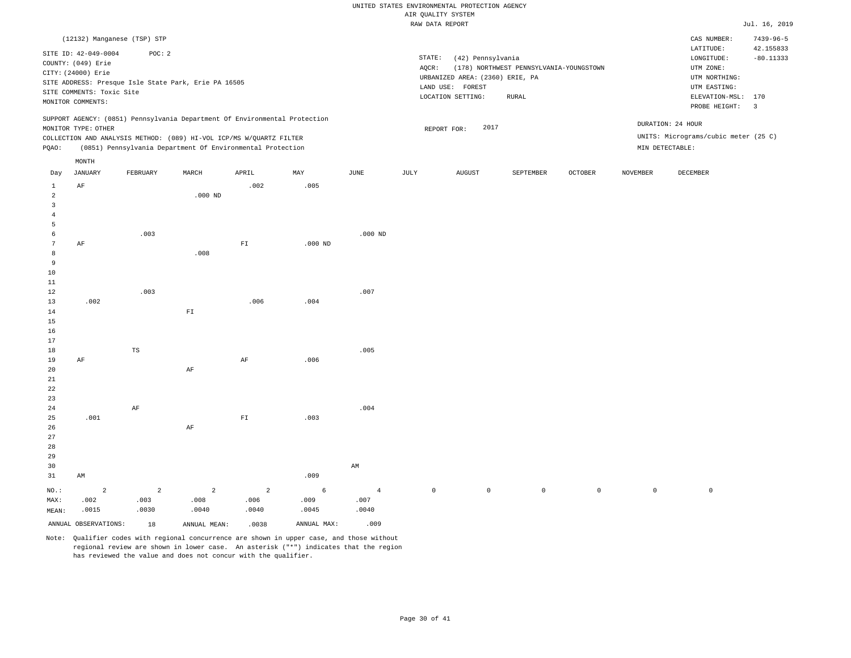|                |                           |                                                                            |                |                          |           |                | RAW DATA REPORT |                                 |                                         |                     |                 |                                                                                                                                                                                                                                                                                                                                                                                                                                                                                                                                                            | Jul. 16, 2019           |
|----------------|---------------------------|----------------------------------------------------------------------------|----------------|--------------------------|-----------|----------------|-----------------|---------------------------------|-----------------------------------------|---------------------|-----------------|------------------------------------------------------------------------------------------------------------------------------------------------------------------------------------------------------------------------------------------------------------------------------------------------------------------------------------------------------------------------------------------------------------------------------------------------------------------------------------------------------------------------------------------------------------|-------------------------|
|                |                           | (12132) Manganese (TSP) STP                                                |                |                          |           |                |                 |                                 |                                         |                     |                 | CAS NUMBER:                                                                                                                                                                                                                                                                                                                                                                                                                                                                                                                                                | $7439 - 96 - 5$         |
|                |                           |                                                                            |                |                          |           |                |                 |                                 |                                         |                     |                 | LATITUDE:                                                                                                                                                                                                                                                                                                                                                                                                                                                                                                                                                  | 42.155833               |
|                | SITE ID: 42-049-0004      | POC: 2                                                                     |                |                          |           |                | STATE:          | (42) Pennsylvania               |                                         |                     |                 | $\texttt{LONGITUDE}: \quad % \begin{align*} \left\lbrack \begin{array}{c} \begin{array}{c} \begin{array}{c} \begin{array}{c} \begin{array}{c} \begin{array}{c} \begin{array}{c} \end{array}\\ \end{array}\\ \begin{array}{c} \end{array}\\ \begin{array}{c} \end{array}\\ \end{array}\\ \begin{array}{c} \end{array}\\ \end{array}\\ \end{align*} \end{align*} \right) \end{align*} \end{align*} \begin{minipage}{0.9\linewidth} \begin{minipage}{0.9\linewidth} \begin{tabular}{c} \begin{array}{c} \begin{array}{c} \begin{array}{c} \begin{array}{c} \$ | $-80.11333$             |
|                | COUNTY: (049) Erie        |                                                                            |                |                          |           |                | AQCR:           |                                 | (178) NORTHWEST PENNSYLVANIA-YOUNGSTOWN |                     |                 | UTM ZONE:                                                                                                                                                                                                                                                                                                                                                                                                                                                                                                                                                  |                         |
|                | CITY: (24000) Erie        |                                                                            |                |                          |           |                |                 | URBANIZED AREA: (2360) ERIE, PA |                                         |                     |                 | UTM NORTHING:                                                                                                                                                                                                                                                                                                                                                                                                                                                                                                                                              |                         |
|                |                           | SITE ADDRESS: Presque Isle State Park, Erie PA 16505                       |                |                          |           |                |                 | LAND USE: FOREST                |                                         |                     |                 | UTM EASTING:                                                                                                                                                                                                                                                                                                                                                                                                                                                                                                                                               |                         |
|                | SITE COMMENTS: Toxic Site |                                                                            |                |                          |           |                |                 | LOCATION SETTING:               | RURAL                                   |                     |                 | ELEVATION-MSL:                                                                                                                                                                                                                                                                                                                                                                                                                                                                                                                                             | 170                     |
|                | MONITOR COMMENTS:         |                                                                            |                |                          |           |                |                 |                                 |                                         |                     |                 | PROBE HEIGHT:                                                                                                                                                                                                                                                                                                                                                                                                                                                                                                                                              | $\overline{\mathbf{3}}$ |
|                |                           | SUPPORT AGENCY: (0851) Pennsylvania Department Of Environmental Protection |                |                          |           |                |                 |                                 |                                         |                     |                 |                                                                                                                                                                                                                                                                                                                                                                                                                                                                                                                                                            |                         |
|                | MONITOR TYPE: OTHER       |                                                                            |                |                          |           |                |                 | 2017<br>REPORT FOR:             |                                         |                     |                 | DURATION: 24 HOUR                                                                                                                                                                                                                                                                                                                                                                                                                                                                                                                                          |                         |
|                |                           | COLLECTION AND ANALYSIS METHOD: (089) HI-VOL ICP/MS W/QUARTZ FILTER        |                |                          |           |                |                 |                                 |                                         |                     |                 | UNITS: Micrograms/cubic meter (25 C)                                                                                                                                                                                                                                                                                                                                                                                                                                                                                                                       |                         |
| PQAO:          |                           | (0851) Pennsylvania Department Of Environmental Protection                 |                |                          |           |                |                 |                                 |                                         |                     |                 | MIN DETECTABLE:                                                                                                                                                                                                                                                                                                                                                                                                                                                                                                                                            |                         |
|                | $\texttt{MONTH}$          |                                                                            |                |                          |           |                |                 |                                 |                                         |                     |                 |                                                                                                                                                                                                                                                                                                                                                                                                                                                                                                                                                            |                         |
| Day            | <b>JANUARY</b>            | FEBRUARY                                                                   | MARCH          | APRIL                    | MAY       | JUNE           | JULY            | <b>AUGUST</b>                   | SEPTEMBER                               | <b>OCTOBER</b>      | <b>NOVEMBER</b> | DECEMBER                                                                                                                                                                                                                                                                                                                                                                                                                                                                                                                                                   |                         |
| $\mathbf{1}$   | AF                        |                                                                            |                | .002                     | .005      |                |                 |                                 |                                         |                     |                 |                                                                                                                                                                                                                                                                                                                                                                                                                                                                                                                                                            |                         |
| $\overline{a}$ |                           |                                                                            | $.000$ ND      |                          |           |                |                 |                                 |                                         |                     |                 |                                                                                                                                                                                                                                                                                                                                                                                                                                                                                                                                                            |                         |
| 3              |                           |                                                                            |                |                          |           |                |                 |                                 |                                         |                     |                 |                                                                                                                                                                                                                                                                                                                                                                                                                                                                                                                                                            |                         |
| 4              |                           |                                                                            |                |                          |           |                |                 |                                 |                                         |                     |                 |                                                                                                                                                                                                                                                                                                                                                                                                                                                                                                                                                            |                         |
| 5              |                           |                                                                            |                |                          |           |                |                 |                                 |                                         |                     |                 |                                                                                                                                                                                                                                                                                                                                                                                                                                                                                                                                                            |                         |
| 6              |                           | .003                                                                       |                |                          |           | $.000$ ND      |                 |                                 |                                         |                     |                 |                                                                                                                                                                                                                                                                                                                                                                                                                                                                                                                                                            |                         |
| 7              | AF                        |                                                                            |                | $\mathbb{F} \mathbbm{I}$ | $.000$ ND |                |                 |                                 |                                         |                     |                 |                                                                                                                                                                                                                                                                                                                                                                                                                                                                                                                                                            |                         |
| 8<br>9         |                           |                                                                            | .008           |                          |           |                |                 |                                 |                                         |                     |                 |                                                                                                                                                                                                                                                                                                                                                                                                                                                                                                                                                            |                         |
| 10             |                           |                                                                            |                |                          |           |                |                 |                                 |                                         |                     |                 |                                                                                                                                                                                                                                                                                                                                                                                                                                                                                                                                                            |                         |
| 11             |                           |                                                                            |                |                          |           |                |                 |                                 |                                         |                     |                 |                                                                                                                                                                                                                                                                                                                                                                                                                                                                                                                                                            |                         |
| 12             |                           | .003                                                                       |                |                          |           | .007           |                 |                                 |                                         |                     |                 |                                                                                                                                                                                                                                                                                                                                                                                                                                                                                                                                                            |                         |
| 13             | .002                      |                                                                            |                | .006                     | .004      |                |                 |                                 |                                         |                     |                 |                                                                                                                                                                                                                                                                                                                                                                                                                                                                                                                                                            |                         |
| 14             |                           |                                                                            | ${\rm F\,I}$   |                          |           |                |                 |                                 |                                         |                     |                 |                                                                                                                                                                                                                                                                                                                                                                                                                                                                                                                                                            |                         |
| 15             |                           |                                                                            |                |                          |           |                |                 |                                 |                                         |                     |                 |                                                                                                                                                                                                                                                                                                                                                                                                                                                                                                                                                            |                         |
| 16             |                           |                                                                            |                |                          |           |                |                 |                                 |                                         |                     |                 |                                                                                                                                                                                                                                                                                                                                                                                                                                                                                                                                                            |                         |
| 17             |                           |                                                                            |                |                          |           |                |                 |                                 |                                         |                     |                 |                                                                                                                                                                                                                                                                                                                                                                                                                                                                                                                                                            |                         |
| 18             |                           | $\mathbb{TS}$                                                              |                |                          |           | .005           |                 |                                 |                                         |                     |                 |                                                                                                                                                                                                                                                                                                                                                                                                                                                                                                                                                            |                         |
| 19             | AF                        |                                                                            |                | AF                       | .006      |                |                 |                                 |                                         |                     |                 |                                                                                                                                                                                                                                                                                                                                                                                                                                                                                                                                                            |                         |
| 20             |                           |                                                                            | AF             |                          |           |                |                 |                                 |                                         |                     |                 |                                                                                                                                                                                                                                                                                                                                                                                                                                                                                                                                                            |                         |
| 21             |                           |                                                                            |                |                          |           |                |                 |                                 |                                         |                     |                 |                                                                                                                                                                                                                                                                                                                                                                                                                                                                                                                                                            |                         |
| 22             |                           |                                                                            |                |                          |           |                |                 |                                 |                                         |                     |                 |                                                                                                                                                                                                                                                                                                                                                                                                                                                                                                                                                            |                         |
| 23             |                           |                                                                            |                |                          |           |                |                 |                                 |                                         |                     |                 |                                                                                                                                                                                                                                                                                                                                                                                                                                                                                                                                                            |                         |
| 24             |                           | $\rm{AF}$                                                                  |                |                          |           | .004           |                 |                                 |                                         |                     |                 |                                                                                                                                                                                                                                                                                                                                                                                                                                                                                                                                                            |                         |
| 25             | .001                      |                                                                            |                | ${\rm F\,I}$             | .003      |                |                 |                                 |                                         |                     |                 |                                                                                                                                                                                                                                                                                                                                                                                                                                                                                                                                                            |                         |
| 26             |                           |                                                                            | AF             |                          |           |                |                 |                                 |                                         |                     |                 |                                                                                                                                                                                                                                                                                                                                                                                                                                                                                                                                                            |                         |
| 27             |                           |                                                                            |                |                          |           |                |                 |                                 |                                         |                     |                 |                                                                                                                                                                                                                                                                                                                                                                                                                                                                                                                                                            |                         |
| 28             |                           |                                                                            |                |                          |           |                |                 |                                 |                                         |                     |                 |                                                                                                                                                                                                                                                                                                                                                                                                                                                                                                                                                            |                         |
| 29             |                           |                                                                            |                |                          |           |                |                 |                                 |                                         |                     |                 |                                                                                                                                                                                                                                                                                                                                                                                                                                                                                                                                                            |                         |
| 30             |                           |                                                                            |                |                          |           | AM             |                 |                                 |                                         |                     |                 |                                                                                                                                                                                                                                                                                                                                                                                                                                                                                                                                                            |                         |
| 31             | AM                        |                                                                            |                |                          | .009      |                |                 |                                 |                                         |                     |                 |                                                                                                                                                                                                                                                                                                                                                                                                                                                                                                                                                            |                         |
| NO.:           | $\overline{2}$            | $\overline{a}$                                                             | $\overline{a}$ | $\overline{a}$           | 6         | $\overline{4}$ | $\mathbb O$     | $\mathsf{O}$                    | $\mathsf{O}\xspace$                     | $\mathsf{O}\xspace$ | $\mathbb O$     | $\,0\,$                                                                                                                                                                                                                                                                                                                                                                                                                                                                                                                                                    |                         |
| MAX:           | .002                      | .003                                                                       | .008           | .006                     | .009      | .007           |                 |                                 |                                         |                     |                 |                                                                                                                                                                                                                                                                                                                                                                                                                                                                                                                                                            |                         |
| MEAN:          | .0015                     | .0030                                                                      | .0040          | .0040                    | .0045     | .0040          |                 |                                 |                                         |                     |                 |                                                                                                                                                                                                                                                                                                                                                                                                                                                                                                                                                            |                         |

ANNUAL OBSERVATIONS: 18 ANNUAL MEAN: .0038 ANNUAL MAX: .009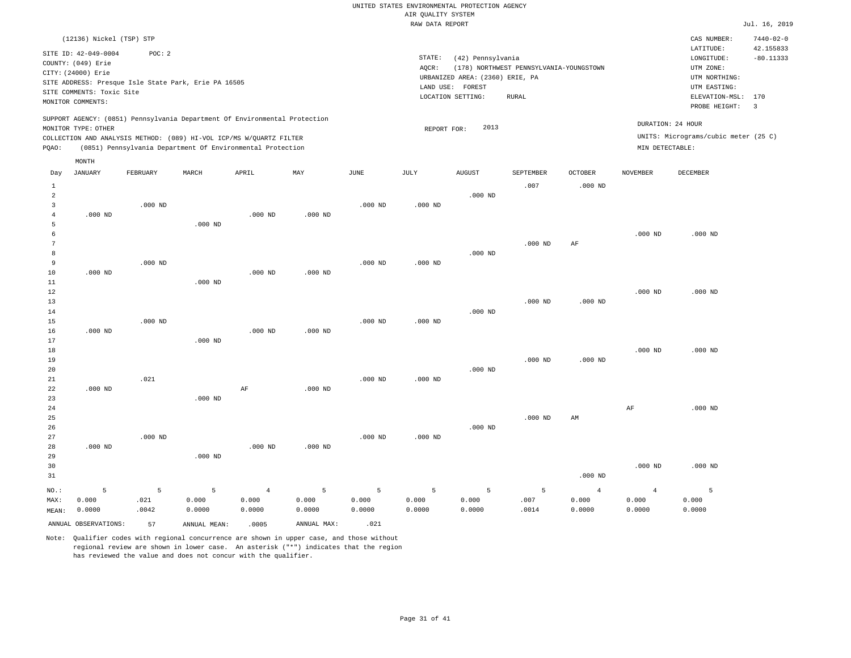|                                                                            |           |           | RAW DATA REPORT |                                 |                                         |                |                 |                                      | Jul. 16, 2019   |
|----------------------------------------------------------------------------|-----------|-----------|-----------------|---------------------------------|-----------------------------------------|----------------|-----------------|--------------------------------------|-----------------|
| (12136) Nickel (TSP) STP                                                   |           |           |                 |                                 |                                         |                |                 | CAS NUMBER:                          | $7440 - 02 - 0$ |
| SITE ID: 42-049-0004<br>POC: 2                                             |           |           |                 |                                 |                                         |                |                 | LATITUDE:                            | 42.155833       |
| COUNTY: (049) Erie                                                         |           |           | STATE:          | (42) Pennsylvania               |                                         |                |                 | LONGITUDE:                           | $-80.11333$     |
| CITY: (24000) Erie                                                         |           |           | AQCR:           |                                 | (178) NORTHWEST PENNSYLVANIA-YOUNGSTOWN |                |                 | UTM ZONE:                            |                 |
|                                                                            |           |           |                 | URBANIZED AREA: (2360) ERIE, PA |                                         |                |                 | UTM NORTHING:                        |                 |
| SITE ADDRESS: Presque Isle State Park, Erie PA 16505                       |           |           |                 | LAND USE: FOREST                |                                         |                |                 | UTM EASTING:                         |                 |
| SITE COMMENTS: Toxic Site                                                  |           |           |                 | LOCATION SETTING:               | <b>RURAL</b>                            |                |                 | ELEVATION-MSL: 170                   |                 |
| MONITOR COMMENTS:                                                          |           |           |                 |                                 |                                         |                |                 | PROBE HEIGHT:                        | $\overline{3}$  |
| SUPPORT AGENCY: (0851) Pennsylvania Department Of Environmental Protection |           |           |                 |                                 |                                         |                |                 | DURATION: 24 HOUR                    |                 |
| MONITOR TYPE: OTHER                                                        |           |           | REPORT FOR:     | 2013                            |                                         |                |                 |                                      |                 |
| COLLECTION AND ANALYSIS METHOD: (089) HI-VOL ICP/MS W/QUARTZ FILTER        |           |           |                 |                                 |                                         |                |                 | UNITS: Micrograms/cubic meter (25 C) |                 |
| (0851) Pennsylvania Department Of Environmental Protection<br>POAO:        |           |           |                 |                                 |                                         |                | MIN DETECTABLE: |                                      |                 |
| MONTH                                                                      |           |           |                 |                                 |                                         |                |                 |                                      |                 |
| APRIL<br>JANUARY<br>FEBRUARY<br>MARCH<br>Day                               | MAY       | JUNE      | JULY            | AUGUST                          | SEPTEMBER                               | OCTOBER        | <b>NOVEMBER</b> | DECEMBER                             |                 |
| $\mathbf{1}$                                                               |           |           |                 |                                 | .007                                    | $.000$ ND      |                 |                                      |                 |
| $\overline{a}$<br>3                                                        |           |           |                 | $.000$ ND                       |                                         |                |                 |                                      |                 |
| $.000$ ND<br>$\overline{4}$<br>$.000$ ND<br>$.000$ ND                      | $.000$ ND | $.000$ ND | $.000$ ND       |                                 |                                         |                |                 |                                      |                 |
| 5<br>$.000$ ND                                                             |           |           |                 |                                 |                                         |                |                 |                                      |                 |
| 6                                                                          |           |           |                 |                                 |                                         |                | $.000$ ND       | $.000$ ND                            |                 |
| 7                                                                          |           |           |                 |                                 | $.000$ ND                               | AF             |                 |                                      |                 |
| 8                                                                          |           |           |                 | $.000$ ND                       |                                         |                |                 |                                      |                 |
| 9<br>$.000$ ND                                                             |           | $.000$ ND | $.000$ ND       |                                 |                                         |                |                 |                                      |                 |
| $10$<br>$.000$ ND<br>$.000$ ND                                             | $.000$ ND |           |                 |                                 |                                         |                |                 |                                      |                 |
| 11<br>$.000$ ND                                                            |           |           |                 |                                 |                                         |                |                 |                                      |                 |
| $1\,2$                                                                     |           |           |                 |                                 |                                         |                | $.000$ ND       | $.000$ ND                            |                 |
| 13                                                                         |           |           |                 |                                 | $.000$ ND                               | $.000$ ND      |                 |                                      |                 |
| 14                                                                         |           |           |                 | $.000$ ND                       |                                         |                |                 |                                      |                 |
| 15<br>$.000$ ND                                                            |           | $.000$ ND | $.000$ ND       |                                 |                                         |                |                 |                                      |                 |
| 16<br>$.000$ ND<br>$.000$ ND                                               | $.000$ ND |           |                 |                                 |                                         |                |                 |                                      |                 |
| 17<br>$.000$ ND                                                            |           |           |                 |                                 |                                         |                |                 |                                      |                 |
| 18                                                                         |           |           |                 |                                 |                                         |                | $.000$ ND       | $.000$ ND                            |                 |
| 19                                                                         |           |           |                 |                                 | $.000$ ND                               | $.000$ ND      |                 |                                      |                 |
| 20                                                                         |           |           |                 | $.000$ ND                       |                                         |                |                 |                                      |                 |
| .021<br>21                                                                 |           | $.000$ ND | $.000$ ND       |                                 |                                         |                |                 |                                      |                 |
| 22<br>$\rm AF$<br>$.000$ ND                                                | $.000$ ND |           |                 |                                 |                                         |                |                 |                                      |                 |
| 23<br>$.000$ ND                                                            |           |           |                 |                                 |                                         |                |                 |                                      |                 |
| 24                                                                         |           |           |                 |                                 |                                         |                | AF              | $.000$ ND                            |                 |
| 25                                                                         |           |           |                 |                                 | $.000$ ND                               | AM             |                 |                                      |                 |
| 26                                                                         |           |           |                 | $.000$ ND                       |                                         |                |                 |                                      |                 |
| 27<br>$.000$ ND                                                            |           | $.000$ ND | $.000$ ND       |                                 |                                         |                |                 |                                      |                 |
| 28<br>$.000$ ND<br>$.000$ ND                                               | $.000$ ND |           |                 |                                 |                                         |                |                 |                                      |                 |
| 29<br>$.000$ ND                                                            |           |           |                 |                                 |                                         |                |                 |                                      |                 |
| 30                                                                         |           |           |                 |                                 |                                         |                | $.000$ ND       | $.000$ ND                            |                 |
| 31                                                                         |           |           |                 |                                 |                                         | $.000$ ND      |                 |                                      |                 |
| NO.:<br>5<br>5<br>5<br>$\overline{4}$                                      | 5         | 5         | 5               | 5                               | 5                                       | $\overline{4}$ | $\overline{4}$  | 5                                    |                 |
| 0.000<br>.021<br>0.000<br>0.000<br>MAX:                                    | 0.000     | 0.000     | 0.000           | 0.000                           | .007                                    | 0.000          | 0.000           | 0.000                                |                 |
| 0.0000<br>.0042<br>0.0000<br>0.0000<br>MEAN:                               |           |           |                 |                                 |                                         |                |                 |                                      |                 |
|                                                                            | 0.0000    | 0.0000    | 0.0000          | 0.0000                          | .0014                                   | 0.0000         | 0.0000          | 0.0000                               |                 |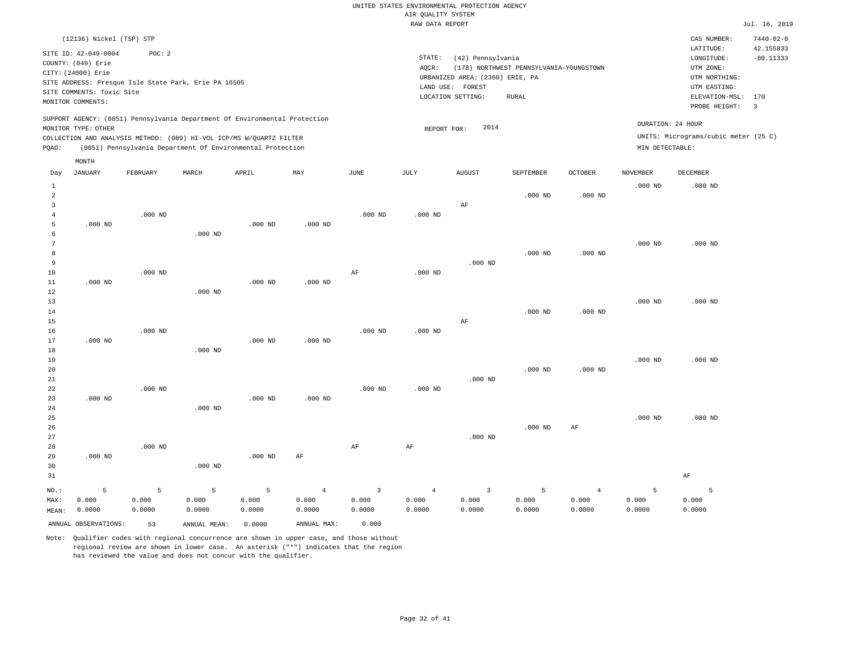#### RAW DATA REPORT JUL. 16, 2019 UNITED STATES ENVIRONMENTAL PROTECTION AGENCY AIR QUALITY SYSTEM

|                                     | (12136) Nickel (TSP) STP                                                                                           |           |                                                                                                                                                   |           |                |                |                 |                                                                                               |                                                         |                    |                   | CAS NUMBER:                                                                                                  | $7440 - 02 - 0$                                     |
|-------------------------------------|--------------------------------------------------------------------------------------------------------------------|-----------|---------------------------------------------------------------------------------------------------------------------------------------------------|-----------|----------------|----------------|-----------------|-----------------------------------------------------------------------------------------------|---------------------------------------------------------|--------------------|-------------------|--------------------------------------------------------------------------------------------------------------|-----------------------------------------------------|
|                                     | SITE ID: 42-049-0004<br>COUNTY: (049) Erie<br>CITY: (24000) Erie<br>SITE COMMENTS: Toxic Site<br>MONITOR COMMENTS: | POC: 2    | SITE ADDRESS: Presque Isle State Park, Erie PA 16505                                                                                              |           |                |                | STATE:<br>AQCR: | (42) Pennsylvania<br>URBANIZED AREA: (2360) ERIE, PA<br>LAND USE: FOREST<br>LOCATION SETTING: | (178) NORTHWEST PENNSYLVANIA-YOUNGSTOWN<br><b>RURAL</b> |                    |                   | LATITUDE:<br>LONGITUDE:<br>UTM ZONE:<br>UTM NORTHING:<br>UTM EASTING:<br>ELEVATION-MSL: 170<br>PROBE HEIGHT: | 42.155833<br>$-80.11333$<br>$\overline{\mathbf{3}}$ |
|                                     | MONITOR TYPE: OTHER                                                                                                |           | SUPPORT AGENCY: (0851) Pennsylvania Department Of Environmental Protection<br>COLLECTION AND ANALYSIS METHOD: (089) HI-VOL ICP/MS W/QUARTZ FILTER |           |                |                | REPORT FOR:     | 2014                                                                                          |                                                         |                    | DURATION: 24 HOUR | UNITS: Micrograms/cubic meter (25 C)                                                                         |                                                     |
| PQAO:                               |                                                                                                                    |           | (0851) Pennsylvania Department Of Environmental Protection                                                                                        |           |                |                |                 |                                                                                               |                                                         |                    | MIN DETECTABLE:   |                                                                                                              |                                                     |
|                                     | MONTH                                                                                                              |           |                                                                                                                                                   |           |                |                |                 |                                                                                               |                                                         |                    |                   |                                                                                                              |                                                     |
| Day                                 | <b>JANUARY</b>                                                                                                     | FEBRUARY  | MARCH                                                                                                                                             | APRIL     | MAY            | JUNE           | JULY            | <b>AUGUST</b>                                                                                 | SEPTEMBER                                               | OCTOBER            | <b>NOVEMBER</b>   | <b>DECEMBER</b>                                                                                              |                                                     |
| $\mathbf{1}$<br>$\overline{a}$<br>3 |                                                                                                                    |           |                                                                                                                                                   |           |                |                |                 | AF                                                                                            | $.000$ ND                                               | $.000$ ND          | $.000$ ND         | $.000$ ND                                                                                                    |                                                     |
| $\overline{4}$                      |                                                                                                                    | $.000$ ND |                                                                                                                                                   |           |                | $.000$ ND      | $.000$ ND       |                                                                                               |                                                         |                    |                   |                                                                                                              |                                                     |
| 5<br>6<br>7                         | $.000$ ND                                                                                                          |           | $.000$ ND                                                                                                                                         | $.000$ ND | $.000$ ND      |                |                 |                                                                                               |                                                         |                    | $.000$ ND         | $.000$ ND                                                                                                    |                                                     |
| 8                                   |                                                                                                                    |           |                                                                                                                                                   |           |                |                |                 |                                                                                               | $.000$ ND                                               | .000 <sub>ND</sub> |                   |                                                                                                              |                                                     |
| 9                                   |                                                                                                                    |           |                                                                                                                                                   |           |                |                |                 | $.000$ ND                                                                                     |                                                         |                    |                   |                                                                                                              |                                                     |
| $10$                                |                                                                                                                    | $.000$ ND |                                                                                                                                                   |           |                | $\rm{AF}$      | $.000$ ND       |                                                                                               |                                                         |                    |                   |                                                                                                              |                                                     |
| $11\,$                              | $.000$ ND                                                                                                          |           |                                                                                                                                                   | $.000$ ND | $.000$ ND      |                |                 |                                                                                               |                                                         |                    |                   |                                                                                                              |                                                     |
| $1\,2$<br>13                        |                                                                                                                    |           | $.000$ ND                                                                                                                                         |           |                |                |                 |                                                                                               |                                                         |                    | $.000$ ND         | $.000$ ND                                                                                                    |                                                     |
| 14                                  |                                                                                                                    |           |                                                                                                                                                   |           |                |                |                 |                                                                                               | $.000$ ND                                               | $.000$ ND          |                   |                                                                                                              |                                                     |
| 15                                  |                                                                                                                    |           |                                                                                                                                                   |           |                |                |                 | AF                                                                                            |                                                         |                    |                   |                                                                                                              |                                                     |
| 16                                  |                                                                                                                    | $.000$ ND |                                                                                                                                                   |           |                | $.000$ ND      | $.000$ ND       |                                                                                               |                                                         |                    |                   |                                                                                                              |                                                     |
| 17                                  | $.000$ ND                                                                                                          |           |                                                                                                                                                   | $.000$ ND | $.000$ ND      |                |                 |                                                                                               |                                                         |                    |                   |                                                                                                              |                                                     |
| $1\,8$<br>19                        |                                                                                                                    |           | $.000$ ND                                                                                                                                         |           |                |                |                 |                                                                                               |                                                         |                    | $.000$ ND         | $.000$ ND                                                                                                    |                                                     |
| 20                                  |                                                                                                                    |           |                                                                                                                                                   |           |                |                |                 |                                                                                               | $.000$ ND                                               | $.000$ ND          |                   |                                                                                                              |                                                     |
| 21                                  |                                                                                                                    |           |                                                                                                                                                   |           |                |                |                 | $.000$ ND                                                                                     |                                                         |                    |                   |                                                                                                              |                                                     |
| 22                                  |                                                                                                                    | $.000$ ND |                                                                                                                                                   |           |                | $.000$ ND      | $.000$ ND       |                                                                                               |                                                         |                    |                   |                                                                                                              |                                                     |
| 23                                  | $.000$ ND                                                                                                          |           |                                                                                                                                                   | $.000$ ND | $.000$ ND      |                |                 |                                                                                               |                                                         |                    |                   |                                                                                                              |                                                     |
| 24                                  |                                                                                                                    |           | $.000$ ND                                                                                                                                         |           |                |                |                 |                                                                                               |                                                         |                    |                   | $.000$ ND                                                                                                    |                                                     |
| 25<br>26                            |                                                                                                                    |           |                                                                                                                                                   |           |                |                |                 |                                                                                               | $.000$ ND                                               | AF                 | $.000$ ND         |                                                                                                              |                                                     |
| 27                                  |                                                                                                                    |           |                                                                                                                                                   |           |                |                |                 | $.000$ ND                                                                                     |                                                         |                    |                   |                                                                                                              |                                                     |
| 28                                  |                                                                                                                    | $.000$ ND |                                                                                                                                                   |           |                | $\rm{AF}$      | AF              |                                                                                               |                                                         |                    |                   |                                                                                                              |                                                     |
| 29                                  | $.000$ ND                                                                                                          |           |                                                                                                                                                   | $.000$ ND | AF             |                |                 |                                                                                               |                                                         |                    |                   |                                                                                                              |                                                     |
| 30                                  |                                                                                                                    |           | $.000$ ND                                                                                                                                         |           |                |                |                 |                                                                                               |                                                         |                    |                   |                                                                                                              |                                                     |
| 31                                  |                                                                                                                    |           |                                                                                                                                                   |           |                |                |                 |                                                                                               |                                                         |                    |                   | $\rm AF$                                                                                                     |                                                     |
| NO.:                                | 5                                                                                                                  | 5         | 5                                                                                                                                                 | 5         | $\overline{4}$ | $\overline{3}$ | $\overline{4}$  | $\overline{\mathbf{3}}$                                                                       | $\overline{5}$                                          | $\overline{4}$     | 5                 | $\overline{5}$                                                                                               |                                                     |
| MAX:                                | 0.000                                                                                                              | 0.000     | 0.000                                                                                                                                             | 0.000     | 0.000          | 0.000          | 0.000           | 0.000                                                                                         | 0.000                                                   | 0.000              | 0.000             | 0.000                                                                                                        |                                                     |
| MEAN:                               | 0.0000                                                                                                             | 0.0000    | 0.0000                                                                                                                                            | 0.0000    | 0.0000         | 0.0000         | 0.0000          | 0.0000                                                                                        | 0.0000                                                  | 0.0000             | 0.0000            | 0.0000                                                                                                       |                                                     |
|                                     | ANNUAL OBSERVATIONS:                                                                                               | 53        | ANNUAL MEAN:                                                                                                                                      | 0.0000    | ANNUAL MAX:    | 0.000          |                 |                                                                                               |                                                         |                    |                   |                                                                                                              |                                                     |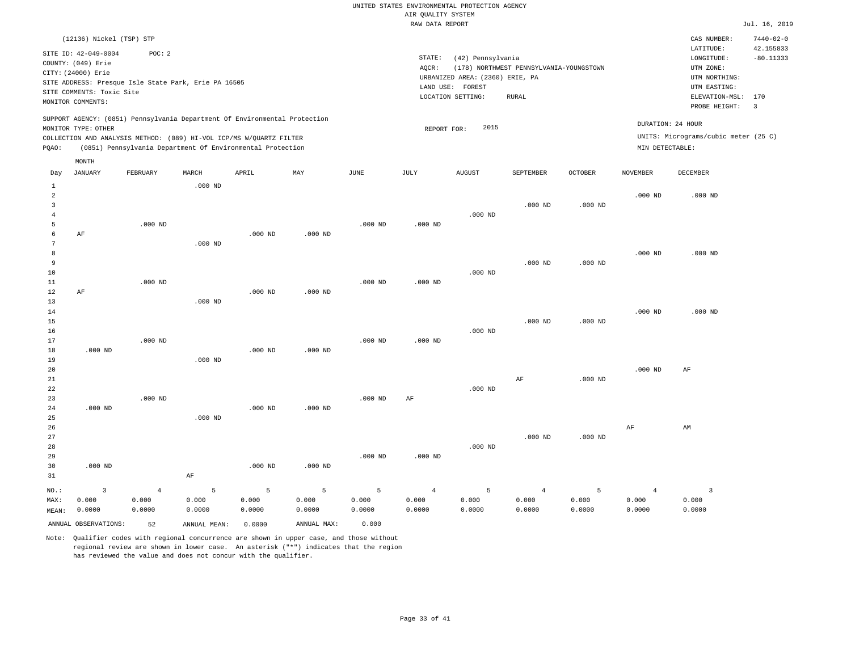LOCATION SETTING: RURAL

REPORT FOR: 2015

| AIR OUALITY SYSTEM                               |               |                 |
|--------------------------------------------------|---------------|-----------------|
| RAW DATA REPORT                                  |               | Jul. 16, 2019   |
|                                                  | CAS NUMBER:   | $7440 - 02 - 0$ |
|                                                  | LATITUDE:     | 42.155833       |
| STATE:<br>(42) Pennsylvania                      | LONGTTUDE:    | $-80.11333$     |
| AOCR:<br>(178) NORTHWEST PENNSYLVANIA-YOUNGSTOWN | UTM ZONE:     |                 |
| URBANIZED AREA: (2360) ERIE, PA                  | UTM NORTHING: |                 |
| LAND USE:<br>FOREST                              | UTM EASTING:  |                 |

PROBE HEIGHT: 3 ELEVATION-MSL: 170

UNITS: Micrograms/cubic meter (25 C)

DURATION: 24 HOUR

SITE ADDRESS: Presque Isle State Park, Erie PA 16505 SITE COMMENTS: Toxic Site MONITOR COMMENTS:

(12136) Nickel (TSP) STP

SITE ID: 42-049-0004 POC: 2

COUNTY: (049) Erie CITY: (24000) Erie

SUPPORT AGENCY: (0851) Pennsylvania Department Of Environmental Protection MONITOR TYPE: OTHER

COLLECTION AND ANALYSIS METHOD: (089) HI-VOL ICP/MS W/QUARTZ FILTER PQAO: (0851) Pennsylvania Department Of Environmental Protection MIN DETECTABLE:

|                | MONTH                   |                |              |           |             |           |                |               |                |           |                 |                         |
|----------------|-------------------------|----------------|--------------|-----------|-------------|-----------|----------------|---------------|----------------|-----------|-----------------|-------------------------|
| Day            | <b>JANUARY</b>          | FEBRUARY       | MARCH        | APRIL     | MAY         | JUNE      | JULY           | <b>AUGUST</b> | SEPTEMBER      | OCTOBER   | <b>NOVEMBER</b> | DECEMBER                |
| $\mathbf{1}$   |                         |                | $.000$ ND    |           |             |           |                |               |                |           |                 |                         |
| $\overline{a}$ |                         |                |              |           |             |           |                |               |                |           | $.000$ ND       | $.000$ ND               |
| 3              |                         |                |              |           |             |           |                |               | $.000$ ND      | $.000$ ND |                 |                         |
| $\overline{4}$ |                         |                |              |           |             |           |                | $.000$ ND     |                |           |                 |                         |
| 5              |                         | $.000$ ND      |              |           |             | $.000$ ND | $.000$ ND      |               |                |           |                 |                         |
| 6              | $\rm AF$                |                |              | $.000$ ND | $.000$ ND   |           |                |               |                |           |                 |                         |
| 7              |                         |                | $.000$ ND    |           |             |           |                |               |                |           |                 |                         |
| 8              |                         |                |              |           |             |           |                |               |                |           | $.000$ ND       | $.000$ ND               |
| 9              |                         |                |              |           |             |           |                |               | $.000$ ND      | $.000$ ND |                 |                         |
| $10$           |                         |                |              |           |             |           |                | $.000$ ND     |                |           |                 |                         |
| 11             |                         | $.000$ ND      |              |           |             | $.000$ ND | $.000$ ND      |               |                |           |                 |                         |
| 12             | AF                      |                |              | $.000$ ND | $.000$ ND   |           |                |               |                |           |                 |                         |
| 13             |                         |                | $.000$ ND    |           |             |           |                |               |                |           |                 |                         |
| 14             |                         |                |              |           |             |           |                |               |                |           | $.000$ ND       | $.000$ ND               |
| 15<br>16       |                         |                |              |           |             |           |                | $.000$ ND     | $.000$ ND      | $.000$ ND |                 |                         |
| 17             |                         | $.000$ ND      |              |           |             | $.000$ ND | $.000$ ND      |               |                |           |                 |                         |
| 18             | $.000$ ND               |                |              | $.000$ ND | $.000$ ND   |           |                |               |                |           |                 |                         |
| 19             |                         |                | $.000$ ND    |           |             |           |                |               |                |           |                 |                         |
| 20             |                         |                |              |           |             |           |                |               |                |           | $.000$ ND       | AF                      |
| 21             |                         |                |              |           |             |           |                |               | $\rm AF$       | $.000$ ND |                 |                         |
| 22             |                         |                |              |           |             |           |                | $.000$ ND     |                |           |                 |                         |
| 23             |                         | $.000$ ND      |              |           |             | $.000$ ND | $\rm{AF}$      |               |                |           |                 |                         |
| 24             | $.000$ ND               |                |              | $.000$ ND | $.000$ ND   |           |                |               |                |           |                 |                         |
| 25             |                         |                | $.000$ ND    |           |             |           |                |               |                |           |                 |                         |
| 26             |                         |                |              |           |             |           |                |               |                |           | $\rm{AF}$       | AM                      |
| 27             |                         |                |              |           |             |           |                |               | $.000$ ND      | $.000$ ND |                 |                         |
| 28             |                         |                |              |           |             |           |                | $.000$ ND     |                |           |                 |                         |
| 29             |                         |                |              |           |             | $.000$ ND | $.000$ ND      |               |                |           |                 |                         |
| 30             | $.000$ ND               |                |              | $.000$ ND | $.000$ ND   |           |                |               |                |           |                 |                         |
| 31             |                         |                | $\rm AF$     |           |             |           |                |               |                |           |                 |                         |
| NO.:           | $\overline{\mathbf{3}}$ | $\overline{4}$ | 5            | 5         | 5           | 5         | $\overline{4}$ | 5             | $\overline{4}$ | 5         | $\overline{4}$  | $\overline{\mathbf{3}}$ |
| MAX:           | 0.000                   | 0.000          | 0.000        | 0.000     | 0.000       | 0.000     | 0.000          | 0.000         | 0.000          | 0.000     | 0.000           | 0.000                   |
| MEAN:          | 0.0000                  | 0.0000         | 0.0000       | 0.0000    | 0.0000      | 0.0000    | 0.0000         | 0.0000        | 0.0000         | 0.0000    | 0.0000          | 0.0000                  |
|                | ANNUAL OBSERVATIONS:    | 52             | ANNUAL MEAN: | 0.0000    | ANNUAL MAX: | 0.000     |                |               |                |           |                 |                         |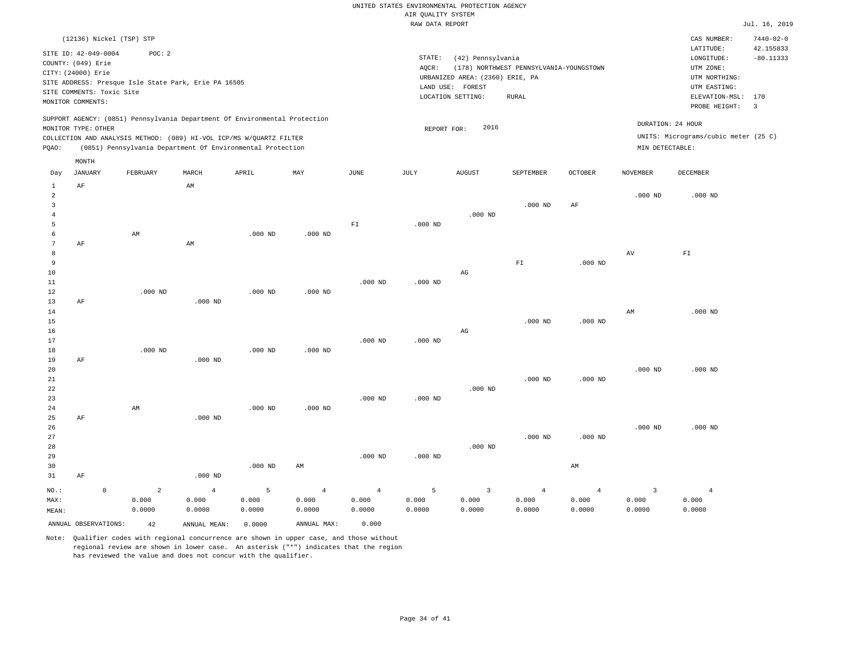|                                  |                           |                                                                            |                |           |                |                          | RAW DATA REPORT |                                 |                                         |                |                 |                                      | Jul. 16, 2019                |
|----------------------------------|---------------------------|----------------------------------------------------------------------------|----------------|-----------|----------------|--------------------------|-----------------|---------------------------------|-----------------------------------------|----------------|-----------------|--------------------------------------|------------------------------|
|                                  |                           | (12136) Nickel (TSP) STP                                                   |                |           |                |                          |                 |                                 |                                         |                |                 | CAS NUMBER:<br>LATITUDE:             | $7440 - 02 - 0$<br>42.155833 |
|                                  | SITE ID: 42-049-0004      | POC: 2                                                                     |                |           |                |                          | STATE:          | (42) Pennsylvania               |                                         |                |                 | LONGITUDE:                           | $-80.11333$                  |
|                                  | COUNTY: (049) Erie        |                                                                            |                |           |                |                          | AOCR:           |                                 | (178) NORTHWEST PENNSYLVANIA-YOUNGSTOWN |                |                 | UTM ZONE:                            |                              |
|                                  | CITY: (24000) Erie        |                                                                            |                |           |                |                          |                 | URBANIZED AREA: (2360) ERIE, PA |                                         |                |                 | UTM NORTHING:                        |                              |
|                                  |                           | SITE ADDRESS: Presque Isle State Park, Erie PA 16505                       |                |           |                |                          |                 | LAND USE: FOREST                |                                         |                |                 | UTM EASTING:                         |                              |
|                                  | SITE COMMENTS: Toxic Site |                                                                            |                |           |                |                          |                 | LOCATION SETTING:               | <b>RURAL</b>                            |                |                 | ELEVATION-MSL:                       | 170                          |
|                                  | MONITOR COMMENTS:         |                                                                            |                |           |                |                          |                 |                                 |                                         |                |                 | PROBE HEIGHT:                        | $\overline{\mathbf{3}}$      |
|                                  |                           | SUPPORT AGENCY: (0851) Pennsylvania Department Of Environmental Protection |                |           |                |                          |                 |                                 |                                         |                |                 | DURATION: 24 HOUR                    |                              |
|                                  | MONITOR TYPE: OTHER       |                                                                            |                |           |                |                          | REPORT FOR:     | 2016                            |                                         |                |                 |                                      |                              |
|                                  |                           | COLLECTION AND ANALYSIS METHOD: (089) HI-VOL ICP/MS W/QUARTZ FILTER        |                |           |                |                          |                 |                                 |                                         |                |                 | UNITS: Micrograms/cubic meter (25 C) |                              |
| PQAO:                            |                           | (0851) Pennsylvania Department Of Environmental Protection                 |                |           |                |                          |                 |                                 |                                         |                | MIN DETECTABLE: |                                      |                              |
|                                  | MONTH                     |                                                                            |                |           |                |                          |                 |                                 |                                         |                |                 |                                      |                              |
| Day                              | <b>JANUARY</b>            | FEBRUARY                                                                   | MARCH          | APRIL     | MAY            | JUNE                     | JULY            | <b>AUGUST</b>                   | SEPTEMBER                               | <b>OCTOBER</b> | <b>NOVEMBER</b> | DECEMBER                             |                              |
| $\mathbf{1}$                     | AF                        |                                                                            | AM             |           |                |                          |                 |                                 |                                         |                |                 |                                      |                              |
| $\overline{a}$<br>$\overline{3}$ |                           |                                                                            |                |           |                |                          |                 |                                 | $.000$ ND                               | AF             | $.000$ ND       | $.000$ ND                            |                              |
| $\overline{4}$                   |                           |                                                                            |                |           |                |                          |                 | $.000$ ND                       |                                         |                |                 |                                      |                              |
| 5                                |                           |                                                                            |                |           |                | $\mathbb{F} \mathbbm{T}$ | $.000$ ND       |                                 |                                         |                |                 |                                      |                              |
| 6                                |                           | AM                                                                         |                | $.000$ ND | $.000$ ND      |                          |                 |                                 |                                         |                |                 |                                      |                              |
| 7                                | AF                        |                                                                            | AM             |           |                |                          |                 |                                 |                                         |                |                 |                                      |                              |
| 8                                |                           |                                                                            |                |           |                |                          |                 |                                 |                                         |                | AV              | ${\rm F\,I}$                         |                              |
| 9                                |                           |                                                                            |                |           |                |                          |                 |                                 | ${\rm F\,I}$                            | $.000$ ND      |                 |                                      |                              |
| 10                               |                           |                                                                            |                |           |                |                          |                 | $\mathbb{A}\mathbb{G}$          |                                         |                |                 |                                      |                              |
| 11                               |                           |                                                                            |                |           |                | $.000$ ND                | $.000$ ND       |                                 |                                         |                |                 |                                      |                              |
| 12                               |                           | $.000$ ND                                                                  |                | $.000$ ND | $.000$ ND      |                          |                 |                                 |                                         |                |                 |                                      |                              |
| 13                               | AF                        |                                                                            | $.000$ ND      |           |                |                          |                 |                                 |                                         |                |                 |                                      |                              |
| 14                               |                           |                                                                            |                |           |                |                          |                 |                                 |                                         |                | AM              | $.000$ ND                            |                              |
| 15                               |                           |                                                                            |                |           |                |                          |                 |                                 | $.000$ ND                               | $.000$ ND      |                 |                                      |                              |
| 16<br>17                         |                           |                                                                            |                |           |                | $.000$ ND                | $.000$ ND       | $\mathbb{A}\mathbb{G}$          |                                         |                |                 |                                      |                              |
| 18                               |                           | $.000$ ND                                                                  |                | $.000$ ND | $.000$ ND      |                          |                 |                                 |                                         |                |                 |                                      |                              |
| 19                               | AF                        |                                                                            | $.000$ ND      |           |                |                          |                 |                                 |                                         |                |                 |                                      |                              |
| 20                               |                           |                                                                            |                |           |                |                          |                 |                                 |                                         |                | $.000$ ND       | $.000$ ND                            |                              |
| 21                               |                           |                                                                            |                |           |                |                          |                 |                                 | $.000$ ND                               | $.000$ ND      |                 |                                      |                              |
| 22                               |                           |                                                                            |                |           |                |                          |                 | $.000$ ND                       |                                         |                |                 |                                      |                              |
| 23                               |                           |                                                                            |                |           |                | $.000$ ND                | $.000$ ND       |                                 |                                         |                |                 |                                      |                              |
| 24                               |                           | AM                                                                         |                | $.000$ ND | $.000$ ND      |                          |                 |                                 |                                         |                |                 |                                      |                              |
| 25                               | AF                        |                                                                            | $.000$ ND      |           |                |                          |                 |                                 |                                         |                |                 |                                      |                              |
| 26                               |                           |                                                                            |                |           |                |                          |                 |                                 |                                         |                | $.000$ ND       | $.000$ ND                            |                              |
| 27                               |                           |                                                                            |                |           |                |                          |                 |                                 | $.000$ ND                               | $.000$ ND      |                 |                                      |                              |
| 28                               |                           |                                                                            |                |           |                |                          |                 | $.000$ ND                       |                                         |                |                 |                                      |                              |
| 29                               |                           |                                                                            |                |           |                | $.000$ ND                | $.000$ ND       |                                 |                                         |                |                 |                                      |                              |
| 30<br>31                         | AF                        |                                                                            | $.000$ ND      | $.000$ ND | AM             |                          |                 |                                 |                                         | AM             |                 |                                      |                              |
|                                  | $\mathbf 0$               | $\overline{2}$                                                             | $\overline{4}$ | 5         | $\overline{4}$ | $\overline{4}$           | 5               | $\overline{3}$                  | $\overline{4}$                          | $\overline{4}$ | $\overline{3}$  | $\overline{4}$                       |                              |
| NO.:<br>MAX:                     |                           | 0.000                                                                      | 0.000          | 0.000     | 0.000          | 0.000                    | 0.000           | 0.000                           | 0.000                                   | 0.000          | 0.000           | 0.000                                |                              |
| MEAN:                            |                           | 0.0000                                                                     | 0.0000         | 0.0000    | 0.0000         | 0.0000                   | 0.0000          | 0.0000                          | 0.0000                                  | 0.0000         | 0.0000          | 0.0000                               |                              |
|                                  |                           |                                                                            |                |           |                |                          |                 |                                 |                                         |                |                 |                                      |                              |

ANNUAL OBSERVATIONS: 42 ANNUAL MEAN: 0.0000 ANNUAL MAX: 0.000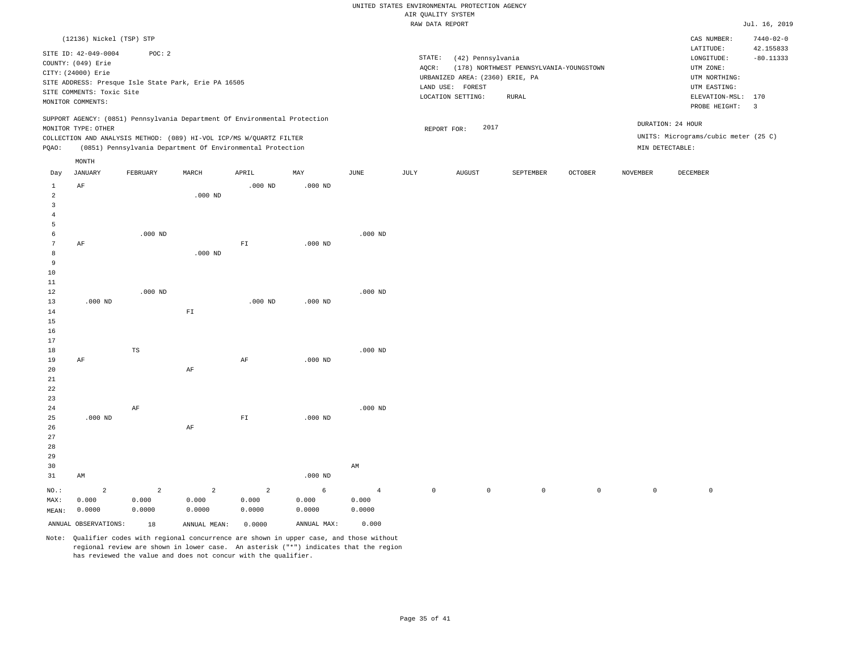|                |                           |                                                      |                |                                                                            |           |                |             | RAW DATA REPORT                 |                                         |              |                     |                                      | Jul. 16, 2019                |
|----------------|---------------------------|------------------------------------------------------|----------------|----------------------------------------------------------------------------|-----------|----------------|-------------|---------------------------------|-----------------------------------------|--------------|---------------------|--------------------------------------|------------------------------|
|                | (12136) Nickel (TSP) STP  |                                                      |                |                                                                            |           |                |             |                                 |                                         |              |                     | CAS NUMBER:<br>LATITUDE:             | $7440 - 02 - 0$<br>42.155833 |
|                | SITE ID: 42-049-0004      | POC: 2                                               |                |                                                                            |           |                | STATE:      | (42) Pennsylvania               |                                         |              |                     | LONGITUDE:                           | $-80.11333$                  |
|                | COUNTY: (049) Erie        |                                                      |                |                                                                            |           |                | AQCR:       |                                 | (178) NORTHWEST PENNSYLVANIA-YOUNGSTOWN |              |                     | UTM ZONE:                            |                              |
|                | CITY: (24000) Erie        |                                                      |                |                                                                            |           |                |             | URBANIZED AREA: (2360) ERIE, PA |                                         |              |                     | UTM NORTHING:                        |                              |
|                |                           | SITE ADDRESS: Presque Isle State Park, Erie PA 16505 |                |                                                                            |           |                |             | LAND USE: FOREST                |                                         |              |                     | UTM EASTING:                         |                              |
|                | SITE COMMENTS: Toxic Site |                                                      |                |                                                                            |           |                |             | LOCATION SETTING:               | RURAL                                   |              |                     | ELEVATION-MSL:                       | 170                          |
|                | MONITOR COMMENTS:         |                                                      |                |                                                                            |           |                |             |                                 |                                         |              |                     | PROBE HEIGHT:                        | $\overline{\mathbf{3}}$      |
|                |                           |                                                      |                | SUPPORT AGENCY: (0851) Pennsylvania Department Of Environmental Protection |           |                |             |                                 |                                         |              |                     | DURATION: 24 HOUR                    |                              |
|                | MONITOR TYPE: OTHER       |                                                      |                |                                                                            |           |                |             | 2017<br>REPORT FOR:             |                                         |              |                     |                                      |                              |
|                |                           |                                                      |                | COLLECTION AND ANALYSIS METHOD: (089) HI-VOL ICP/MS W/QUARTZ FILTER        |           |                |             |                                 |                                         |              |                     | UNITS: Micrograms/cubic meter (25 C) |                              |
| PQAO:          |                           |                                                      |                | (0851) Pennsylvania Department Of Environmental Protection                 |           |                |             |                                 |                                         |              |                     | MIN DETECTABLE:                      |                              |
|                | MONTH                     |                                                      |                |                                                                            |           |                |             |                                 |                                         |              |                     |                                      |                              |
| Day            | JANUARY                   | FEBRUARY                                             | MARCH          | APRIL                                                                      | MAY       | JUNE           | JULY        | <b>AUGUST</b>                   | SEPTEMBER                               | OCTOBER      | NOVEMBER            | DECEMBER                             |                              |
| $\mathbf{1}$   | $\rm{AF}$                 |                                                      |                | $.000$ ND                                                                  | $.000$ ND |                |             |                                 |                                         |              |                     |                                      |                              |
| $\overline{c}$ |                           |                                                      | $.000$ ND      |                                                                            |           |                |             |                                 |                                         |              |                     |                                      |                              |
| $\overline{3}$ |                           |                                                      |                |                                                                            |           |                |             |                                 |                                         |              |                     |                                      |                              |
| $\overline{4}$ |                           |                                                      |                |                                                                            |           |                |             |                                 |                                         |              |                     |                                      |                              |
| 5              |                           |                                                      |                |                                                                            |           |                |             |                                 |                                         |              |                     |                                      |                              |
| 6              |                           | $.000$ ND                                            |                |                                                                            |           | $.000$ ND      |             |                                 |                                         |              |                     |                                      |                              |
| 7              | AF                        |                                                      |                | ${\rm FT}$                                                                 | $.000$ ND |                |             |                                 |                                         |              |                     |                                      |                              |
| 8              |                           |                                                      | $.000$ ND      |                                                                            |           |                |             |                                 |                                         |              |                     |                                      |                              |
| 9              |                           |                                                      |                |                                                                            |           |                |             |                                 |                                         |              |                     |                                      |                              |
| 10             |                           |                                                      |                |                                                                            |           |                |             |                                 |                                         |              |                     |                                      |                              |
| 11             |                           |                                                      |                |                                                                            |           |                |             |                                 |                                         |              |                     |                                      |                              |
| 12             |                           | $.000$ ND                                            |                |                                                                            | $.000$ ND | $.000$ ND      |             |                                 |                                         |              |                     |                                      |                              |
| 13<br>14       | $.000$ ND                 |                                                      | ${\rm FT}$     | $.000$ ND                                                                  |           |                |             |                                 |                                         |              |                     |                                      |                              |
| 15             |                           |                                                      |                |                                                                            |           |                |             |                                 |                                         |              |                     |                                      |                              |
| 16             |                           |                                                      |                |                                                                            |           |                |             |                                 |                                         |              |                     |                                      |                              |
| 17             |                           |                                                      |                |                                                                            |           |                |             |                                 |                                         |              |                     |                                      |                              |
| 18             |                           | TS                                                   |                |                                                                            |           | $.000$ ND      |             |                                 |                                         |              |                     |                                      |                              |
| 19             | AF                        |                                                      |                | AF                                                                         | $.000$ ND |                |             |                                 |                                         |              |                     |                                      |                              |
| 20             |                           |                                                      | $\rm AF$       |                                                                            |           |                |             |                                 |                                         |              |                     |                                      |                              |
| 21             |                           |                                                      |                |                                                                            |           |                |             |                                 |                                         |              |                     |                                      |                              |
| 22             |                           |                                                      |                |                                                                            |           |                |             |                                 |                                         |              |                     |                                      |                              |
| 23             |                           |                                                      |                |                                                                            |           |                |             |                                 |                                         |              |                     |                                      |                              |
| 24             |                           | $\rm AF$                                             |                |                                                                            |           | $.000$ ND      |             |                                 |                                         |              |                     |                                      |                              |
| 25             | $.000$ ND                 |                                                      |                | ${\rm FT}$                                                                 | $.000$ ND |                |             |                                 |                                         |              |                     |                                      |                              |
| 26             |                           |                                                      | AF             |                                                                            |           |                |             |                                 |                                         |              |                     |                                      |                              |
| 27             |                           |                                                      |                |                                                                            |           |                |             |                                 |                                         |              |                     |                                      |                              |
| 28             |                           |                                                      |                |                                                                            |           |                |             |                                 |                                         |              |                     |                                      |                              |
| 29             |                           |                                                      |                |                                                                            |           |                |             |                                 |                                         |              |                     |                                      |                              |
| 30             |                           |                                                      |                |                                                                            |           | AM             |             |                                 |                                         |              |                     |                                      |                              |
| 31             | AM                        |                                                      |                |                                                                            | $.000$ ND |                |             |                                 |                                         |              |                     |                                      |                              |
| NO.:           | $\overline{2}$            | $\overline{a}$                                       | $\overline{a}$ | $\overline{a}$                                                             | 6         | $\overline{4}$ | $\mathbb O$ | $\circ$                         | 0                                       | $\mathsf{O}$ | $\mathsf{O}\xspace$ | $\mathbb O$                          |                              |

| NO.:  |                      |        |              |        |             |        |  |
|-------|----------------------|--------|--------------|--------|-------------|--------|--|
| MAX:  | 0.000                | 0.000  | 0.000        | 0.000  | 0.000       | 0.000  |  |
| MEAN: | 0.0000               | 0.0000 | 0.0000       | 0.0000 | 0.0000      | 0.0000 |  |
|       | ANNUAL OBSERVATIONS: | 18     | ANNUAL MEAN: | 0.0000 | ANNUAL MAX: | 0.000  |  |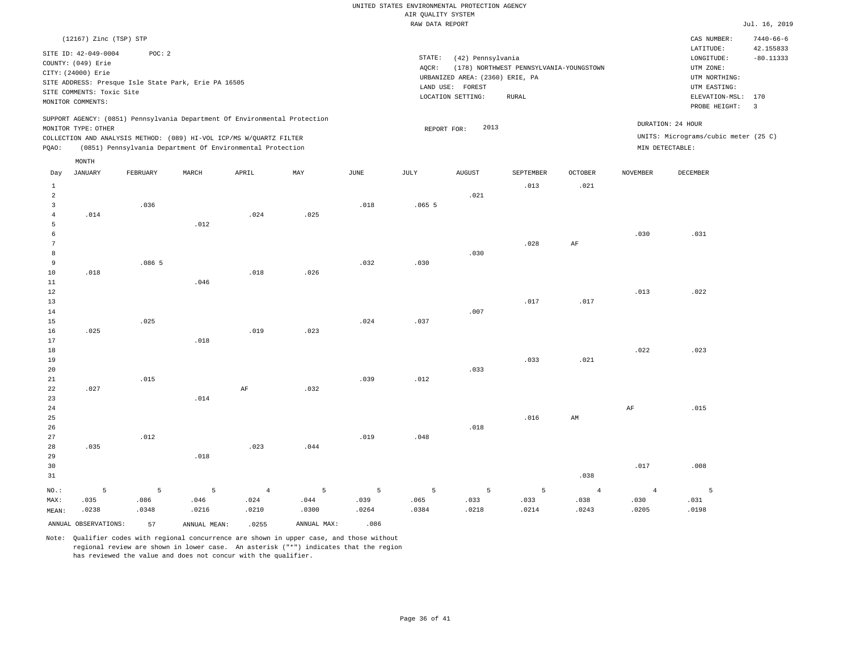#### RAW DATA REPORT JUL. 16, 2019 UNITED STATES ENVIRONMENTAL PROTECTION AGENCY AIR QUALITY SYSTEM

|                      | (12167) Zinc (TSP) STP    |          |                                                                            |                |             |       |             |                                 |                                         |                |                | CAS NUMBER:                          | $7440 - 66 - 6$ |
|----------------------|---------------------------|----------|----------------------------------------------------------------------------|----------------|-------------|-------|-------------|---------------------------------|-----------------------------------------|----------------|----------------|--------------------------------------|-----------------|
|                      | SITE ID: 42-049-0004      | POC: 2   |                                                                            |                |             |       |             |                                 |                                         |                |                | LATITUDE:                            | 42.155833       |
|                      | COUNTY: (049) Erie        |          |                                                                            |                |             |       | STATE:      | (42) Pennsylvania               |                                         |                |                | LONGITUDE:                           | $-80.11333$     |
|                      | CITY: (24000) Erie        |          |                                                                            |                |             |       | AQCR:       |                                 | (178) NORTHWEST PENNSYLVANIA-YOUNGSTOWN |                |                | UTM ZONE:                            |                 |
|                      |                           |          | SITE ADDRESS: Presque Isle State Park, Erie PA 16505                       |                |             |       |             | URBANIZED AREA: (2360) ERIE, PA |                                         |                |                | UTM NORTHING:                        |                 |
|                      | SITE COMMENTS: Toxic Site |          |                                                                            |                |             |       | LAND USE:   | FOREST                          |                                         |                |                | UTM EASTING:                         |                 |
|                      | MONITOR COMMENTS:         |          |                                                                            |                |             |       |             | LOCATION SETTING:               | RURAL                                   |                |                | ELEVATION-MSL:                       | 170             |
|                      |                           |          |                                                                            |                |             |       |             |                                 |                                         |                |                | PROBE HEIGHT:                        | 3               |
|                      | MONITOR TYPE: OTHER       |          | SUPPORT AGENCY: (0851) Pennsylvania Department Of Environmental Protection |                |             |       |             | 2013                            |                                         |                |                | DURATION: 24 HOUR                    |                 |
|                      |                           |          | COLLECTION AND ANALYSIS METHOD: (089) HI-VOL ICP/MS W/QUARTZ FILTER        |                |             |       | REPORT FOR: |                                 |                                         |                |                | UNITS: Micrograms/cubic meter (25 C) |                 |
| PQAO:                |                           |          | (0851) Pennsylvania Department Of Environmental Protection                 |                |             |       |             |                                 |                                         |                |                | MIN DETECTABLE:                      |                 |
|                      | MONTH                     |          |                                                                            |                |             |       |             |                                 |                                         |                |                |                                      |                 |
| Day                  | JANUARY                   | FEBRUARY | MARCH                                                                      | APRIL          | MAY         | JUNE  | JULY        | AUGUST                          | SEPTEMBER                               | <b>OCTOBER</b> | NOVEMBER       | DECEMBER                             |                 |
|                      |                           |          |                                                                            |                |             |       |             |                                 |                                         |                |                |                                      |                 |
| 1                    |                           |          |                                                                            |                |             |       |             |                                 | .013                                    | .021           |                |                                      |                 |
| $\overline{a}$       |                           |          |                                                                            |                |             |       |             | .021                            |                                         |                |                |                                      |                 |
| $\overline{3}$       |                           | .036     |                                                                            |                |             | .018  | .0655       |                                 |                                         |                |                |                                      |                 |
| $\overline{4}$       | .014                      |          |                                                                            | .024           | .025        |       |             |                                 |                                         |                |                |                                      |                 |
| 5                    |                           |          | .012                                                                       |                |             |       |             |                                 |                                         |                |                |                                      |                 |
| 6<br>$7\phantom{.0}$ |                           |          |                                                                            |                |             |       |             |                                 | .028                                    |                | .030           | .031                                 |                 |
| 8                    |                           |          |                                                                            |                |             |       |             |                                 |                                         | $\rm{AF}$      |                |                                      |                 |
| 9                    |                           | .0865    |                                                                            |                |             | .032  | .030        | .030                            |                                         |                |                |                                      |                 |
| 10                   | .018                      |          |                                                                            | .018           | .026        |       |             |                                 |                                         |                |                |                                      |                 |
| $1\,1$               |                           |          | .046                                                                       |                |             |       |             |                                 |                                         |                |                |                                      |                 |
| 12                   |                           |          |                                                                            |                |             |       |             |                                 |                                         |                | .013           | .022                                 |                 |
| 13                   |                           |          |                                                                            |                |             |       |             |                                 | .017                                    | .017           |                |                                      |                 |
| 14                   |                           |          |                                                                            |                |             |       |             | .007                            |                                         |                |                |                                      |                 |
| 15                   |                           | .025     |                                                                            |                |             | .024  | .037        |                                 |                                         |                |                |                                      |                 |
| 16                   | .025                      |          |                                                                            | .019           | .023        |       |             |                                 |                                         |                |                |                                      |                 |
| 17                   |                           |          | .018                                                                       |                |             |       |             |                                 |                                         |                |                |                                      |                 |
| $18$                 |                           |          |                                                                            |                |             |       |             |                                 |                                         |                | .022           | .023                                 |                 |
| 19                   |                           |          |                                                                            |                |             |       |             |                                 | .033                                    | .021           |                |                                      |                 |
| 20                   |                           |          |                                                                            |                |             |       |             | .033                            |                                         |                |                |                                      |                 |
| 21                   |                           | .015     |                                                                            |                |             | .039  | .012        |                                 |                                         |                |                |                                      |                 |
| 22                   | .027                      |          |                                                                            | $\rm AF$       | .032        |       |             |                                 |                                         |                |                |                                      |                 |
| 23                   |                           |          | .014                                                                       |                |             |       |             |                                 |                                         |                |                |                                      |                 |
| 24                   |                           |          |                                                                            |                |             |       |             |                                 |                                         |                | AF             | .015                                 |                 |
| 25                   |                           |          |                                                                            |                |             |       |             |                                 | .016                                    | AM             |                |                                      |                 |
| 26                   |                           |          |                                                                            |                |             |       |             | .018                            |                                         |                |                |                                      |                 |
| 27                   |                           | .012     |                                                                            |                |             | .019  | .048        |                                 |                                         |                |                |                                      |                 |
| 28                   | .035                      |          |                                                                            | .023           | .044        |       |             |                                 |                                         |                |                |                                      |                 |
| 29                   |                           |          | .018                                                                       |                |             |       |             |                                 |                                         |                |                |                                      |                 |
| 30                   |                           |          |                                                                            |                |             |       |             |                                 |                                         |                | .017           | .008                                 |                 |
| 31                   |                           |          |                                                                            |                |             |       |             |                                 |                                         | .038           |                |                                      |                 |
|                      |                           |          |                                                                            |                |             |       |             |                                 |                                         |                |                |                                      |                 |
| NO.:                 | 5                         | 5        | 5                                                                          | $\overline{4}$ | 5           | 5     | 5           | 5                               | 5                                       | $\overline{4}$ | $\overline{4}$ | 5                                    |                 |
| MAX:                 | .035                      | .086     | .046                                                                       | .024           | .044        | .039  | .065        | .033                            | .033                                    | .038           | .030           | .031                                 |                 |
| MEAN:                | .0238                     | .0348    | .0216                                                                      | .0210          | .0300       | .0264 | .0384       | .0218                           | .0214                                   | .0243          | .0205          | .0198                                |                 |
|                      | ANNUAL OBSERVATIONS:      | 57       | ANNUAL MEAN:                                                               | .0255          | ANNUAL MAX: | .086  |             |                                 |                                         |                |                |                                      |                 |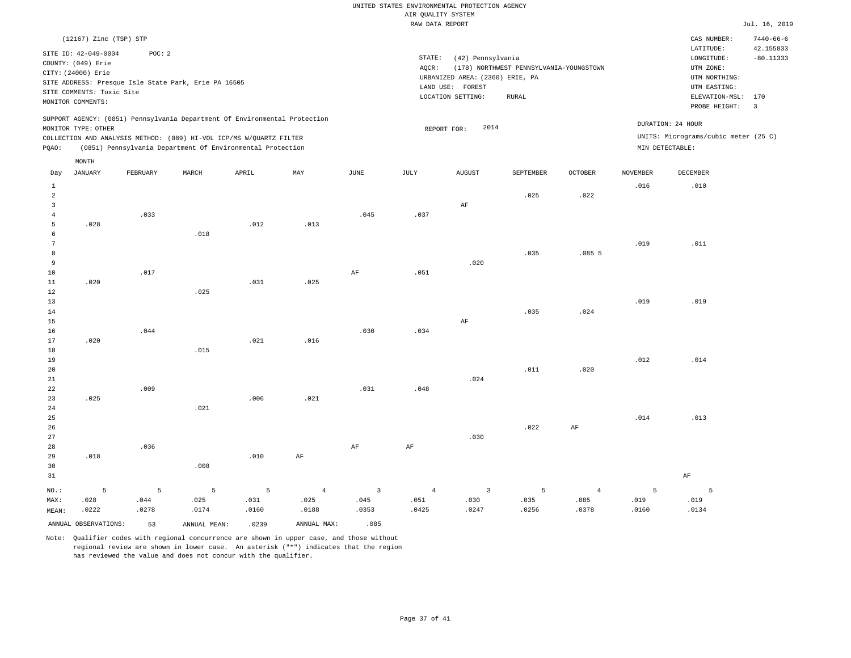#### RAW DATA REPORT UNITED STATES ENVIRONMENTAL PROTECTION AGENCY AIR QUALITY SYSTEM

STATE: (42) Pennsylvania

LOCATION SETTING: RURAL

LAND USE: FOREST

REPORT FOR:  $2014$ 

AQCR: (178) NORTHWEST PENNSYLVANIA-YOUNGSTOWN

URBANIZED AREA: (2360) ERIE, PA UTM NORTHING:

|             | Jul. 16, 2019   |
|-------------|-----------------|
| CAS NUMBER: | $7440 - 66 - 6$ |
| LATITUDE:   | 42.155833       |

PROBE HEIGHT: 3 ELEVATION-MSL: 170

UTM EASTING: UTM ZONE:

UNITS: Micrograms/cubic meter (25 C)

DURATION: 24 HOUR

LONGITUDE: -80.11333

| STTE ID: 42-049-0004                                 | POC: 2 |  |
|------------------------------------------------------|--------|--|
| COUNTY: (049) Erie                                   |        |  |
|                                                      |        |  |
| CITY: (24000) Erie                                   |        |  |
| SITE ADDRESS: Presque Isle State Park, Erie PA 16505 |        |  |
| SITE COMMENTS: Toxic Site                            |        |  |
| MONITOR COMMENTS:                                    |        |  |

(12167) Zinc (TSP) STP

MONTH

SUPPORT AGENCY: (0851) Pennsylvania Department Of Environmental Protection MONITOR TYPE: OTHER

COLLECTION AND ANALYSIS METHOD: (089) HI-VOL ICP/MS W/QUARTZ FILTER PQAO: (0851) Pennsylvania Department Of Environmental Protection MIN DETECTABLE:

|                 | MONT.H               |          |              |       |                |                         |                 |                |           |                |                 |           |
|-----------------|----------------------|----------|--------------|-------|----------------|-------------------------|-----------------|----------------|-----------|----------------|-----------------|-----------|
| Day             | JANUARY              | FEBRUARY | MARCH        | APRIL | MAY            | $_{\rm JUNE}$           | $\mathtt{JULY}$ | <b>AUGUST</b>  | SEPTEMBER | OCTOBER        | <b>NOVEMBER</b> | DECEMBER  |
| $\mathbf{1}$    |                      |          |              |       |                |                         |                 |                |           |                | .016            | .010      |
| $\overline{a}$  |                      |          |              |       |                |                         |                 |                | .025      | .022           |                 |           |
| $\overline{3}$  |                      |          |              |       |                |                         |                 | $\rm{AF}$      |           |                |                 |           |
| $\overline{4}$  |                      | .033     |              |       |                | .045                    | .037            |                |           |                |                 |           |
| 5               | .028                 |          |              | .012  | .013           |                         |                 |                |           |                |                 |           |
| 6               |                      |          | .018         |       |                |                         |                 |                |           |                |                 |           |
| $7\phantom{.0}$ |                      |          |              |       |                |                         |                 |                |           |                | .019            | .011      |
| 8               |                      |          |              |       |                |                         |                 |                | .035      | .0855          |                 |           |
| 9               |                      |          |              |       |                |                         |                 | .020           |           |                |                 |           |
| 10              |                      | .017     |              |       |                | $\rm{AF}$               | .051            |                |           |                |                 |           |
| $11\,$          | .020                 |          |              | .031  | .025           |                         |                 |                |           |                |                 |           |
| 12              |                      |          | .025         |       |                |                         |                 |                |           |                |                 |           |
| 13              |                      |          |              |       |                |                         |                 |                |           |                | .019            | .019      |
| 14              |                      |          |              |       |                |                         |                 |                | .035      | .024           |                 |           |
| 15              |                      |          |              |       |                |                         |                 | $\rm AF$       |           |                |                 |           |
| 16              |                      | .044     |              |       |                | .030                    | .034            |                |           |                |                 |           |
| 17              | .020                 |          |              | .021  | .016           |                         |                 |                |           |                |                 |           |
| 18              |                      |          | .015         |       |                |                         |                 |                |           |                |                 |           |
| 19              |                      |          |              |       |                |                         |                 |                |           |                | .012            | .014      |
| 20              |                      |          |              |       |                |                         |                 |                | .011      | .020           |                 |           |
| 21              |                      |          |              |       |                |                         |                 | .024           |           |                |                 |           |
| 22              |                      | .009     |              |       |                | .031                    | .048            |                |           |                |                 |           |
| 23              | .025                 |          |              | .006  | .021           |                         |                 |                |           |                |                 |           |
| 24              |                      |          | .021         |       |                |                         |                 |                |           |                |                 |           |
| 25              |                      |          |              |       |                |                         |                 |                |           |                | .014            | .013      |
| 26              |                      |          |              |       |                |                         |                 |                | .022      | $\rm{AF}$      |                 |           |
| 27              |                      |          |              |       |                |                         |                 | .030           |           |                |                 |           |
| 28              |                      | .036     |              |       |                | $\rm{AF}$               | $\rm AF$        |                |           |                |                 |           |
| 29              | .018                 |          |              | .010  | $\rm AF$       |                         |                 |                |           |                |                 |           |
| 30              |                      |          | .008         |       |                |                         |                 |                |           |                |                 |           |
| 31              |                      |          |              |       |                |                         |                 |                |           |                |                 | $\rm{AF}$ |
| $_{\rm NO.}$ :  | 5                    | 5        | 5            | 5     | $\overline{4}$ | $\overline{\mathbf{3}}$ | $\sqrt{4}$      | $\overline{3}$ | 5         | $\overline{4}$ | 5               | 5         |
| MAX:            | .028                 | .044     | .025         | .031  | .025           | .045                    | .051            | .030           | .035      | .085           | .019            | .019      |
| MEAN:           | .0222                | .0278    | .0174        | .0160 | .0188          | .0353                   | .0425           | .0247          | .0256     | .0378          | .0160           | .0134     |
|                 | ANNUAL OBSERVATIONS: | 53       | ANNUAL MEAN: | .0239 | ANNUAL MAX:    | .085                    |                 |                |           |                |                 |           |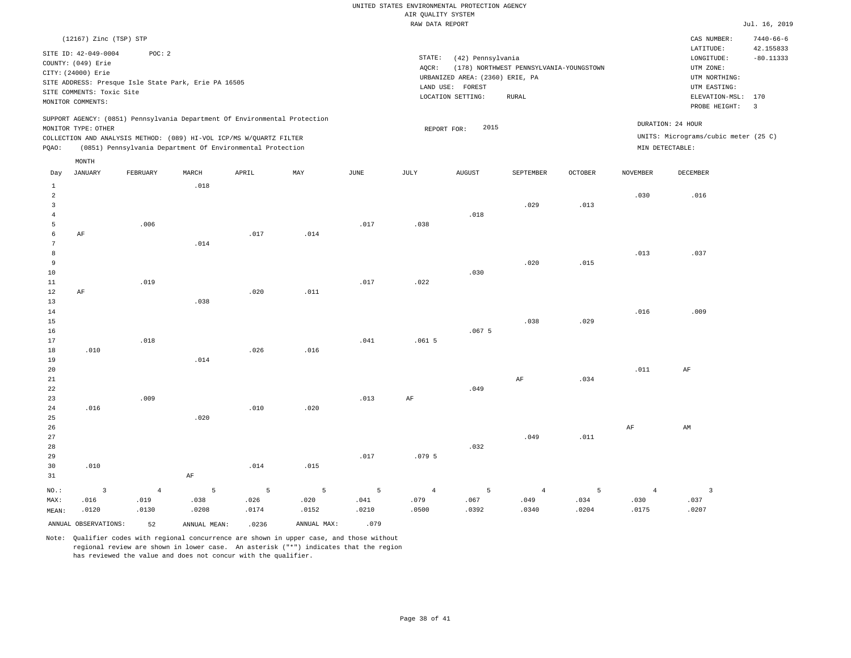|                                |                           |                                                      |       |                                                                            |      |      | RAW DATA REPORT |                                 |                                         |                |                 |                                      | Jul. 16, 2019                |
|--------------------------------|---------------------------|------------------------------------------------------|-------|----------------------------------------------------------------------------|------|------|-----------------|---------------------------------|-----------------------------------------|----------------|-----------------|--------------------------------------|------------------------------|
|                                | (12167) Zinc (TSP) STP    |                                                      |       |                                                                            |      |      |                 |                                 |                                         |                |                 | CAS NUMBER:<br>LATITUDE:             | $7440 - 66 - 6$<br>42.155833 |
|                                | SITE ID: 42-049-0004      | POC: 2                                               |       |                                                                            |      |      | STATE:          | (42) Pennsylvania               |                                         |                |                 | LONGITUDE:                           | $-80.11333$                  |
|                                | COUNTY: (049) Erie        |                                                      |       |                                                                            |      |      | AQCR:           |                                 | (178) NORTHWEST PENNSYLVANIA-YOUNGSTOWN |                |                 | UTM ZONE:                            |                              |
|                                | CITY: (24000) Erie        |                                                      |       |                                                                            |      |      |                 | URBANIZED AREA: (2360) ERIE, PA |                                         |                |                 | UTM NORTHING:                        |                              |
|                                |                           | SITE ADDRESS: Presque Isle State Park, Erie PA 16505 |       |                                                                            |      |      |                 | LAND USE: FOREST                |                                         |                |                 | UTM EASTING:                         |                              |
|                                | SITE COMMENTS: Toxic Site |                                                      |       |                                                                            |      |      |                 | LOCATION SETTING:               | RURAL                                   |                |                 | ELEVATION-MSL:                       | 170                          |
|                                | MONITOR COMMENTS:         |                                                      |       |                                                                            |      |      |                 |                                 |                                         |                |                 | PROBE HEIGHT:                        | $\overline{\mathbf{3}}$      |
|                                |                           |                                                      |       | SUPPORT AGENCY: (0851) Pennsylvania Department Of Environmental Protection |      |      |                 |                                 |                                         |                |                 | DURATION: 24 HOUR                    |                              |
|                                | MONITOR TYPE: OTHER       |                                                      |       |                                                                            |      |      |                 | 2015<br>REPORT FOR:             |                                         |                |                 | UNITS: Micrograms/cubic meter (25 C) |                              |
|                                |                           |                                                      |       | COLLECTION AND ANALYSIS METHOD: (089) HI-VOL ICP/MS W/QUARTZ FILTER        |      |      |                 |                                 |                                         |                |                 | MIN DETECTABLE:                      |                              |
| PQAO:                          |                           |                                                      |       | (0851) Pennsylvania Department Of Environmental Protection                 |      |      |                 |                                 |                                         |                |                 |                                      |                              |
| Day                            | MONTH<br><b>JANUARY</b>   | FEBRUARY                                             | MARCH | APRIL                                                                      | MAY  | JUNE | JULY            | AUGUST                          | SEPTEMBER                               | <b>OCTOBER</b> | <b>NOVEMBER</b> | <b>DECEMBER</b>                      |                              |
|                                |                           |                                                      |       |                                                                            |      |      |                 |                                 |                                         |                |                 |                                      |                              |
| $\mathbf{1}$<br>$\overline{a}$ |                           |                                                      | .018  |                                                                            |      |      |                 |                                 |                                         |                | .030            | .016                                 |                              |
| $\overline{3}$                 |                           |                                                      |       |                                                                            |      |      |                 |                                 | .029                                    | .013           |                 |                                      |                              |
| $\overline{4}$                 |                           |                                                      |       |                                                                            |      |      |                 | .018                            |                                         |                |                 |                                      |                              |
| 5                              |                           | .006                                                 |       |                                                                            |      | .017 | .038            |                                 |                                         |                |                 |                                      |                              |
| 6                              | AF                        |                                                      |       | .017                                                                       | .014 |      |                 |                                 |                                         |                |                 |                                      |                              |
| 7                              |                           |                                                      | .014  |                                                                            |      |      |                 |                                 |                                         |                |                 |                                      |                              |
| 8                              |                           |                                                      |       |                                                                            |      |      |                 |                                 |                                         |                | .013            | .037                                 |                              |
| 9                              |                           |                                                      |       |                                                                            |      |      |                 |                                 | .020                                    | .015           |                 |                                      |                              |
| 10                             |                           |                                                      |       |                                                                            |      |      |                 | .030                            |                                         |                |                 |                                      |                              |
| 11                             |                           | .019                                                 |       |                                                                            |      | .017 | .022            |                                 |                                         |                |                 |                                      |                              |
| 12<br>13                       | AF                        |                                                      | .038  | .020                                                                       | .011 |      |                 |                                 |                                         |                |                 |                                      |                              |
| 14                             |                           |                                                      |       |                                                                            |      |      |                 |                                 |                                         |                | .016            | .009                                 |                              |
| 15                             |                           |                                                      |       |                                                                            |      |      |                 |                                 | .038                                    | .029           |                 |                                      |                              |
| 16                             |                           |                                                      |       |                                                                            |      |      |                 | .0675                           |                                         |                |                 |                                      |                              |
| 17                             |                           | .018                                                 |       |                                                                            |      | .041 | .0615           |                                 |                                         |                |                 |                                      |                              |
| 18                             | .010                      |                                                      |       | .026                                                                       | .016 |      |                 |                                 |                                         |                |                 |                                      |                              |
| 19                             |                           |                                                      | .014  |                                                                            |      |      |                 |                                 |                                         |                |                 |                                      |                              |
| 20                             |                           |                                                      |       |                                                                            |      |      |                 |                                 |                                         |                | .011            | AF                                   |                              |
| 21                             |                           |                                                      |       |                                                                            |      |      |                 |                                 | AF                                      | .034           |                 |                                      |                              |
| 22                             |                           |                                                      |       |                                                                            |      |      |                 | .049                            |                                         |                |                 |                                      |                              |
| 23                             |                           | .009                                                 |       |                                                                            |      | .013 | AF              |                                 |                                         |                |                 |                                      |                              |
| 24<br>25                       | .016                      |                                                      | .020  | .010                                                                       | .020 |      |                 |                                 |                                         |                |                 |                                      |                              |
| 26                             |                           |                                                      |       |                                                                            |      |      |                 |                                 |                                         |                | AF              | AM                                   |                              |
| 27                             |                           |                                                      |       |                                                                            |      |      |                 |                                 | .049                                    | .011           |                 |                                      |                              |
| 28                             |                           |                                                      |       |                                                                            |      |      |                 | .032                            |                                         |                |                 |                                      |                              |
| 29                             |                           |                                                      |       |                                                                            |      | .017 | .0795           |                                 |                                         |                |                 |                                      |                              |
| 30                             | .010                      |                                                      |       | .014                                                                       | .015 |      |                 |                                 |                                         |                |                 |                                      |                              |

31 NO.: MAX: MEAN: 3 .016 .0120 AF 4 .019 .0130 5 .038 .0208 5 .026 .0174 5 .020 .0152 5 .041 .0210 4 .079 .0500 5 .067 .0392 4 .049 .0340 5 .034 .0204 4 .030 .0175 3 .037 .0207 ANNUAL OBSERVATIONS: 52 ANNUAL MEAN: .0236 ANNUAL MAX: .079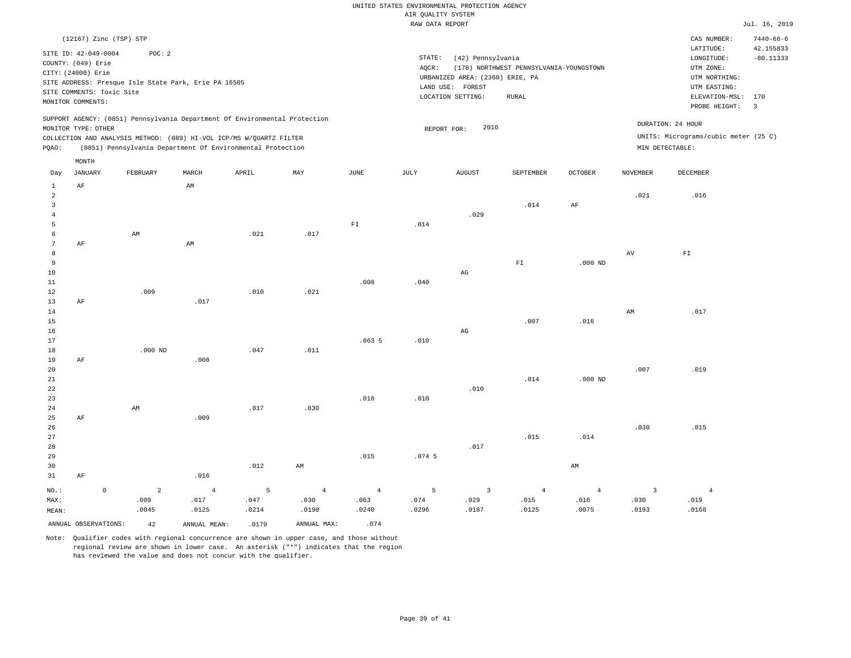|                       | AIR OUALITY SYSTEM |                                         |                   |                    |                         |  |  |  |
|-----------------------|--------------------|-----------------------------------------|-------------------|--------------------|-------------------------|--|--|--|
|                       | RAW DATA REPORT    |                                         |                   |                    |                         |  |  |  |
|                       |                    |                                         |                   | CAS NUMBER:        | $7440 - 66 - 6$         |  |  |  |
|                       |                    |                                         |                   | LATITUDE:          | 42.155833               |  |  |  |
|                       | STATE:             | (42) Pennsylvania                       |                   | LONGITUDE:         | $-80.11333$             |  |  |  |
|                       | AOCR:              | (178) NORTHWEST PENNSYLVANIA-YOUNGSTOWN |                   | UTM ZONE:          |                         |  |  |  |
|                       |                    | URBANIZED AREA: (2360) ERIE, PA         |                   | UTM NORTHING:      |                         |  |  |  |
|                       | LAND USE: FOREST   |                                         |                   | UTM EASTING:       |                         |  |  |  |
|                       | LOCATION SETTING:  | RURAL                                   |                   | ELEVATION-MSL: 170 |                         |  |  |  |
|                       |                    |                                         |                   | PROBE HEIGHT:      | $\overline{\mathbf{3}}$ |  |  |  |
| ironmental Protection |                    | 2016                                    | DURATION: 24 HOUR |                    |                         |  |  |  |
|                       | REPORT FOR:        |                                         |                   |                    |                         |  |  |  |

SUPPORT AGENCY: (0851) Pennsylvania Department Of Environment MONITOR TYPE: OTHER

SITE ADDRESS: Presque Isle State Park, Erie PA 16505

(12167) Zinc (TSP) STP

COUNTY: (049) Erie CITY: (24000) Erie

SITE COMMENTS: Toxic Site MONITOR COMMENTS:

SITE ID: 42-049-0004 POC: 2

COLLECTION AND ANALYSIS METHOD: (089) HI-VOL ICP/MS W/QUARTZ FILTER UNITS: Micrograms/cubic meter (25 C) PQAO: (0851) Pennsylvania Department Of Environmental Protection MIN DETECTABLE: MONTH

| Day             | $_{\rm JANUARY}$ |                      | ${\tt FEBRUARY}$ | $\tt MARCH$            | ${\tt APRIL}$ | MAY            | $_{\rm JUNE}$            | JULY     | AUGUST                  | SEPTEMBER      | OCTOBER        | $\,$ NOVEMBER           | DECEMBER                 |
|-----------------|------------------|----------------------|------------------|------------------------|---------------|----------------|--------------------------|----------|-------------------------|----------------|----------------|-------------------------|--------------------------|
| $\mathbf{1}$    | $\rm AF$         |                      |                  | $\mbox{AM}$            |               |                |                          |          |                         |                |                |                         |                          |
| $\overline{a}$  |                  |                      |                  |                        |               |                |                          |          |                         |                |                | .021                    | .016                     |
| 3               |                  |                      |                  |                        |               |                |                          |          |                         | .014           | $\rm{AF}$      |                         |                          |
| $\overline{4}$  |                  |                      |                  |                        |               |                |                          |          | .029                    |                |                |                         |                          |
| 5               |                  |                      |                  |                        |               |                | $\mathbb{F} \mathbbm{1}$ | .014     |                         |                |                |                         |                          |
| 6               |                  |                      | AM               |                        | .021          | .017           |                          |          |                         |                |                |                         |                          |
| $7\phantom{.0}$ | $\rm AF$         |                      |                  | $\mathbb{A}\mathbb{M}$ |               |                |                          |          |                         |                |                |                         |                          |
| 8               |                  |                      |                  |                        |               |                |                          |          |                         |                |                | $\,\mathrm{AV}$         | $\mathbb{F} \mathbbm{I}$ |
| 9               |                  |                      |                  |                        |               |                |                          |          |                         | ${\rm FT}$     | $.000$ ND      |                         |                          |
| $10$            |                  |                      |                  |                        |               |                |                          |          | $\mathbb{A}\mathbb{G}$  |                |                |                         |                          |
| $11\,$          |                  |                      |                  |                        |               |                | .008                     | .040     |                         |                |                |                         |                          |
| 12              |                  |                      | .009             |                        | .010          | .021           |                          |          |                         |                |                |                         |                          |
| 13              | $\rm{AF}$        |                      |                  | .017                   |               |                |                          |          |                         |                |                |                         | .017                     |
| 14<br>15        |                  |                      |                  |                        |               |                |                          |          |                         | .007           | .016           | $\mbox{AM}$             |                          |
| $16$            |                  |                      |                  |                        |               |                |                          |          | $\mathbb{A}\mathbb{G}$  |                |                |                         |                          |
| 17              |                  |                      |                  |                        |               |                | .0635                    | .010     |                         |                |                |                         |                          |
| 18              |                  |                      | $.000$ ND        |                        | .047          | .011           |                          |          |                         |                |                |                         |                          |
| 19              | $\rm AF$         |                      |                  | .008                   |               |                |                          |          |                         |                |                |                         |                          |
| 20              |                  |                      |                  |                        |               |                |                          |          |                         |                |                | .007                    | .019                     |
| $2\sqrt{1}$     |                  |                      |                  |                        |               |                |                          |          |                         | .014           | $.000$ ND      |                         |                          |
| ${\bf 22}$      |                  |                      |                  |                        |               |                |                          |          | .010                    |                |                |                         |                          |
| 23              |                  |                      |                  |                        |               |                | .010                     | .010     |                         |                |                |                         |                          |
| $2\sqrt{4}$     |                  |                      | $\mbox{AM}$      |                        | .017          | .030           |                          |          |                         |                |                |                         |                          |
| $25\,$          | $\rm AF$         |                      |                  | .009                   |               |                |                          |          |                         |                |                |                         |                          |
| 26              |                  |                      |                  |                        |               |                |                          |          |                         |                |                | .030                    | .015                     |
| $27\,$          |                  |                      |                  |                        |               |                |                          |          |                         | .015           | .014           |                         |                          |
| 28              |                  |                      |                  |                        |               |                |                          |          | .017                    |                |                |                         |                          |
| 29              |                  |                      |                  |                        |               |                | .015                     | $.074-5$ |                         |                |                |                         |                          |
| 30              |                  |                      |                  |                        | .012          | AM             |                          |          |                         |                | AM             |                         |                          |
| 31              | $\rm AF$         |                      |                  | .016                   |               |                |                          |          |                         |                |                |                         |                          |
| $_{\rm NO.}$ :  |                  | $\mathsf{O}\xspace$  | $\overline{a}$   | $\sqrt{4}$             | 5             | $\overline{4}$ | $\sqrt{4}$               | 5        | $\overline{\mathbf{3}}$ | $\overline{4}$ | $\overline{4}$ | $\overline{\mathbf{3}}$ | $\overline{4}$           |
| MAX:            |                  |                      | .009             | .017                   | .047          | .030           | .063                     | .074     | .029                    | .015           | .016           | .030                    | .019                     |
| MEAN:           |                  |                      | .0045            | .0125                  | .0214         | .0198          | .0240                    | .0296    | .0187                   | .0125          | .0075          | .0193                   | .0168                    |
|                 |                  | ANNUAL OBSERVATIONS: | 42               | ANNUAL MEAN:           | .0179         | ANNUAL MAX:    | .074                     |          |                         |                |                |                         |                          |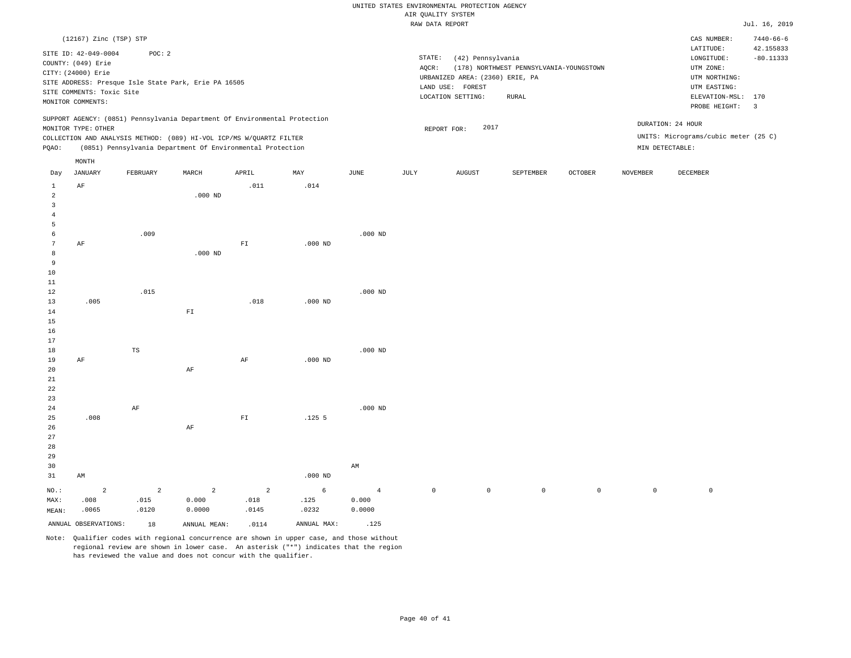|                         |                           |            |                                                                            |                          |             |                        | RAW DATA REPORT |                                 |                                         |                |                     |                                      | Jul. 16, 2019   |
|-------------------------|---------------------------|------------|----------------------------------------------------------------------------|--------------------------|-------------|------------------------|-----------------|---------------------------------|-----------------------------------------|----------------|---------------------|--------------------------------------|-----------------|
|                         | (12167) Zinc (TSP) STP    |            |                                                                            |                          |             |                        |                 |                                 |                                         |                |                     | CAS NUMBER:                          | $7440 - 66 - 6$ |
|                         |                           |            |                                                                            |                          |             |                        |                 |                                 |                                         |                |                     | LATITUDE:                            | 42.155833       |
|                         | SITE ID: 42-049-0004      | POC: 2     |                                                                            |                          |             |                        | STATE:          | (42) Pennsylvania               |                                         |                |                     | LONGITUDE:                           | $-80.11333$     |
|                         | COUNTY: (049) Erie        |            |                                                                            |                          |             |                        | AQCR:           |                                 | (178) NORTHWEST PENNSYLVANIA-YOUNGSTOWN |                |                     | UTM ZONE:                            |                 |
|                         | CITY: (24000) Erie        |            |                                                                            |                          |             |                        |                 | URBANIZED AREA: (2360) ERIE, PA |                                         |                |                     | UTM NORTHING:                        |                 |
|                         |                           |            | SITE ADDRESS: Presque Isle State Park, Erie PA 16505                       |                          |             |                        |                 |                                 |                                         |                |                     |                                      |                 |
|                         | SITE COMMENTS: Toxic Site |            |                                                                            |                          |             |                        |                 | LAND USE: FOREST                |                                         |                |                     | UTM EASTING:                         |                 |
|                         | MONITOR COMMENTS:         |            |                                                                            |                          |             |                        |                 | LOCATION SETTING:               | RURAL                                   |                |                     | ELEVATION-MSL: 170                   |                 |
|                         |                           |            | SUPPORT AGENCY: (0851) Pennsylvania Department Of Environmental Protection |                          |             |                        |                 |                                 |                                         |                |                     | PROBE HEIGHT:                        | $\overline{3}$  |
|                         | MONITOR TYPE: OTHER       |            |                                                                            |                          |             |                        |                 | 2017<br>REPORT FOR:             |                                         |                |                     | DURATION: 24 HOUR                    |                 |
|                         |                           |            | COLLECTION AND ANALYSIS METHOD: (089) HI-VOL ICP/MS W/QUARTZ FILTER        |                          |             |                        |                 |                                 |                                         |                |                     | UNITS: Micrograms/cubic meter (25 C) |                 |
| PQAO:                   |                           |            | (0851) Pennsylvania Department Of Environmental Protection                 |                          |             |                        |                 |                                 |                                         |                |                     | MIN DETECTABLE:                      |                 |
|                         | MONTH                     |            |                                                                            |                          |             |                        |                 |                                 |                                         |                |                     |                                      |                 |
| Day                     | <b>JANUARY</b>            | FEBRUARY   | MARCH                                                                      | APRIL                    | MAY         | JUNE                   | JULY            | <b>AUGUST</b>                   | SEPTEMBER                               | <b>OCTOBER</b> | NOVEMBER            | DECEMBER                             |                 |
| $1\,$                   | $\rm{AF}$                 |            |                                                                            | .011                     | .014        |                        |                 |                                 |                                         |                |                     |                                      |                 |
| $\overline{a}$          |                           |            | $.000$ ND                                                                  |                          |             |                        |                 |                                 |                                         |                |                     |                                      |                 |
| $\overline{\mathbf{3}}$ |                           |            |                                                                            |                          |             |                        |                 |                                 |                                         |                |                     |                                      |                 |
| $\overline{4}$          |                           |            |                                                                            |                          |             |                        |                 |                                 |                                         |                |                     |                                      |                 |
| 5                       |                           |            |                                                                            |                          |             |                        |                 |                                 |                                         |                |                     |                                      |                 |
| 6                       |                           | .009       |                                                                            |                          |             | $.000$ ND              |                 |                                 |                                         |                |                     |                                      |                 |
| $\overline{7}$          | AF                        |            |                                                                            | $\mathbb{F} \mathbbm{I}$ | $.000$ ND   |                        |                 |                                 |                                         |                |                     |                                      |                 |
| 8                       |                           |            | $.000$ ND                                                                  |                          |             |                        |                 |                                 |                                         |                |                     |                                      |                 |
| 9                       |                           |            |                                                                            |                          |             |                        |                 |                                 |                                         |                |                     |                                      |                 |
| $10$                    |                           |            |                                                                            |                          |             |                        |                 |                                 |                                         |                |                     |                                      |                 |
| 11                      |                           |            |                                                                            |                          |             |                        |                 |                                 |                                         |                |                     |                                      |                 |
| 12                      |                           | .015       |                                                                            |                          |             | $.000$ ND              |                 |                                 |                                         |                |                     |                                      |                 |
| 13                      | .005                      |            |                                                                            | .018                     | $.000$ ND   |                        |                 |                                 |                                         |                |                     |                                      |                 |
| 14                      |                           |            | ${\rm F\,I}$                                                               |                          |             |                        |                 |                                 |                                         |                |                     |                                      |                 |
| 15                      |                           |            |                                                                            |                          |             |                        |                 |                                 |                                         |                |                     |                                      |                 |
| 16                      |                           |            |                                                                            |                          |             |                        |                 |                                 |                                         |                |                     |                                      |                 |
|                         |                           |            |                                                                            |                          |             |                        |                 |                                 |                                         |                |                     |                                      |                 |
| 17                      |                           |            |                                                                            |                          |             |                        |                 |                                 |                                         |                |                     |                                      |                 |
| 18                      |                           | TS         |                                                                            |                          |             | $.000$ ND              |                 |                                 |                                         |                |                     |                                      |                 |
| 19                      | AF                        |            |                                                                            | AF                       | $.000$ ND   |                        |                 |                                 |                                         |                |                     |                                      |                 |
| 20                      |                           |            | $\rm AF$                                                                   |                          |             |                        |                 |                                 |                                         |                |                     |                                      |                 |
| 21                      |                           |            |                                                                            |                          |             |                        |                 |                                 |                                         |                |                     |                                      |                 |
| 22                      |                           |            |                                                                            |                          |             |                        |                 |                                 |                                         |                |                     |                                      |                 |
| 23                      |                           |            |                                                                            |                          |             |                        |                 |                                 |                                         |                |                     |                                      |                 |
| 24                      |                           | $\rm{AF}$  |                                                                            |                          |             | $.000$ ND              |                 |                                 |                                         |                |                     |                                      |                 |
| 25                      | .008                      |            |                                                                            | ${\rm FT}$               | $.125$ 5    |                        |                 |                                 |                                         |                |                     |                                      |                 |
| 26                      |                           |            | $\rm AF$                                                                   |                          |             |                        |                 |                                 |                                         |                |                     |                                      |                 |
| 27                      |                           |            |                                                                            |                          |             |                        |                 |                                 |                                         |                |                     |                                      |                 |
| 28                      |                           |            |                                                                            |                          |             |                        |                 |                                 |                                         |                |                     |                                      |                 |
| 29                      |                           |            |                                                                            |                          |             |                        |                 |                                 |                                         |                |                     |                                      |                 |
| 30                      |                           |            |                                                                            |                          |             | $\mathbb{A}\mathbb{M}$ |                 |                                 |                                         |                |                     |                                      |                 |
| 31                      | AM                        |            |                                                                            |                          | $.000$ ND   |                        |                 |                                 |                                         |                |                     |                                      |                 |
| $NO.$ :                 | $\overline{a}$            | $\sqrt{2}$ | $\overline{a}$                                                             | $\overline{a}$           | 6           | $\overline{4}$         | $\mathbb O$     | $\circ$                         | $\mathbb O$                             | $\mathbb O$    | $\mathsf{O}\xspace$ | $\mathbb O$                          |                 |
| MAX:                    | .008                      | .015       | 0.000                                                                      | .018                     | .125        | 0.000                  |                 |                                 |                                         |                |                     |                                      |                 |
|                         |                           |            |                                                                            |                          |             |                        |                 |                                 |                                         |                |                     |                                      |                 |
| MEAN:                   | .0065                     | .0120      | 0.0000                                                                     | .0145                    | .0232       | 0.0000                 |                 |                                 |                                         |                |                     |                                      |                 |
|                         | ANNUAL OBSERVATIONS:      | 18         | ANNUAL MEAN:                                                               | .0114                    | ANNUAL MAX: | .125                   |                 |                                 |                                         |                |                     |                                      |                 |